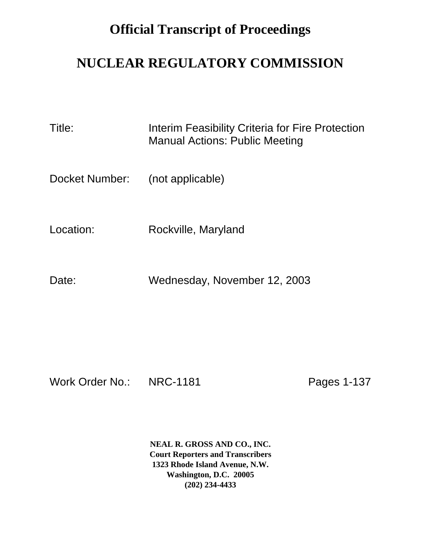## **Official Transcript of Proceedings**

## **NUCLEAR REGULATORY COMMISSION**

Title: Interim Feasibility Criteria for Fire Protection Manual Actions: Public Meeting

Docket Number: (not applicable)

Location: Rockville, Maryland

Date: Wednesday, November 12, 2003

Work Order No.: NRC-1181 Pages 1-137

**NEAL R. GROSS AND CO., INC. Court Reporters and Transcribers 1323 Rhode Island Avenue, N.W. Washington, D.C. 20005 (202) 234-4433**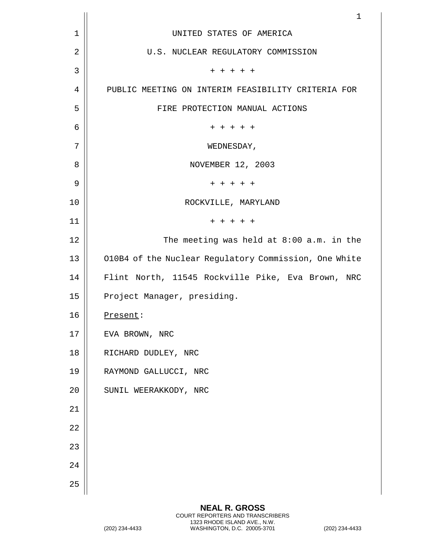|             | $\mathbf 1$                                           |
|-------------|-------------------------------------------------------|
| $\mathbf 1$ | UNITED STATES OF AMERICA                              |
| 2           | U.S. NUCLEAR REGULATORY COMMISSION                    |
| 3           | $+ + + + +$                                           |
| 4           | PUBLIC MEETING ON INTERIM FEASIBILITY CRITERIA FOR    |
| 5           | FIRE PROTECTION MANUAL ACTIONS                        |
| 6           | $+ + + + + +$                                         |
| 7           | WEDNESDAY,                                            |
| 8           | NOVEMBER 12, 2003                                     |
| 9           | $+ + + + + +$                                         |
| 10          | ROCKVILLE, MARYLAND                                   |
| 11          | $+ + + + + +$                                         |
| 12          | The meeting was held at $8:00$ a.m. in the            |
| 13          | O10B4 of the Nuclear Regulatory Commission, One White |
| 14          | Flint North, 11545 Rockville Pike, Eva Brown, NRC     |
| 15          | Project Manager, presiding.                           |
| 16          | Present:                                              |
| 17          | EVA BROWN, NRC                                        |
| 18          | RICHARD DUDLEY, NRC                                   |
| 19          | RAYMOND GALLUCCI, NRC                                 |
| 20          | SUNIL WEERAKKODY, NRC                                 |
| 21          |                                                       |
| 22          |                                                       |
| 23          |                                                       |
| 24          |                                                       |
| 25          |                                                       |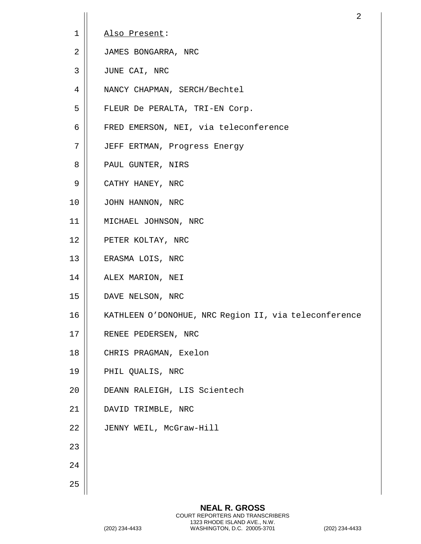|    | 2                                                     |
|----|-------------------------------------------------------|
| 1  | Also Present:                                         |
| 2  | JAMES BONGARRA, NRC                                   |
| 3  | JUNE CAI, NRC                                         |
| 4  | NANCY CHAPMAN, SERCH/Bechtel                          |
| 5  | FLEUR De PERALTA, TRI-EN Corp.                        |
| 6  | FRED EMERSON, NEI, via teleconference                 |
| 7  | JEFF ERTMAN, Progress Energy                          |
| 8  | PAUL GUNTER, NIRS                                     |
| 9  | CATHY HANEY, NRC                                      |
| 10 | JOHN HANNON, NRC                                      |
| 11 | MICHAEL JOHNSON, NRC                                  |
| 12 | PETER KOLTAY, NRC                                     |
| 13 | ERASMA LOIS, NRC                                      |
| 14 | ALEX MARION, NEI                                      |
| 15 | DAVE NELSON, NRC                                      |
| 16 | KATHLEEN O'DONOHUE, NRC Region II, via teleconference |
| 17 | RENEE PEDERSEN, NRC                                   |
| 18 | CHRIS PRAGMAN, Exelon                                 |
| 19 | PHIL QUALIS, NRC                                      |
| 20 | DEANN RALEIGH, LIS Scientech                          |
| 21 | DAVID TRIMBLE, NRC                                    |
| 22 | JENNY WEIL, McGraw-Hill                               |
| 23 |                                                       |
| 24 |                                                       |
| 25 |                                                       |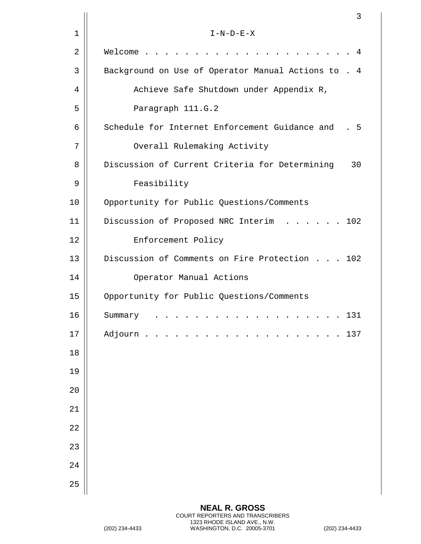|      | 3                                                                                            |
|------|----------------------------------------------------------------------------------------------|
| 1    | $I-N-D-E-X$                                                                                  |
| 2    | Welcome<br>4                                                                                 |
| 3    | Background on Use of Operator Manual Actions to . 4                                          |
| 4    | Achieve Safe Shutdown under Appendix R,                                                      |
| 5    | Paragraph 111.G.2                                                                            |
| 6    | Schedule for Internet Enforcement Guidance and<br>- 5                                        |
| 7    | Overall Rulemaking Activity                                                                  |
| 8    | Discussion of Current Criteria for Determining<br>30                                         |
| 9    | Feasibility                                                                                  |
| 10   | Opportunity for Public Questions/Comments                                                    |
| 11   | Discussion of Proposed NRC Interim<br>102<br>$\cdot$ $\cdot$ $\cdot$ $\cdot$ $\cdot$ $\cdot$ |
| 12   | Enforcement Policy                                                                           |
| 13   | Discussion of Comments on Fire Protection 102                                                |
| 14   | Operator Manual Actions                                                                      |
| 15   | Opportunity for Public Questions/Comments                                                    |
| 16   | 131<br>Summary<br>.                                                                          |
| $17$ | Adjourn<br>137                                                                               |
| 18   |                                                                                              |
| 19   |                                                                                              |
| 20   |                                                                                              |
| 21   |                                                                                              |
| 22   |                                                                                              |
| 23   |                                                                                              |
| 24   |                                                                                              |
| 25   |                                                                                              |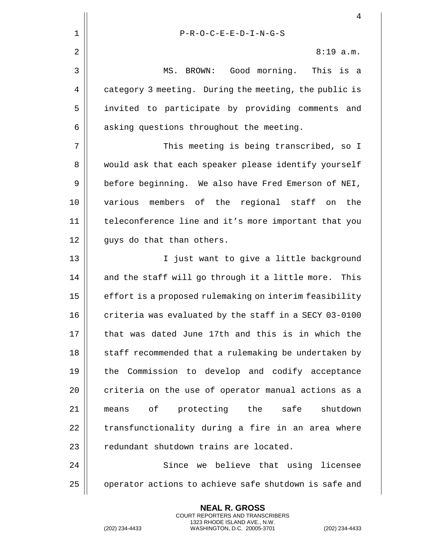|    | 4                                                      |
|----|--------------------------------------------------------|
| 1  | $P-R-O-C-E-E-D-I-N-G-S$                                |
| 2  | $8:19$ a.m.                                            |
| 3  | MS. BROWN: Good morning. This is a                     |
| 4  | category 3 meeting. During the meeting, the public is  |
| 5  | invited to participate by providing comments and       |
| 6  | asking questions throughout the meeting.               |
| 7  | This meeting is being transcribed, so I                |
| 8  | would ask that each speaker please identify yourself   |
| 9  | before beginning. We also have Fred Emerson of NEI,    |
| 10 | various members of the regional staff on<br>the        |
| 11 | teleconference line and it's more important that you   |
| 12 | guys do that than others.                              |
| 13 | I just want to give a little background                |
| 14 | and the staff will go through it a little more. This   |
| 15 | effort is a proposed rulemaking on interim feasibility |
| 16 | criteria was evaluated by the staff in a SECY 03-0100  |
| 17 | that was dated June 17th and this is in which the      |
| 18 | staff recommended that a rulemaking be undertaken by   |
| 19 | the Commission to develop and codify acceptance        |
| 20 | criteria on the use of operator manual actions as a    |
| 21 | means of protecting the safe<br>shutdown               |
| 22 | transfunctionality during a fire in an area where      |
| 23 | redundant shutdown trains are located.                 |
| 24 | Since we believe that using licensee                   |
| 25 | operator actions to achieve safe shutdown is safe and  |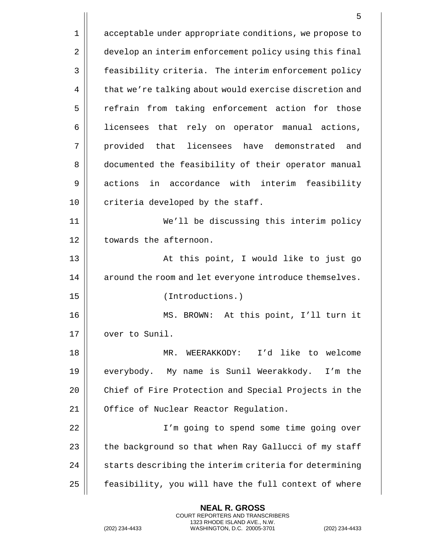|    | 5                                                      |
|----|--------------------------------------------------------|
| 1  | acceptable under appropriate conditions, we propose to |
| 2  | develop an interim enforcement policy using this final |
| 3  | feasibility criteria. The interim enforcement policy   |
| 4  | that we're talking about would exercise discretion and |
| 5  | refrain from taking enforcement action for those       |
| 6  | licensees that rely on operator manual actions,        |
| 7  | provided that licensees have demonstrated and          |
| 8  | documented the feasibility of their operator manual    |
| 9  | actions in accordance with interim feasibility         |
| 10 | criteria developed by the staff.                       |
| 11 | We'll be discussing this interim policy                |
| 12 | towards the afternoon.                                 |
| 13 | At this point, I would like to just go                 |
| 14 | around the room and let everyone introduce themselves. |
| 15 | (Introductions.)                                       |
| 16 | MS. BROWN:<br>At this point, I'll turn it              |
| 17 | over to Sunil.                                         |
| 18 | I'd like to welcome<br>MR.<br>WEERAKKODY:              |
| 19 | everybody. My name is Sunil Weerakkody. I'm the        |
| 20 | Chief of Fire Protection and Special Projects in the   |
| 21 | Office of Nuclear Reactor Regulation.                  |
| 22 | I'm going to spend some time going over                |
| 23 | the background so that when Ray Gallucci of my staff   |
| 24 | starts describing the interim criteria for determining |
| 25 | feasibility, you will have the full context of where   |

(202) 234-4433 WASHINGTON, D.C. 20005-3701 (202) 234-4433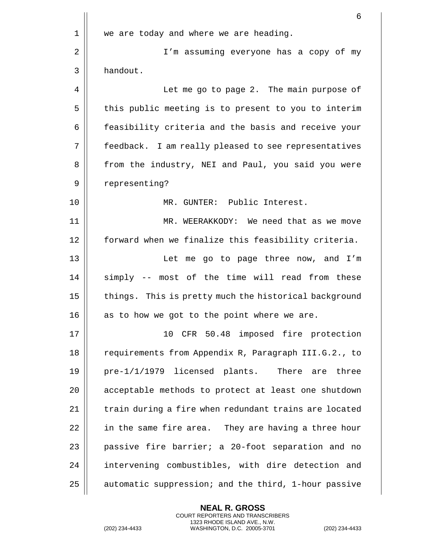|    | 6                                                     |
|----|-------------------------------------------------------|
| 1  | we are today and where we are heading.                |
| 2  | I'm assuming everyone has a copy of my                |
| 3  | handout.                                              |
| 4  | Let me go to page 2. The main purpose of              |
| 5  | this public meeting is to present to you to interim   |
| 6  | feasibility criteria and the basis and receive your   |
| 7  | feedback. I am really pleased to see representatives  |
| 8  | from the industry, NEI and Paul, you said you were    |
| 9  | representing?                                         |
| 10 | MR. GUNTER: Public Interest.                          |
| 11 | MR. WEERAKKODY: We need that as we move               |
| 12 | forward when we finalize this feasibility criteria.   |
| 13 | Let me go to page three now, and I'm                  |
| 14 | simply -- most of the time will read from these       |
| 15 | things. This is pretty much the historical background |
| 16 | as to how we got to the point where we are.           |
| 17 | 10<br>CFR 50.48 imposed fire protection               |
| 18 | requirements from Appendix R, Paragraph III.G.2., to  |
| 19 | pre-1/1/1979 licensed plants. There are three         |
| 20 | acceptable methods to protect at least one shutdown   |
| 21 | train during a fire when redundant trains are located |
| 22 | in the same fire area. They are having a three hour   |
| 23 | passive fire barrier; a 20-foot separation and no     |
| 24 | intervening combustibles, with dire detection and     |
| 25 | automatic suppression; and the third, 1-hour passive  |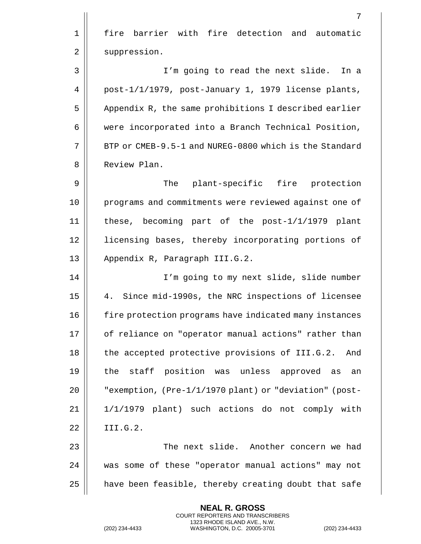|             | 7                                                      |
|-------------|--------------------------------------------------------|
| $\mathbf 1$ | fire barrier with fire detection and automatic         |
| 2           | suppression.                                           |
| 3           | I'm going to read the next slide. In a                 |
| 4           | post-1/1/1979, post-January 1, 1979 license plants,    |
| 5           | Appendix R, the same prohibitions I described earlier  |
| 6           | were incorporated into a Branch Technical Position,    |
| 7           | BTP or CMEB-9.5-1 and NUREG-0800 which is the Standard |
| 8           | Review Plan.                                           |
| 9           | The plant-specific fire protection                     |
| 10          | programs and commitments were reviewed against one of  |
| 11          | these, becoming part of the $post-1/1/1979$ plant      |
| 12          | licensing bases, thereby incorporating portions of     |
| 13          | Appendix R, Paragraph III.G.2.                         |
| 14          | I'm going to my next slide, slide number               |
| 15          | Since mid-1990s, the NRC inspections of licensee<br>4. |
| 16          | fire protection programs have indicated many instances |
| 17          | of reliance on "operator manual actions" rather than   |
| 18          | the accepted protective provisions of III.G.2.<br>And  |
| 19          | staff position was unless approved as<br>the<br>an     |
| 20          | "exemption, (Pre-1/1/1970 plant) or "deviation" (post- |
| 21          | 1/1/1979 plant) such actions do not comply with        |
| 22          | III.G.2.                                               |
| 23          | The next slide. Another concern we had                 |
| 24          | was some of these "operator manual actions" may not    |
| 25          | have been feasible, thereby creating doubt that safe   |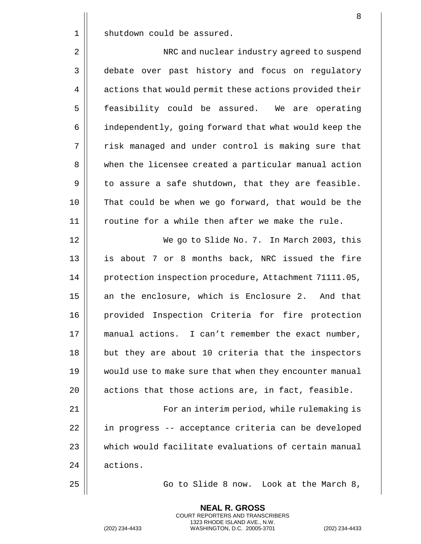1 || shutdown could be assured.

2 | NRC and nuclear industry agreed to suspend 3 debate over past history and focus on regulatory 4 | actions that would permit these actions provided their 5 | feasibility could be assured. We are operating 6 | independently, going forward that what would keep the 7 || risk managed and under control is making sure that 8 when the licensee created a particular manual action  $9 \parallel$  to assure a safe shutdown, that they are feasible. 10 That could be when we go forward, that would be the  $11$  | routine for a while then after we make the rule. 12 We go to Slide No. 7. In March 2003, this 13 || is about 7 or 8 months back, NRC issued the fire

14 | protection inspection procedure, Attachment 71111.05, 15 || an the enclosure, which is Enclosure 2. And that 16 provided Inspection Criteria for fire protection 17 || manual actions. I can't remember the exact number, 18 || but they are about 10 criteria that the inspectors 19 would use to make sure that when they encounter manual  $20$  || actions that those actions are, in fact, feasible.

21 For an interim period, while rulemaking is 22 | in progress -- acceptance criteria can be developed 23 which would facilitate evaluations of certain manual 24 | actions.

> **NEAL R. GROSS** COURT REPORTERS AND TRANSCRIBERS

25 | Go to Slide 8 now. Look at the March 8,

1323 RHODE ISLAND AVE., N.W. (202) 234-4433 WASHINGTON, D.C. 20005-3701 (202) 234-4433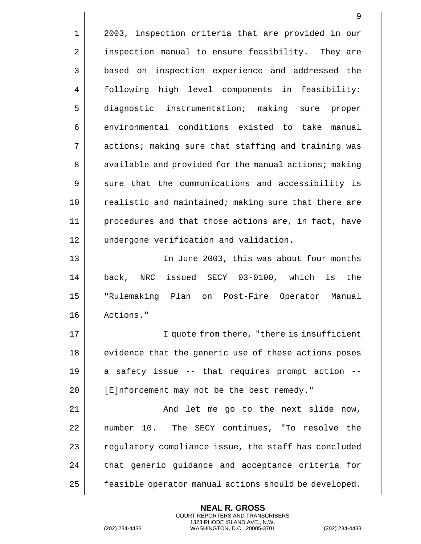1 | 2003, inspection criteria that are provided in our 2 | inspection manual to ensure feasibility. They are 3 | based on inspection experience and addressed the 4 | following high level components in feasibility: 5 diagnostic instrumentation; making sure proper 6 environmental conditions existed to take manual 7 || actions; making sure that staffing and training was 8 | available and provided for the manual actions; making  $9 \parallel$  sure that the communications and accessibility is 10 || realistic and maintained; making sure that there are 11 procedures and that those actions are, in fact, have 12 || undergone verification and validation. 13 In June 2003, this was about four months 14 back, NRC issued SECY 03-0100, which is the 15 "Rulemaking Plan on Post-Fire Operator Manual 16 Actions." 17 || I quote from there, "there is insufficient 18 || evidence that the generic use of these actions poses  $19$  | a safety issue -- that requires prompt action --20 | [E]nforcement may not be the best remedy." 21 || And let me go to the next slide now, 22 || number 10. The SECY continues, "To resolve the  $23$   $\parallel$  regulatory compliance issue, the staff has concluded  $24$  | that generic guidance and acceptance criteria for 25 | feasible operator manual actions should be developed.

> **NEAL R. GROSS** COURT REPORTERS AND TRANSCRIBERS 1323 RHODE ISLAND AVE., N.W.

(202) 234-4433 WASHINGTON, D.C. 20005-3701 (202) 234-4433

9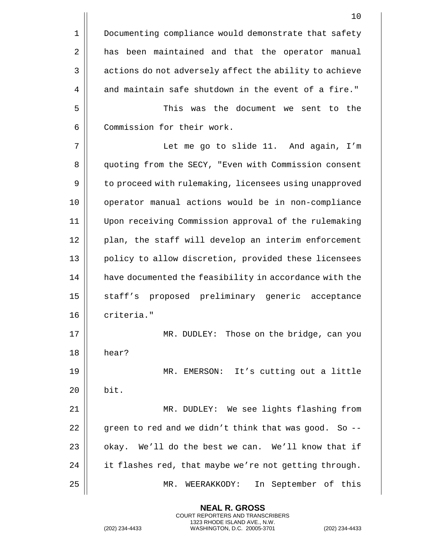|             | 10                                                     |
|-------------|--------------------------------------------------------|
| $\mathbf 1$ | Documenting compliance would demonstrate that safety   |
| 2           | been maintained and that the operator manual<br>has    |
| 3           | actions do not adversely affect the ability to achieve |
| 4           | and maintain safe shutdown in the event of a fire."    |
| 5           | This was the document we sent to the                   |
| 6           | Commission for their work.                             |
| 7           | Let me go to slide 11. And again, I'm                  |
| 8           | quoting from the SECY, "Even with Commission consent   |
| 9           | to proceed with rulemaking, licensees using unapproved |
| 10          | operator manual actions would be in non-compliance     |
| 11          | Upon receiving Commission approval of the rulemaking   |
| 12          | plan, the staff will develop an interim enforcement    |
| 13          | policy to allow discretion, provided these licensees   |
| 14          | have documented the feasibility in accordance with the |
| 15          | staff's proposed preliminary generic acceptance        |
| 16          | criteria."                                             |
| 17          | MR. DUDLEY: Those on the bridge, can you               |
| 18          | hear?                                                  |
| 19          | MR. EMERSON: It's cutting out a little                 |
| 20          | bit.                                                   |
| 21          | MR. DUDLEY: We see lights flashing from                |
| 22          | green to red and we didn't think that was good. So --  |
| 23          | We'll do the best we can. We'll know that if<br>okay.  |
| 24          | it flashes red, that maybe we're not getting through.  |
| 25          | WEERAKKODY:<br>In September of this<br>MR.             |

**NEAL R. GROSS**

1323 RHODE ISLAND AVE., N.W.

COURT REPORTERS AND TRANSCRIBERS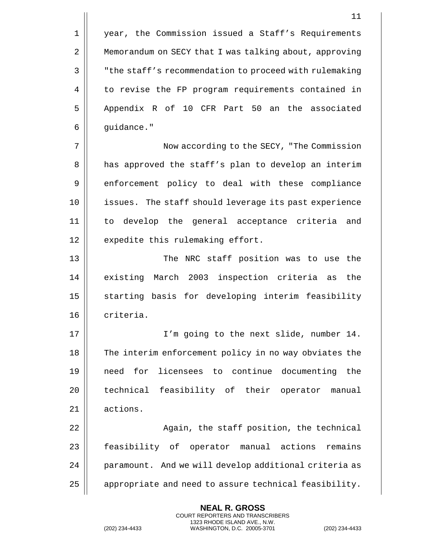1 | year, the Commission issued a Staff's Requirements 2 | Memorandum on SECY that I was talking about, approving 3 | The staff's recommendation to proceed with rulemaking 4 || to revise the FP program requirements contained in 5 || Appendix R of 10 CFR Part 50 an the associated  $6 \parallel$  quidance."

7 Now according to the SECY, "The Commission 8 || has approved the staff's plan to develop an interim 9 | enforcement policy to deal with these compliance 10 || issues. The staff should leverage its past experience 11 to develop the general acceptance criteria and 12 || expedite this rulemaking effort.

13 || The NRC staff position was to use the 14 || existing March 2003 inspection criteria as the 15 || starting basis for developing interim feasibility 16 | criteria.

17 I'm going to the next slide, number 14. 18 The interim enforcement policy in no way obviates the 19 need for licensees to continue documenting the 20 || technical feasibility of their operator manual 21 | actions.

22 || Again, the staff position, the technical 23 | feasibility of operator manual actions remains 24 | paramount. And we will develop additional criteria as 25 | appropriate and need to assure technical feasibility.

> **NEAL R. GROSS** COURT REPORTERS AND TRANSCRIBERS 1323 RHODE ISLAND AVE., N.W.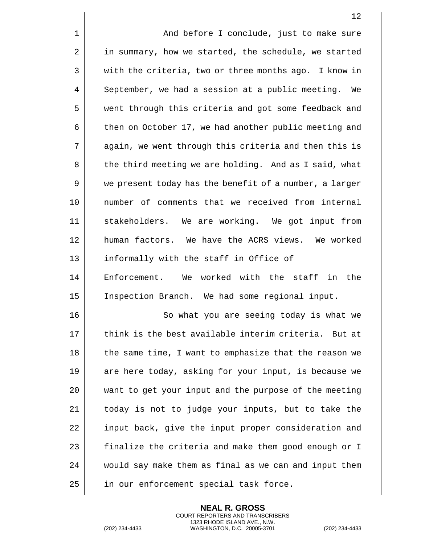1 | And before I conclude, just to make sure 2 | in summary, how we started, the schedule, we started 3 || with the criteria, two or three months ago. I know in 4 September, we had a session at a public meeting. We 5 || went through this criteria and got some feedback and 6 | then on October 17, we had another public meeting and 7 | again, we went through this criteria and then this is 8 | the third meeting we are holding. And as I said, what 9 | we present today has the benefit of a number, a larger 10 number of comments that we received from internal 11 stakeholders. We are working. We got input from 12 human factors. We have the ACRS views. We worked 13 || informally with the staff in Office of 14 || Enforcement. We worked with the staff in the 15 Inspection Branch. We had some regional input. 16 || So what you are seeing today is what we 17  $\parallel$  think is the best available interim criteria. But at 18 || the same time, I want to emphasize that the reason we 19 || are here today, asking for your input, is because we 20 want to get your input and the purpose of the meeting 21 || today is not to judge your inputs, but to take the 22 || input back, give the input proper consideration and 23 | finalize the criteria and make them good enough or I 24 | would say make them as final as we can and input them 25 || in our enforcement special task force.

> **NEAL R. GROSS** COURT REPORTERS AND TRANSCRIBERS 1323 RHODE ISLAND AVE., N.W.

(202) 234-4433 WASHINGTON, D.C. 20005-3701 (202) 234-4433

12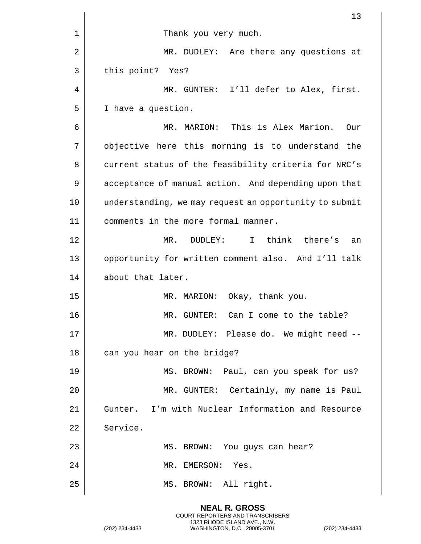|    | 13                                                     |
|----|--------------------------------------------------------|
| 1  | Thank you very much.                                   |
| 2  | MR. DUDLEY: Are there any questions at                 |
| 3  | this point? Yes?                                       |
| 4  | MR. GUNTER: I'll defer to Alex, first.                 |
| 5  | I have a question.                                     |
| 6  | MR. MARION: This is Alex Marion.<br>Our                |
| 7  | objective here this morning is to understand the       |
| 8  | current status of the feasibility criteria for NRC's   |
| 9  | acceptance of manual action. And depending upon that   |
| 10 | understanding, we may request an opportunity to submit |
| 11 | comments in the more formal manner.                    |
| 12 | MR. DUDLEY: I think there's<br>an                      |
| 13 | opportunity for written comment also. And I'll talk    |
| 14 | about that later.                                      |
| 15 | MR. MARION: Okay, thank you.                           |
| 16 | MR. GUNTER: Can I come to the table?                   |
| 17 | MR. DUDLEY: Please do. We might need --                |
| 18 | can you hear on the bridge?                            |
| 19 | MS. BROWN: Paul, can you speak for us?                 |
| 20 | MR. GUNTER: Certainly, my name is Paul                 |
| 21 | Gunter. I'm with Nuclear Information and Resource      |
| 22 | Service.                                               |
| 23 | MS. BROWN: You guys can hear?                          |
| 24 | MR. EMERSON:<br>Yes.                                   |
| 25 | MS. BROWN: All right.                                  |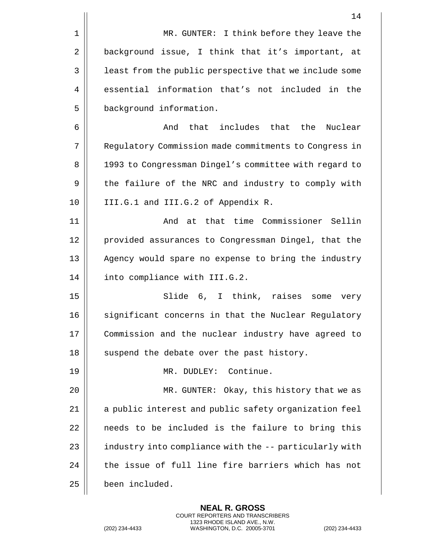|             | 14                                                     |
|-------------|--------------------------------------------------------|
| $\mathbf 1$ | MR. GUNTER: I think before they leave the              |
| 2           | background issue, I think that it's important, at      |
| 3           | least from the public perspective that we include some |
| 4           | essential information that's not included in the       |
| 5           | background information.                                |
| 6           | that includes that the Nuclear<br>And                  |
| 7           | Regulatory Commission made commitments to Congress in  |
| 8           | 1993 to Congressman Dingel's committee with regard to  |
| 9           | the failure of the NRC and industry to comply with     |
| 10          | III.G.1 and III.G.2 of Appendix R.                     |
| 11          | And at that time Commissioner Sellin                   |
| 12          | provided assurances to Congressman Dingel, that the    |
| 13          | Agency would spare no expense to bring the industry    |
| 14          | into compliance with III.G.2.                          |
| 15          | Slide 6, I think, raises<br>some<br>very               |
| 16          | significant concerns in that the Nuclear Regulatory    |
| 17          | Commission and the nuclear industry have agreed to     |
| 18          | suspend the debate over the past history.              |
| 19          | MR. DUDLEY: Continue.                                  |
| 20          | MR. GUNTER: Okay, this history that we as              |
| 21          | a public interest and public safety organization feel  |
| 22          | needs to be included is the failure to bring this      |
| 23          | industry into compliance with the -- particularly with |
| 24          | the issue of full line fire barriers which has not     |
| 25          | been included.                                         |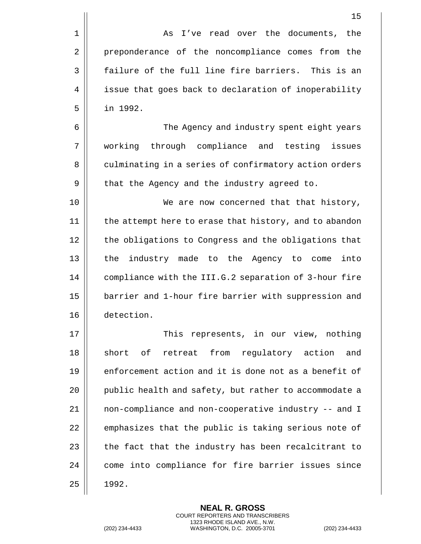1 as I've read over the documents, the 2 | preponderance of the noncompliance comes from the  $3 \parallel$  failure of the full line fire barriers. This is an 4 | issue that goes back to declaration of inoperability 5 in 1992.

6 The Agency and industry spent eight years 7 working through compliance and testing issues 8 | culminating in a series of confirmatory action orders  $9 \parallel$  that the Agency and the industry agreed to.

10 || We are now concerned that that history, 11 || the attempt here to erase that history, and to abandon 12 | the obligations to Congress and the obligations that 13 || the industry made to the Agency to come into 14 | compliance with the III.G.2 separation of 3-hour fire 15 || barrier and 1-hour fire barrier with suppression and 16 detection.

17 This represents, in our view, nothing 18 short of retreat from regulatory action and 19  $\parallel$  enforcement action and it is done not as a benefit of 20 || public health and safety, but rather to accommodate a 21 | non-compliance and non-cooperative industry -- and I  $22$   $\parallel$  emphasizes that the public is taking serious note of 23  $\parallel$  the fact that the industry has been recalcitrant to 24 | come into compliance for fire barrier issues since  $25 \parallel 1992.$ 

> **NEAL R. GROSS** COURT REPORTERS AND TRANSCRIBERS 1323 RHODE ISLAND AVE., N.W.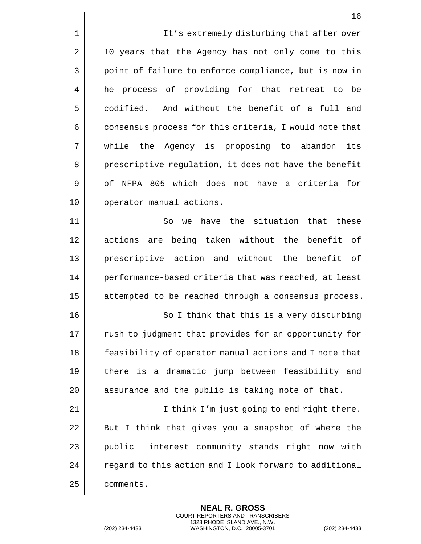|    | 16                                                     |
|----|--------------------------------------------------------|
| 1  | It's extremely disturbing that after over              |
| 2  | 10 years that the Agency has not only come to this     |
| 3  | point of failure to enforce compliance, but is now in  |
| 4  | he process of providing for that retreat to be         |
| 5  | codified. And without the benefit of a full and        |
| 6  | consensus process for this criteria, I would note that |
| 7  | while the Agency is proposing to abandon<br>its        |
| 8  | prescriptive regulation, it does not have the benefit  |
| 9  | of NFPA 805 which does not have a criteria for         |
| 10 | operator manual actions.                               |
| 11 | So we have the situation that these                    |
| 12 | actions are being taken without the benefit of         |
| 13 | prescriptive action and without the<br>benefit<br>of   |
| 14 | performance-based criteria that was reached, at least  |
| 15 | attempted to be reached through a consensus process.   |
| 16 | So I think that this is a very disturbing              |
| 17 | rush to judgment that provides for an opportunity for  |
| 18 | feasibility of operator manual actions and I note that |
| 19 | there is a dramatic jump between feasibility and       |
| 20 | assurance and the public is taking note of that.       |
| 21 | I think I'm just going to end right there.             |
| 22 | But I think that gives you a snapshot of where the     |
| 23 | interest community stands right now with<br>public     |
| 24 | regard to this action and I look forward to additional |
| 25 | comments.                                              |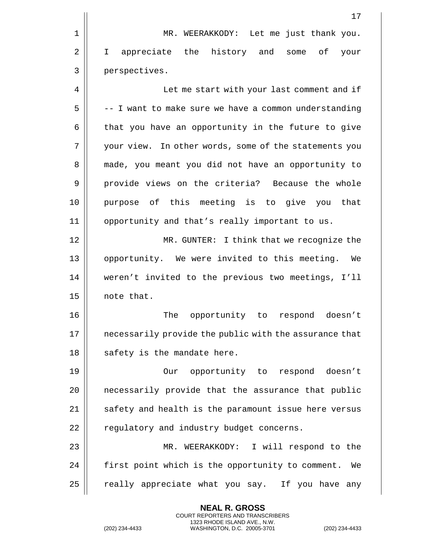17 1 || MR. WEERAKKODY: Let me just thank you. 2 I I appreciate the history and some of your 3 | perspectives. 4 | Let me start with your last comment and if  $5 \parallel$  -- I want to make sure we have a common understanding  $6 \parallel$  that you have an opportunity in the future to give 7 || your view. In other words, some of the statements you 8 || made, you meant you did not have an opportunity to 9 || provide views on the criteria? Because the whole 10 purpose of this meeting is to give you that 11 opportunity and that's really important to us. 12 MR. GUNTER: I think that we recognize the 13 || opportunity. We were invited to this meeting. We 14 weren't invited to the previous two meetings, I'll  $15$  || note that. 16 || The opportunity to respond doesn't 17 || necessarily provide the public with the assurance that  $18$  || safety is the mandate here. 19 Our opportunity to respond doesn't 20 || necessarily provide that the assurance that public  $21$  || safety and health is the paramount issue here versus 22 | regulatory and industry budget concerns. 23 MR. WEERAKKODY: I will respond to the 24 | first point which is the opportunity to comment. We  $25$   $\parallel$  really appreciate what you say. If you have any

> **NEAL R. GROSS** COURT REPORTERS AND TRANSCRIBERS 1323 RHODE ISLAND AVE., N.W.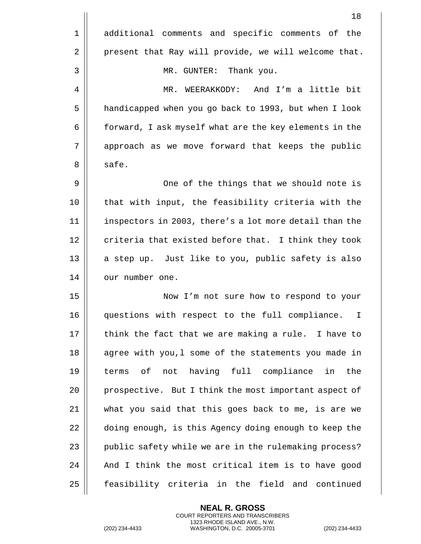|    | 18                                                             |
|----|----------------------------------------------------------------|
| 1  | additional comments and specific comments of the               |
| 2  | present that Ray will provide, we will welcome that.           |
| 3  | Thank you.<br>MR. GUNTER:                                      |
| 4  | MR. WEERAKKODY: And I'm a little bit                           |
| 5  | handicapped when you go back to 1993, but when I look          |
| 6  | forward, I ask myself what are the key elements in the         |
| 7  | approach as we move forward that keeps the public              |
| 8  | safe.                                                          |
| 9  | One of the things that we should note is                       |
| 10 | that with input, the feasibility criteria with the             |
| 11 | inspectors in 2003, there's a lot more detail than the         |
| 12 | criteria that existed before that. I think they took           |
| 13 | a step up. Just like to you, public safety is also             |
| 14 | our number one.                                                |
| 15 | Now I'm not sure how to respond to your                        |
| 16 | questions with respect to the full compliance.<br>$\mathbf{I}$ |
| 17 | think the fact that we are making a rule. I have to            |
| 18 | agree with you, 1 some of the statements you made in           |
| 19 | of not having full compliance in the<br>terms                  |
| 20 | prospective. But I think the most important aspect of          |
| 21 | what you said that this goes back to me, is are we             |
| 22 | doing enough, is this Agency doing enough to keep the          |
| 23 | public safety while we are in the rulemaking process?          |
| 24 | And I think the most critical item is to have good             |
| 25 | feasibility criteria in the field and continued                |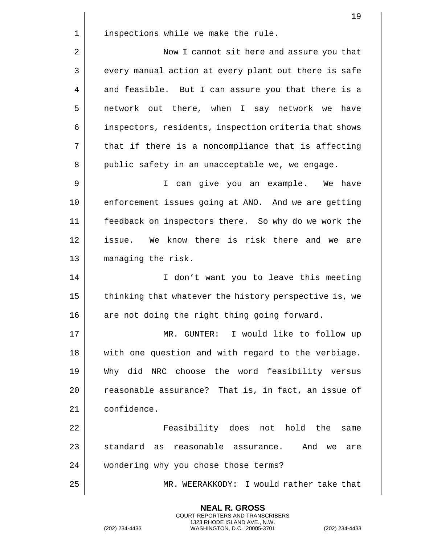19 1 | inspections while we make the rule. 2 | Now I cannot sit here and assure you that 3 || every manual action at every plant out there is safe 4 and feasible. But I can assure you that there is a 5 network out there, when I say network we have 6 | inspectors, residents, inspection criteria that shows  $7 \parallel$  that if there is a noncompliance that is affecting 8 || public safety in an unacceptable we, we engage. 9 I can give you an example. We have 10 || enforcement issues going at ANO. And we are getting 11 feedback on inspectors there. So why do we work the 12 || issue. We know there is risk there and we are 13 || managing the risk. 14 || I don't want you to leave this meeting 15  $\parallel$  thinking that whatever the history perspective is, we  $16$  | are not doing the right thing going forward. 17 MR. GUNTER: I would like to follow up 18 || with one question and with regard to the verbiage. 19 Why did NRC choose the word feasibility versus 20 || reasonable assurance? That is, in fact, an issue of 21 confidence. 22 Feasibility does not hold the same  $23$   $\parallel$  standard as reasonable assurance. And we are 24 | wondering why you chose those terms? 25 MR. WEERAKKODY: I would rather take that

> **NEAL R. GROSS** COURT REPORTERS AND TRANSCRIBERS 1323 RHODE ISLAND AVE., N.W.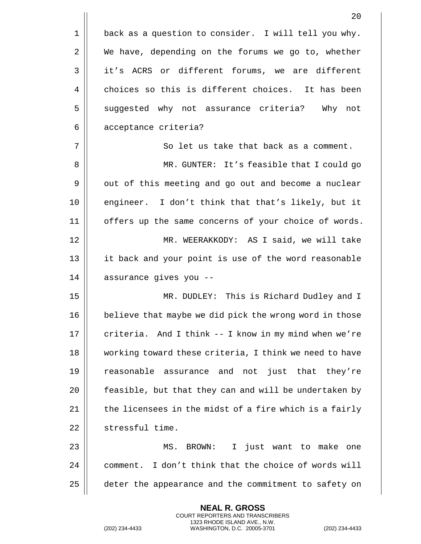|             | 20                                                     |
|-------------|--------------------------------------------------------|
| $\mathbf 1$ | back as a question to consider. I will tell you why.   |
| 2           | We have, depending on the forums we go to, whether     |
| 3           | it's ACRS or different forums, we are different        |
| 4           | choices so this is different choices. It has been      |
| 5           | suggested why not assurance criteria?<br>Why not       |
| 6           | acceptance criteria?                                   |
| 7           | So let us take that back as a comment.                 |
| 8           | MR. GUNTER: It's feasible that I could go              |
| 9           | out of this meeting and go out and become a nuclear    |
| 10          | engineer. I don't think that that's likely, but it     |
| 11          | offers up the same concerns of your choice of words.   |
| 12          | MR. WEERAKKODY: AS I said, we will take                |
| 13          | it back and your point is use of the word reasonable   |
| 14          | assurance gives you --                                 |
| 15          | MR. DUDLEY: This is Richard Dudley and I               |
| 16          | believe that maybe we did pick the wrong word in those |
| 17          | criteria. And I think -- I know in my mind when we're  |
| 18          | working toward these criteria, I think we need to have |
| 19          | reasonable assurance and not just that they're         |
| 20          | feasible, but that they can and will be undertaken by  |
| 21          | the licensees in the midst of a fire which is a fairly |
| 22          | stressful time.                                        |
| 23          | I just want to make one<br>BROWN:<br>MS.               |
| 24          | comment. I don't think that the choice of words will   |
| 25          | deter the appearance and the commitment to safety on   |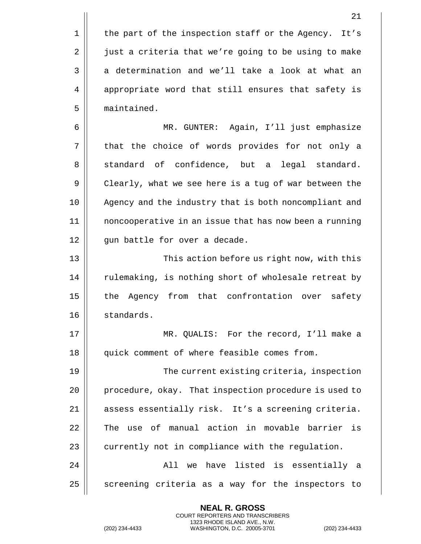$1 \parallel$  the part of the inspection staff or the Agency. It's 2 | just a criteria that we're going to be using to make  $3 \parallel$  a determination and we'll take a look at what an 4 | appropriate word that still ensures that safety is 5 | maintained. 6 MR. GUNTER: Again, I'll just emphasize 7 || that the choice of words provides for not only a 8 Som Standard of confidence, but a legal standard. 9 Clearly, what we see here is a tug of war between the 10 || Agency and the industry that is both noncompliant and 11 noncooperative in an issue that has now been a running 12 || qun battle for over a decade. 13 || This action before us right now, with this

14 || rulemaking, is nothing short of wholesale retreat by 15 || the Agency from that confrontation over safety 16 standards.

17 MR. QUALIS: For the record, I'll make a 18 || quick comment of where feasible comes from.

19 The current existing criteria, inspection 20 | procedure, okay. That inspection procedure is used to 21 || assess essentially risk. It's a screening criteria. 22 || The use of manual action in movable barrier is  $23$  | currently not in compliance with the regulation. 24 All we have listed is essentially a

 $25$  screening criteria as a way for the inspectors to

**NEAL R. GROSS** COURT REPORTERS AND TRANSCRIBERS 1323 RHODE ISLAND AVE., N.W.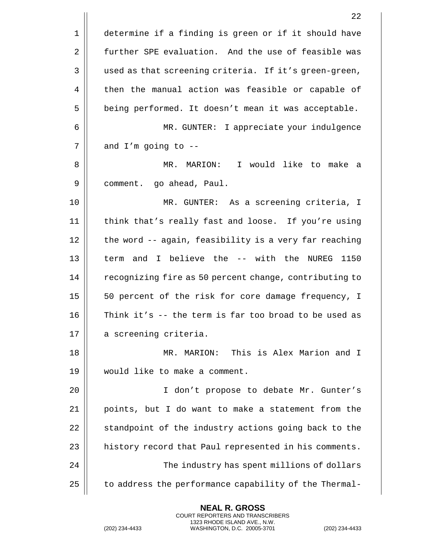|             | 22                                                     |
|-------------|--------------------------------------------------------|
| $\mathbf 1$ | determine if a finding is green or if it should have   |
| 2           | further SPE evaluation. And the use of feasible was    |
| 3           | used as that screening criteria. If it's green-green,  |
| 4           | then the manual action was feasible or capable of      |
| 5           | being performed. It doesn't mean it was acceptable.    |
| 6           | MR. GUNTER: I appreciate your indulgence               |
| 7           | and $I'm$ going to $-$ -                               |
| 8           | MR. MARION: I would like to make<br>a                  |
| 9           | comment. go ahead, Paul.                               |
| 10          | MR. GUNTER: As a screening criteria, I                 |
| 11          | think that's really fast and loose. If you're using    |
| 12          | the word -- again, feasibility is a very far reaching  |
| 13          | term and I believe the -- with the NUREG<br>1150       |
| 14          | recognizing fire as 50 percent change, contributing to |
| 15          | 50 percent of the risk for core damage frequency, I    |
| 16          | Think it's $-$ the term is far too broad to be used as |
| 17          | a screening criteria.                                  |
| 18          | MARION: This is Alex Marion and I<br>MR.               |
| 19          | would like to make a comment.                          |
| 20          | I don't propose to debate Mr. Gunter's                 |
| 21          | points, but I do want to make a statement from the     |
| 22          | standpoint of the industry actions going back to the   |
| 23          | history record that Paul represented in his comments.  |
| 24          | The industry has spent millions of dollars             |
| 25          | to address the performance capability of the Thermal-  |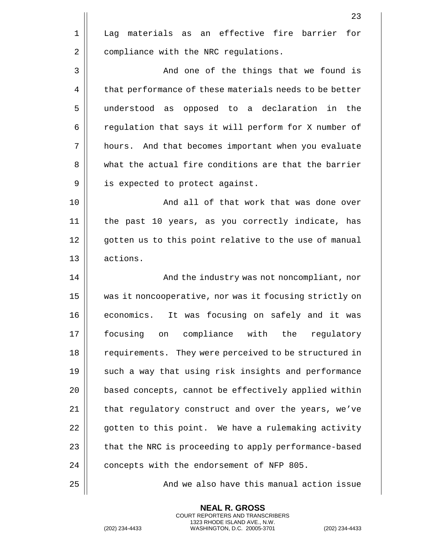|    | 23                                                     |
|----|--------------------------------------------------------|
| 1  | Lag materials as an effective fire barrier<br>for      |
| 2  | compliance with the NRC regulations.                   |
| 3  | And one of the things that we found is                 |
| 4  | that performance of these materials needs to be better |
| 5  | understood as<br>opposed to a declaration in the       |
| 6  | regulation that says it will perform for X number of   |
| 7  | hours. And that becomes important when you evaluate    |
| 8  | what the actual fire conditions are that the barrier   |
| 9  | is expected to protect against.                        |
| 10 | And all of that work that was done over                |
| 11 | the past 10 years, as you correctly indicate, has      |
| 12 | gotten us to this point relative to the use of manual  |
| 13 | actions.                                               |
| 14 | And the industry was not noncompliant, nor             |
| 15 | was it noncooperative, nor was it focusing strictly on |
| 16 | economics. It was focusing on safely and it was        |
| 17 | focusing on compliance with the<br>regulatory          |
| 18 | requirements. They were perceived to be structured in  |
| 19 | such a way that using risk insights and performance    |
| 20 | based concepts, cannot be effectively applied within   |
| 21 | that regulatory construct and over the years, we've    |
| 22 | gotten to this point. We have a rulemaking activity    |
| 23 | that the NRC is proceeding to apply performance-based  |
| 24 | concepts with the endorsement of NFP 805.              |
| 25 | And we also have this manual action issue              |

**NEAL R. GROSS**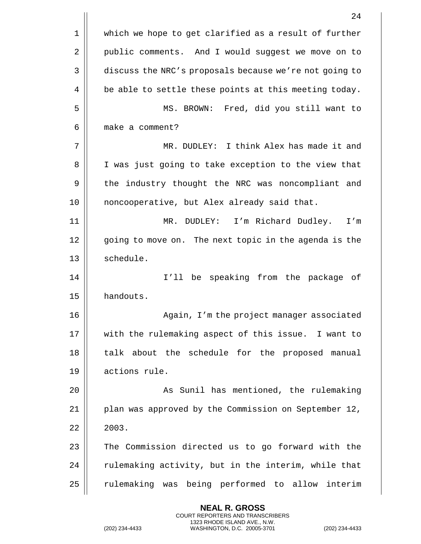|      | 24                                                     |
|------|--------------------------------------------------------|
| 1    | which we hope to get clarified as a result of further  |
| 2    | public comments. And I would suggest we move on to     |
| 3    | discuss the NRC's proposals because we're not going to |
| 4    | be able to settle these points at this meeting today.  |
| 5    | MS. BROWN: Fred, did you still want to                 |
| 6    | make a comment?                                        |
| 7    | MR. DUDLEY: I think Alex has made it and               |
| 8    | I was just going to take exception to the view that    |
| 9    | the industry thought the NRC was noncompliant and      |
| 10   | noncooperative, but Alex already said that.            |
| 11   | I'm Richard Dudley.<br>DUDLEY:<br>MR.<br>I'm           |
| 12   | going to move on. The next topic in the agenda is the  |
| 13   | schedule.                                              |
| 14   | I'll be speaking from the package of                   |
| 15   | handouts.                                              |
| 16   | Again, I'm the project manager associated              |
| $17$ | with the rulemaking aspect of this issue. I want to    |
| 18   | talk about the schedule for the proposed manual        |
| 19   | actions rule.                                          |
| 20   | As Sunil has mentioned, the rulemaking                 |
| 21   | plan was approved by the Commission on September 12,   |
| 22   | 2003.                                                  |
| 23   | The Commission directed us to go forward with the      |
| 24   | rulemaking activity, but in the interim, while that    |
| 25   | rulemaking was being performed to allow interim        |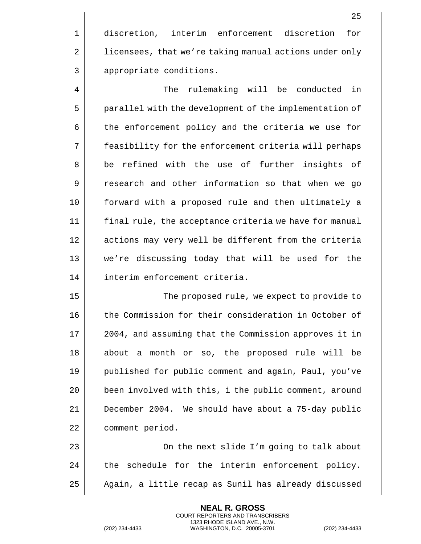1 discretion, interim enforcement discretion for 2 | licensees, that we're taking manual actions under only 3 || appropriate conditions.

4 The rulemaking will be conducted in 5 | parallel with the development of the implementation of 6 | the enforcement policy and the criteria we use for 7 feasibility for the enforcement criteria will perhaps 8 || be refined with the use of further insights of 9 || research and other information so that when we go 10 forward with a proposed rule and then ultimately a 11 final rule, the acceptance criteria we have for manual 12 || actions may very well be different from the criteria 13 we're discussing today that will be used for the 14 interim enforcement criteria.

15 || The proposed rule, we expect to provide to 16 the Commission for their consideration in October of 17 || 2004, and assuming that the Commission approves it in 18 about a month or so, the proposed rule will be 19 | published for public comment and again, Paul, you've 20 || been involved with this, i the public comment, around 21 December 2004. We should have about a 75-day public 22 | comment period.

23 || On the next slide I'm going to talk about  $24$   $\parallel$  the schedule for the interim enforcement policy. 25 | Again, a little recap as Sunil has already discussed

> **NEAL R. GROSS** COURT REPORTERS AND TRANSCRIBERS 1323 RHODE ISLAND AVE., N.W.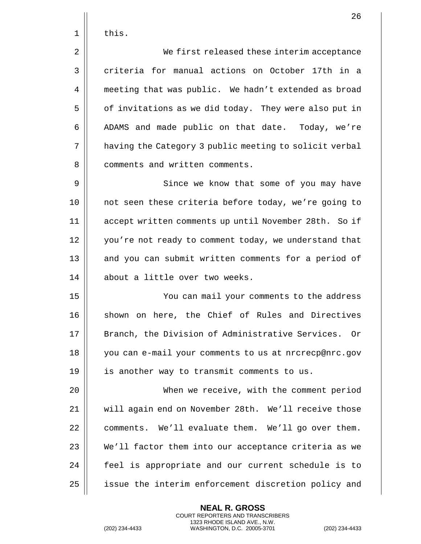| thıs |
|------|
|      |

2 | We first released these interim acceptance 3 | criteria for manual actions on October 17th in a 4 | meeting that was public. We hadn't extended as broad 5 | of invitations as we did today. They were also put in 6 | ADAMS and made public on that date. Today, we're 7 | having the Category 3 public meeting to solicit verbal 8 || comments and written comments.

9 || Since we know that some of you may have 10 not seen these criteria before today, we're going to 11 accept written comments up until November 28th. So if 12 || you're not ready to comment today, we understand that 13 || and you can submit written comments for a period of 14 || about a little over two weeks.

15 You can mail your comments to the address 16 || shown on here, the Chief of Rules and Directives 17 || Branch, the Division of Administrative Services. Or 18 you can e-mail your comments to us at nrcrecp@nrc.gov 19 || is another way to transmit comments to us.

 When we receive, with the comment period will again end on November 28th. We'll receive those | comments. We'll evaluate them. We'll go over them. We'll factor them into our acceptance criteria as we 24 || feel is appropriate and our current schedule is to 25 || issue the interim enforcement discretion policy and

> **NEAL R. GROSS** COURT REPORTERS AND TRANSCRIBERS 1323 RHODE ISLAND AVE., N.W.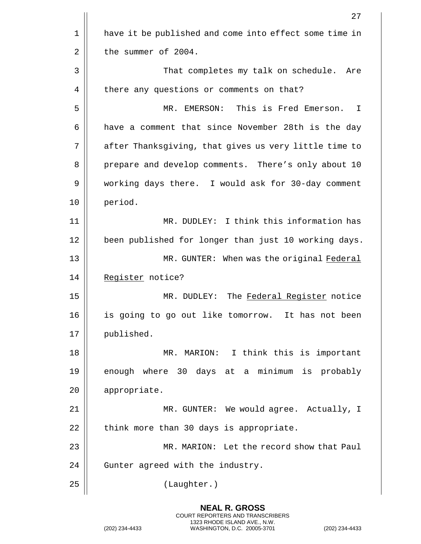|    | 27                                                     |
|----|--------------------------------------------------------|
| 1  | have it be published and come into effect some time in |
| 2  | the summer of 2004.                                    |
| 3  | That completes my talk on schedule. Are                |
| 4  | there any questions or comments on that?               |
| 5  | This is Fred Emerson.<br>MR. EMERSON:<br>I             |
| 6  | have a comment that since November 28th is the day     |
| 7  | after Thanksgiving, that gives us very little time to  |
| 8  | prepare and develop comments. There's only about 10    |
| 9  | working days there. I would ask for 30-day comment     |
| 10 | period.                                                |
| 11 | MR. DUDLEY: I think this information has               |
| 12 | been published for longer than just 10 working days.   |
| 13 | MR. GUNTER: When was the original Federal              |
| 14 | Register notice?                                       |
| 15 | The Federal Register notice<br>MR. DUDLEY:             |
| 16 | is going to go out like tomorrow. It has not been      |
| 17 | published.                                             |
| 18 | MR. MARION: I think this is important                  |
| 19 | enough where 30 days at a minimum is probably          |
| 20 | appropriate.                                           |
| 21 | MR. GUNTER: We would agree. Actually, I                |
| 22 | think more than 30 days is appropriate.                |
| 23 | MR. MARION: Let the record show that Paul              |
| 24 | Gunter agreed with the industry.                       |
| 25 | (Laughter.)                                            |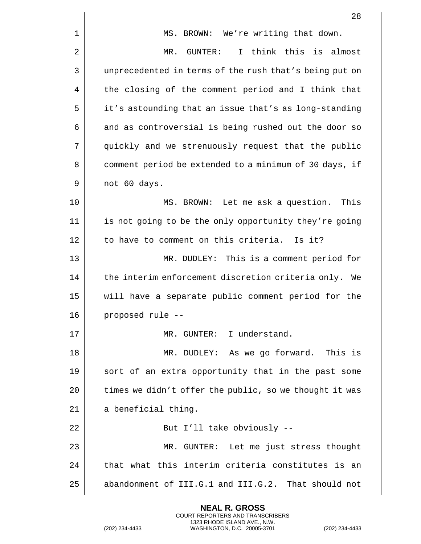|    | 28                                                     |
|----|--------------------------------------------------------|
| 1  | MS. BROWN: We're writing that down.                    |
| 2  | GUNTER: I think this is almost<br>MR.                  |
| 3  | unprecedented in terms of the rush that's being put on |
| 4  | the closing of the comment period and I think that     |
| 5  | it's astounding that an issue that's as long-standing  |
| 6  | and as controversial is being rushed out the door so   |
| 7  | quickly and we strenuously request that the public     |
| 8  | comment period be extended to a minimum of 30 days, if |
| 9  | not 60 days.                                           |
| 10 | MS. BROWN: Let me ask a question. This                 |
| 11 | is not going to be the only opportunity they're going  |
| 12 | to have to comment on this criteria. Is it?            |
| 13 | MR. DUDLEY: This is a comment period for               |
| 14 | the interim enforcement discretion criteria only. We   |
| 15 | will have a separate public comment period for the     |
| 16 | proposed rule --                                       |
| 17 | MR. GUNTER: I understand.                              |
| 18 | MR. DUDLEY: As we go forward. This is                  |
| 19 | sort of an extra opportunity that in the past some     |
| 20 | times we didn't offer the public, so we thought it was |
| 21 | a beneficial thing.                                    |
| 22 | But I'll take obviously --                             |
| 23 | MR. GUNTER: Let me just stress thought                 |
| 24 | that what this interim criteria constitutes is an      |
| 25 | abandonment of III.G.1 and III.G.2. That should not    |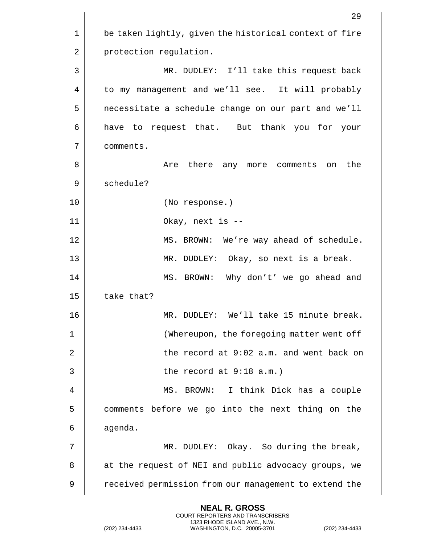|             | 29                                                     |
|-------------|--------------------------------------------------------|
| $\mathbf 1$ | be taken lightly, given the historical context of fire |
| 2           | protection regulation.                                 |
| 3           | MR. DUDLEY: I'll take this request back                |
| 4           | to my management and we'll see. It will probably       |
| 5           | necessitate a schedule change on our part and we'll    |
| 6           | have to request that. But thank you for your           |
| 7           | comments.                                              |
| 8           | Are there any more comments<br>the<br>on               |
| 9           | schedule?                                              |
| 10          | (No response.)                                         |
| 11          | Okay, next is --                                       |
| 12          | MS. BROWN: We're way ahead of schedule.                |
| 13          | MR. DUDLEY: Okay, so next is a break.                  |
| 14          | MS. BROWN: Why don't' we go ahead and                  |
| 15          | take that?                                             |
| 16          | We'll take 15 minute break.<br>MR.<br>DUDLEY:          |
| 1           | (Whereupon, the foregoing matter went off              |
| 2           | the record at 9:02 a.m. and went back on               |
| 3           | the record at $9:18$ a.m.)                             |
| 4           | I think Dick has a couple<br>MS. BROWN:                |
| 5           | comments before we go into the next thing on the       |
| 6           | agenda.                                                |
| 7           | MR. DUDLEY: Okay. So during the break,                 |
| 8           | at the request of NEI and public advocacy groups, we   |
| 9           | received permission from our management to extend the  |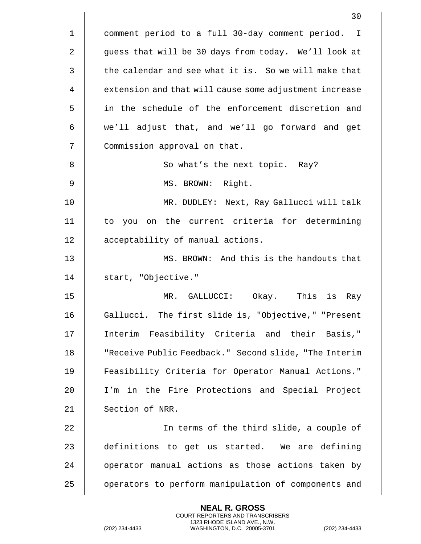|             | 30                                                     |
|-------------|--------------------------------------------------------|
| $\mathbf 1$ | comment period to a full 30-day comment period. I      |
| 2           | guess that will be 30 days from today. We'll look at   |
| 3           | the calendar and see what it is. So we will make that  |
| 4           | extension and that will cause some adjustment increase |
| 5           | in the schedule of the enforcement discretion and      |
| 6           | we'll adjust that, and we'll go forward and get        |
| 7           | Commission approval on that.                           |
| 8           | So what's the next topic. Ray?                         |
| 9           | MS. BROWN: Right.                                      |
| 10          | MR. DUDLEY: Next, Ray Gallucci will talk               |
| 11          | to you on the current criteria for determining         |
| 12          | acceptability of manual actions.                       |
| 13          | MS. BROWN: And this is the handouts that               |
| 14          | start, "Objective."                                    |
| 15          | MR. GALLUCCI: Okay. This is<br>Ray                     |
| 16          | Gallucci. The first slide is, "Objective," "Present    |
| 17          | Interim Feasibility Criteria and their Basis,"         |
| 18          | "Receive Public Feedback." Second slide, "The Interim  |
| 19          | Feasibility Criteria for Operator Manual Actions."     |
| 20          | I'm in the Fire Protections and Special Project        |
| 21          | Section of NRR.                                        |
| 22          | In terms of the third slide, a couple of               |
| 23          | definitions to get us started. We are defining         |
| 24          | operator manual actions as those actions taken by      |
| 25          | operators to perform manipulation of components and    |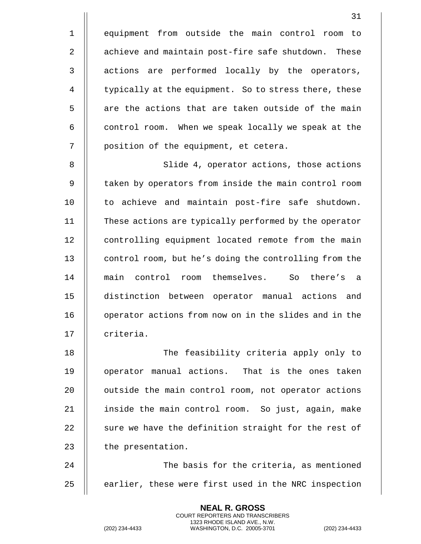1 equipment from outside the main control room to 2 || achieve and maintain post-fire safe shutdown. These 3 || actions are performed locally by the operators, 4 | typically at the equipment. So to stress there, these  $5$   $\parallel$  are the actions that are taken outside of the main  $6$  || control room. When we speak locally we speak at the 7 || position of the equipment, et cetera.

8 || Slide 4, operator actions, those actions 9 || taken by operators from inside the main control room 10 || to achieve and maintain post-fire safe shutdown. 11 || These actions are typically performed by the operator 12 | controlling equipment located remote from the main 13 | control room, but he's doing the controlling from the 14 main control room themselves. So there's a 15 distinction between operator manual actions and 16 | operator actions from now on in the slides and in the 17 Il criteria.

18 The feasibility criteria apply only to 19 || operator manual actions. That is the ones taken 20 | outside the main control room, not operator actions 21 || inside the main control room. So just, again, make 22  $\parallel$  sure we have the definition straight for the rest of  $23$  || the presentation.

24 The basis for the criteria, as mentioned 25  $\parallel$  earlier, these were first used in the NRC inspection

> **NEAL R. GROSS** COURT REPORTERS AND TRANSCRIBERS 1323 RHODE ISLAND AVE., N.W.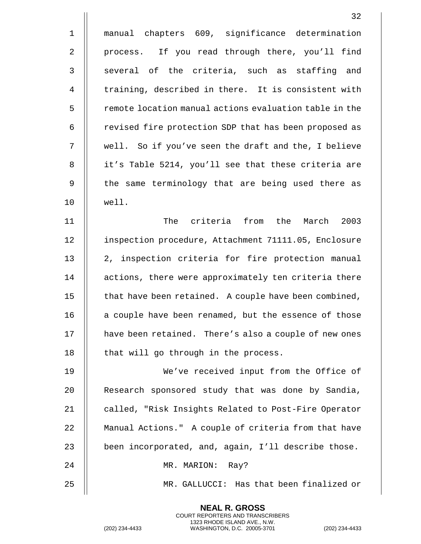|              | 32                                                     |
|--------------|--------------------------------------------------------|
| $\mathbf 1$  | manual chapters 609, significance determination        |
| 2            | process. If you read through there, you'll find        |
| $\mathbf{3}$ | several of the criteria, such as staffing and          |
| 4            | training, described in there. It is consistent with    |
| 5            | remote location manual actions evaluation table in the |
| 6            | revised fire protection SDP that has been proposed as  |
| 7            | well. So if you've seen the draft and the, I believe   |
| 8            | it's Table 5214, you'll see that these criteria are    |
| 9            | the same terminology that are being used there as      |
| 10           | well.                                                  |
| 11           | The<br>criteria from the March 2003                    |
| 12           | inspection procedure, Attachment 71111.05, Enclosure   |
| 13           | 2, inspection criteria for fire protection manual      |
| 14           | actions, there were approximately ten criteria there   |
| 15           | that have been retained. A couple have been combined,  |
| 16           | a couple have been renamed, but the essence of those   |
| 17           | have been retained. There's also a couple of new ones  |
| 18           | that will go through in the process.                   |
| 19           | We've received input from the Office of                |
| 20           | Research sponsored study that was done by Sandia,      |
| 21           | called, "Risk Insights Related to Post-Fire Operator   |
| 22           | Manual Actions." A couple of criteria from that have   |
| 23           | been incorporated, and, again, I'll describe those.    |
| 24           | MR. MARION: Ray?                                       |
| 25           | MR. GALLUCCI: Has that been finalized or               |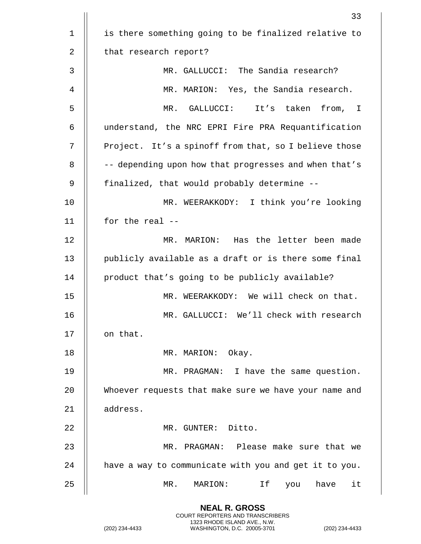|             | 33                                                    |
|-------------|-------------------------------------------------------|
| $\mathbf 1$ | is there something going to be finalized relative to  |
| 2           | that research report?                                 |
| 3           | MR. GALLUCCI: The Sandia research?                    |
| 4           | MR. MARION: Yes, the Sandia research.                 |
| 5           | MR. GALLUCCI: It's taken<br>from, I                   |
| 6           | understand, the NRC EPRI Fire PRA Requantification    |
| 7           | Project. It's a spinoff from that, so I believe those |
| 8           | -- depending upon how that progresses and when that's |
| 9           | finalized, that would probably determine --           |
| 10          | MR. WEERAKKODY: I think you're looking                |
| 11          | for the real --                                       |
| 12          | MR. MARION: Has the letter been made                  |
| 13          | publicly available as a draft or is there some final  |
| 14          | product that's going to be publicly available?        |
| 15          | MR. WEERAKKODY: We will check on that.                |
| 16          | MR. GALLUCCI: We'll check with research               |
| 17          | on that.                                              |
| 18          | MR. MARION: Okay.                                     |
| 19          | MR. PRAGMAN: I have the same question.                |
| 20          | Whoever requests that make sure we have your name and |
| 21          | address.                                              |
| 22          | MR. GUNTER: Ditto.                                    |
| 23          | MR. PRAGMAN: Please make sure that we                 |
| 24          | have a way to communicate with you and get it to you. |
| 25          | MR.<br>MARION:<br>Ιf<br>have<br>it<br>you             |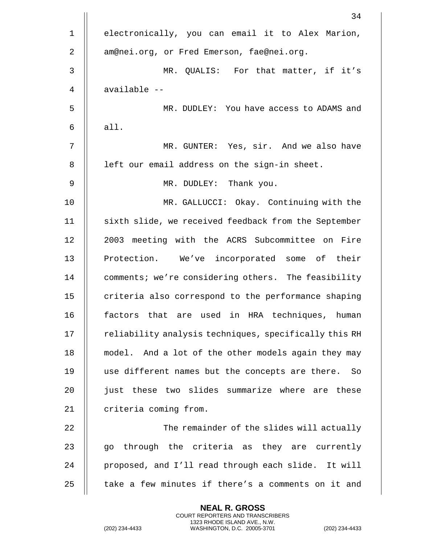|                | 34                                                    |
|----------------|-------------------------------------------------------|
| $\mathbf 1$    | electronically, you can email it to Alex Marion,      |
| $\overline{2}$ | am@nei.org, or Fred Emerson, fae@nei.org.             |
| 3              | MR. QUALIS: For that matter, if it's                  |
| 4              | available --                                          |
| 5              | MR. DUDLEY: You have access to ADAMS and              |
| 6              | all.                                                  |
| 7              | MR. GUNTER: Yes, sir. And we also have                |
| 8              | left our email address on the sign-in sheet.          |
| 9              | MR. DUDLEY: Thank you.                                |
| 10             | MR. GALLUCCI: Okay. Continuing with the               |
| 11             | sixth slide, we received feedback from the September  |
| 12             | 2003 meeting with the ACRS Subcommittee on Fire       |
| 13             | Protection. We've incorporated some of their          |
| 14             | comments; we're considering others. The feasibility   |
| 15             | criteria also correspond to the performance shaping   |
| 16             | that are used in HRA techniques, human<br>factors     |
| 17             | reliability analysis techniques, specifically this RH |
| 18             | model. And a lot of the other models again they may   |
| 19             | use different names but the concepts are there. So    |
| 20             | just these two slides summarize where are these       |
| 21             | criteria coming from.                                 |
| 22             | The remainder of the slides will actually             |
| 23             | through the criteria as they are currently<br>go      |
| 24             | proposed, and I'll read through each slide. It will   |
| 25             | take a few minutes if there's a comments on it and    |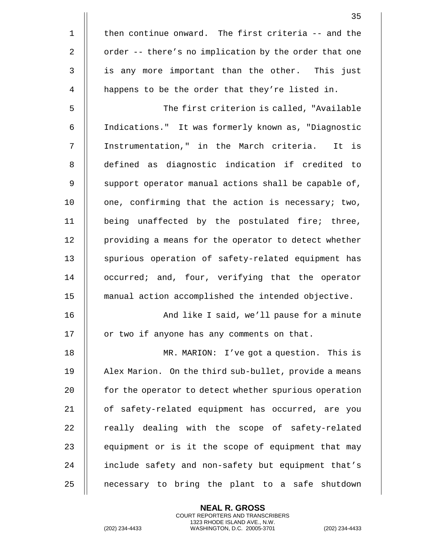|                | 35                                                    |
|----------------|-------------------------------------------------------|
| $\mathbf 1$    | then continue onward. The first criteria -- and the   |
| 2              | order -- there's no implication by the order that one |
| 3              | is any more important than the other. This just       |
| $\overline{4}$ | happens to be the order that they're listed in.       |
| 5              | The first criterion is called, "Available             |
| 6              | Indications." It was formerly known as, "Diagnostic   |
| 7              | Instrumentation," in the March criteria. It is        |
| 8              | defined as diagnostic indication if credited to       |
| 9              | support operator manual actions shall be capable of,  |
| 10             | one, confirming that the action is necessary; two,    |
| 11             | being unaffected by the postulated fire; three,       |
| 12             | providing a means for the operator to detect whether  |
| 13             | spurious operation of safety-related equipment has    |
| 14             | occurred; and, four, verifying that the operator      |
| 15             | manual action accomplished the intended objective.    |
| 16             | And like I said, we'll pause for a minute             |
| 17             | or two if anyone has any comments on that.            |
| 18             | MR. MARION: I've got a question. This is              |
| 19             | Alex Marion. On the third sub-bullet, provide a means |
| 20             | for the operator to detect whether spurious operation |
| 21             | of safety-related equipment has occurred, are you     |
| 22             | really dealing with the scope of safety-related       |
| 23             | equipment or is it the scope of equipment that may    |
| 24             | include safety and non-safety but equipment that's    |
| 25             | necessary to bring the plant to a safe shutdown       |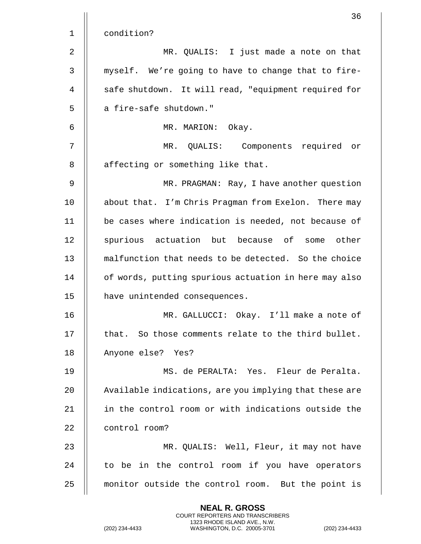|              | 36                                                     |
|--------------|--------------------------------------------------------|
| $\mathbf 1$  | condition?                                             |
| 2            | MR. QUALIS: I just made a note on that                 |
| $\mathsf{3}$ | myself. We're going to have to change that to fire-    |
| 4            | safe shutdown. It will read, "equipment required for   |
| 5            | a fire-safe shutdown."                                 |
| 6            | MR. MARION:<br>Okay.                                   |
| 7            | MR. QUALIS: Components required or                     |
| 8            | affecting or something like that.                      |
| 9            | MR. PRAGMAN: Ray, I have another question              |
| 10           | about that. I'm Chris Pragman from Exelon. There may   |
| 11           | be cases where indication is needed, not because of    |
| 12           | spurious actuation but because of some other           |
| 13           | malfunction that needs to be detected. So the choice   |
| 14           | of words, putting spurious actuation in here may also  |
| 15           | have unintended consequences.                          |
| 16           | MR. GALLUCCI: Okay. I'll make a note of                |
| 17           | that. So those comments relate to the third bullet.    |
| 18           | Anyone else? Yes?                                      |
| 19           | MS. de PERALTA: Yes. Fleur de Peralta.                 |
| 20           | Available indications, are you implying that these are |
| 21           | in the control room or with indications outside the    |
| 22           | control room?                                          |
| 23           | MR. QUALIS: Well, Fleur, it may not have               |
| 24           | to be in the control room if you have operators        |
| 25           | monitor outside the control room. But the point is     |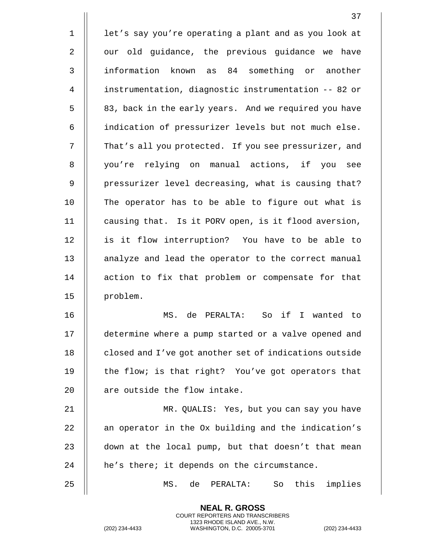1 | let's say you're operating a plant and as you look at  $2 \parallel$  our old guidance, the previous guidance we have 3 information known as 84 something or another 4 instrumentation, diagnostic instrumentation -- 82 or 5 || 83, back in the early years. And we required you have 6 indication of pressurizer levels but not much else. 7 | That's all you protected. If you see pressurizer, and 8 || you're relying on manual actions, if you see 9 || pressurizer level decreasing, what is causing that? 10 || The operator has to be able to figure out what is 11 || causing that. Is it PORV open, is it flood aversion, 12 || is it flow interruption? You have to be able to 13 || analyze and lead the operator to the correct manual 14 || action to fix that problem or compensate for that 15 | problem. 16 MS. de PERALTA: So if I wanted to 17 determine where a pump started or a valve opened and 18 **closed and I've got another set of indications outside** 19  $\parallel$  the flow; is that right? You've got operators that 20 || are outside the flow intake. 21 MR. QUALIS: Yes, but you can say you have 22  $\parallel$  an operator in the Ox building and the indication's 23  $\parallel$  down at the local pump, but that doesn't that mean  $24$  | he's there; it depends on the circumstance.

25 MS. de PERALTA: So this implies

**NEAL R. GROSS** COURT REPORTERS AND TRANSCRIBERS 1323 RHODE ISLAND AVE., N.W.

(202) 234-4433 WASHINGTON, D.C. 20005-3701 (202) 234-4433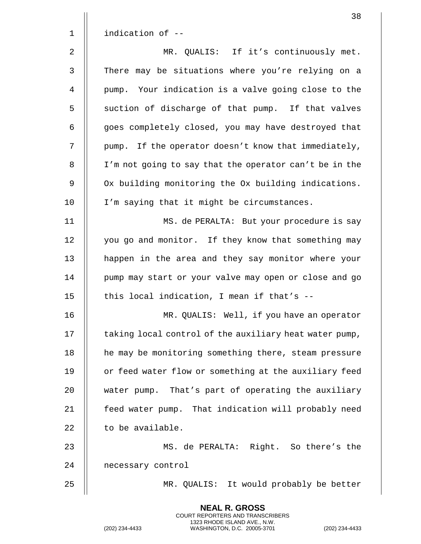|                | 38                                                     |
|----------------|--------------------------------------------------------|
| $\mathbf{1}$   | indication of --                                       |
| $\overline{2}$ | MR. QUALIS: If it's continuously met.                  |
| $\mathbf{3}$   | There may be situations where you're relying on a      |
| 4              | pump. Your indication is a valve going close to the    |
| 5              | suction of discharge of that pump. If that valves      |
| 6              | goes completely closed, you may have destroyed that    |
| 7              | pump. If the operator doesn't know that immediately,   |
| $\, 8$         | I'm not going to say that the operator can't be in the |
| 9              | Ox building monitoring the Ox building indications.    |
| 10             | I'm saying that it might be circumstances.             |
| 11             | MS. de PERALTA: But your procedure is say              |
| 12             | you go and monitor. If they know that something may    |
| 13             | happen in the area and they say monitor where your     |
| 14             | pump may start or your valve may open or close and go  |
| 15             | this local indication, I mean if that's --             |
| 16             | MR. QUALIS: Well, if you have an operator              |
| 17             | taking local control of the auxiliary heat water pump, |
| 18             | he may be monitoring something there, steam pressure   |
| 19             | or feed water flow or something at the auxiliary feed  |
| 20             | water pump. That's part of operating the auxiliary     |
| 21             | feed water pump. That indication will probably need    |
| 22             | to be available.                                       |
| 23             | MS. de PERALTA: Right. So there's the                  |
| 24             | necessary control                                      |
| 25             | MR. QUALIS: It would probably be better                |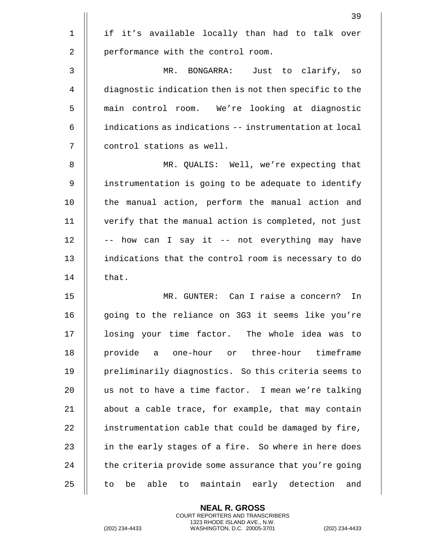|             | 39                                                        |
|-------------|-----------------------------------------------------------|
| $\mathbf 1$ | if it's available locally than had to talk over           |
| 2           | performance with the control room.                        |
| 3           | MR. BONGARRA: Just to clarify, so                         |
| 4           | diagnostic indication then is not then specific to the    |
| 5           | main control room. We're looking at diagnostic            |
| 6           | indications as indications -- instrumentation at local    |
| 7           | control stations as well.                                 |
| 8           | MR. QUALIS: Well, we're expecting that                    |
| 9           | instrumentation is going to be adequate to identify       |
| 10          | the manual action, perform the manual action and          |
| 11          | verify that the manual action is completed, not just      |
| 12          | -- how can I say it -- not everything may have            |
| 13          | indications that the control room is necessary to do      |
| 14          | that.                                                     |
| 15          | MR. GUNTER: Can I raise a concern?<br>In                  |
| 16          | going to the reliance on 3G3 it seems like you're         |
| 17          | losing your time factor. The whole idea was to            |
| 18          | provide a one-hour or three-hour timeframe                |
| 19          | preliminarily diagnostics. So this criteria seems to      |
| 20          | us not to have a time factor. I mean we're talking        |
| 21          | about a cable trace, for example, that may contain        |
| 22          | instrumentation cable that could be damaged by fire,      |
| 23          | in the early stages of a fire. So where in here does      |
| 24          | the criteria provide some assurance that you're going     |
| 25          | able<br>maintain early detection<br>be<br>to<br>and<br>to |

**NEAL R. GROSS** COURT REPORTERS AND TRANSCRIBERS

1323 RHODE ISLAND AVE., N.W. (202) 234-4433 WASHINGTON, D.C. 20005-3701 (202) 234-4433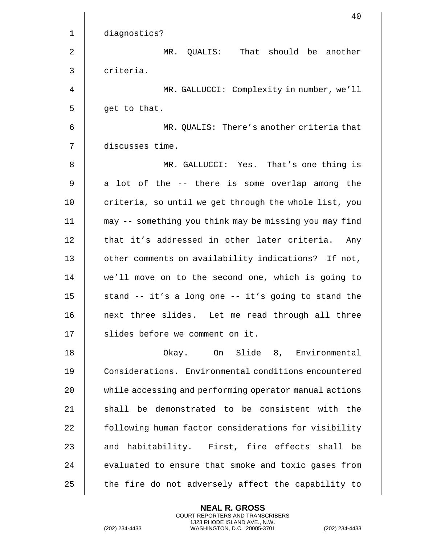|    | 40                                                     |
|----|--------------------------------------------------------|
| 1  | diagnostics?                                           |
| 2  | QUALIS: That should be another<br>MR.                  |
| 3  | criteria.                                              |
| 4  | MR. GALLUCCI: Complexity in number, we'll              |
| 5  | get to that.                                           |
| 6  | MR. QUALIS: There's another criteria that              |
| 7  | discusses time.                                        |
| 8  | MR. GALLUCCI: Yes. That's one thing is                 |
| 9  | a lot of the -- there is some overlap among the        |
| 10 | criteria, so until we get through the whole list, you  |
| 11 | may -- something you think may be missing you may find |
| 12 | that it's addressed in other later criteria.<br>Any    |
| 13 | other comments on availability indications? If not,    |
| 14 | we'll move on to the second one, which is going to     |
| 15 | stand -- it's a long one -- it's going to stand the    |
| 16 | next three slides. Let me read through all three       |
| 17 | slides before we comment on it.                        |
| 18 | Okay. On Slide 8, Environmental                        |
| 19 | Considerations. Environmental conditions encountered   |
| 20 | while accessing and performing operator manual actions |
| 21 | shall be demonstrated to be consistent with the        |
| 22 | following human factor considerations for visibility   |
| 23 | and habitability. First, fire effects shall be         |
| 24 | evaluated to ensure that smoke and toxic gases from    |
| 25 | the fire do not adversely affect the capability to     |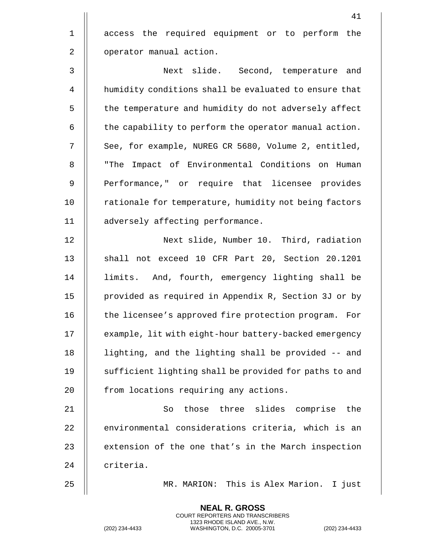41 1 || access the required equipment or to perform the 2 | operator manual action. 3 Next slide. Second, temperature and 4 humidity conditions shall be evaluated to ensure that 5 | the temperature and humidity do not adversely affect  $6$   $\parallel$  the capability to perform the operator manual action. 7 | See, for example, NUREG CR 5680, Volume 2, entitled, 8 || "The Impact of Environmental Conditions on Human 9 || Performance," or require that licensee provides 10 || rationale for temperature, humidity not being factors 11 adversely affecting performance. 12 Next slide, Number 10. Third, radiation 13 || shall not exceed 10 CFR Part 20, Section 20.1201 14 limits. And, fourth, emergency lighting shall be 15 provided as required in Appendix R, Section 3J or by 16 || the licensee's approved fire protection program. For 17 | example, lit with eight-hour battery-backed emergency 18 lighting, and the lighting shall be provided -- and 19 || sufficient lighting shall be provided for paths to and 20 | from locations requiring any actions. 21 So those three slides comprise the 22 || environmental considerations criteria, which is an 23  $\parallel$  extension of the one that's in the March inspection 24 | criteria. 25 MR. MARION: This is Alex Marion. I just

> **NEAL R. GROSS** COURT REPORTERS AND TRANSCRIBERS 1323 RHODE ISLAND AVE., N.W.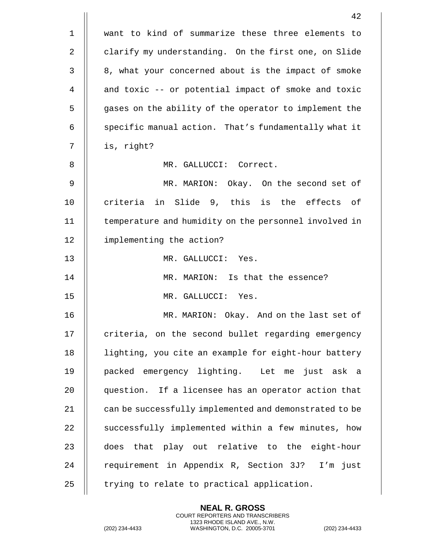|             | 42                                                     |
|-------------|--------------------------------------------------------|
| $\mathbf 1$ | want to kind of summarize these three elements to      |
| 2           | clarify my understanding. On the first one, on Slide   |
| 3           | 8, what your concerned about is the impact of smoke    |
| 4           | and toxic -- or potential impact of smoke and toxic    |
| 5           | gases on the ability of the operator to implement the  |
| 6           | specific manual action. That's fundamentally what it   |
| 7           | is, right?                                             |
| 8           | MR. GALLUCCI: Correct.                                 |
| 9           | MR. MARION: Okay. On the second set of                 |
| 10          | criteria in Slide 9, this is the effects of            |
| 11          | temperature and humidity on the personnel involved in  |
| 12          | implementing the action?                               |
| 13          | MR. GALLUCCI: Yes.                                     |
| 14          | MR. MARION: Is that the essence?                       |
| 15          | MR. GALLUCCI: Yes.                                     |
| 16          | MR. MARION: Okay. And on the last set of               |
| 17          | criteria, on the second bullet regarding emergency     |
| 18          | lighting, you cite an example for eight-hour battery   |
| 19          | packed emergency lighting. Let me just ask a           |
| 20          | question. If a licensee has an operator action that    |
| 21          | can be successfully implemented and demonstrated to be |
| 22          | successfully implemented within a few minutes, how     |
| 23          | does that play out relative to the eight-hour          |
| 24          | requirement in Appendix R, Section 3J?<br>I'm just     |
| 25          | trying to relate to practical application.             |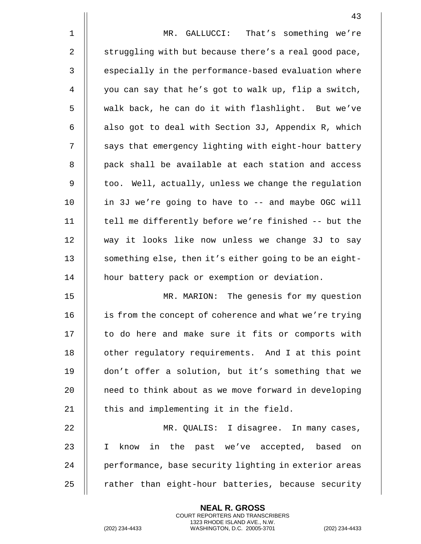|             | 43                                                     |
|-------------|--------------------------------------------------------|
| $\mathbf 1$ | MR. GALLUCCI: That's something we're                   |
| 2           | struggling with but because there's a real good pace,  |
| 3           | especially in the performance-based evaluation where   |
| 4           | you can say that he's got to walk up, flip a switch,   |
| 5           | walk back, he can do it with flashlight. But we've     |
| 6           | also got to deal with Section 3J, Appendix R, which    |
| 7           | says that emergency lighting with eight-hour battery   |
| 8           | pack shall be available at each station and access     |
| 9           | too. Well, actually, unless we change the regulation   |
| 10          | in 3J we're going to have to -- and maybe OGC will     |
| 11          | tell me differently before we're finished -- but the   |
| 12          | way it looks like now unless we change 3J to say       |
| 13          | something else, then it's either going to be an eight- |
| 14          | hour battery pack or exemption or deviation.           |
| 15          | MR. MARION: The genesis for my question                |
| 16          | is from the concept of coherence and what we're trying |
| 17          | to do here and make sure it fits or comports with      |
| 18          | other regulatory requirements. And I at this point     |
| 19          | don't offer a solution, but it's something that we     |
| 20          | need to think about as we move forward in developing   |
| 21          | this and implementing it in the field.                 |
| 22          | MR. QUALIS: I disagree. In many cases,                 |
| 23          | know in the past we've accepted, based on<br>I.        |
| 24          | performance, base security lighting in exterior areas  |
| 25          | rather than eight-hour batteries, because security     |

(202) 234-4433 WASHINGTON, D.C. 20005-3701 (202) 234-4433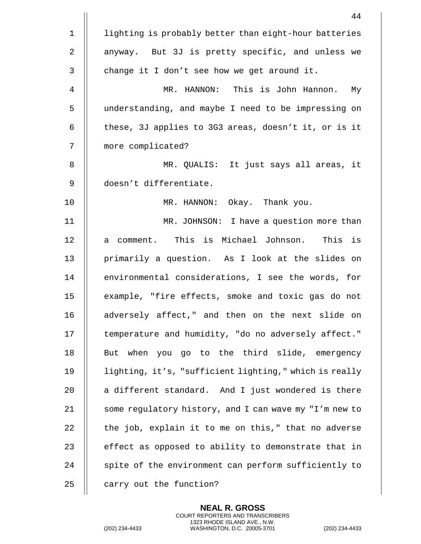|                | 44                                                     |
|----------------|--------------------------------------------------------|
| $\mathbf 1$    | lighting is probably better than eight-hour batteries  |
| 2              | anyway. But 3J is pretty specific, and unless we       |
| 3              | change it I don't see how we get around it.            |
| $\overline{4}$ | MR. HANNON: This is John Hannon. My                    |
| 5              | understanding, and maybe I need to be impressing on    |
| 6              | these, 3J applies to 3G3 areas, doesn't it, or is it   |
| 7              | more complicated?                                      |
| 8              | MR. QUALIS: It just says all areas, it                 |
| 9              | doesn't differentiate.                                 |
| 10             | MR. HANNON: Okay. Thank you.                           |
| 11             | MR. JOHNSON: I have a question more than               |
| 12             | a comment. This is Michael Johnson. This is            |
| 13             | primarily a question. As I look at the slides on       |
| 14             | environmental considerations, I see the words, for     |
| 15             | example, "fire effects, smoke and toxic gas do not     |
| 16             | adversely affect," and then on the next slide on       |
| 17             | temperature and humidity, "do no adversely affect."    |
| 18             | But when you go to the third slide, emergency          |
| 19             | lighting, it's, "sufficient lighting," which is really |
| 20             | a different standard. And I just wondered is there     |
| 21             | some regulatory history, and I can wave my "I'm new to |
| 22             | the job, explain it to me on this," that no adverse    |
| 23             | effect as opposed to ability to demonstrate that in    |
| 24             | spite of the environment can perform sufficiently to   |
| 25             | carry out the function?                                |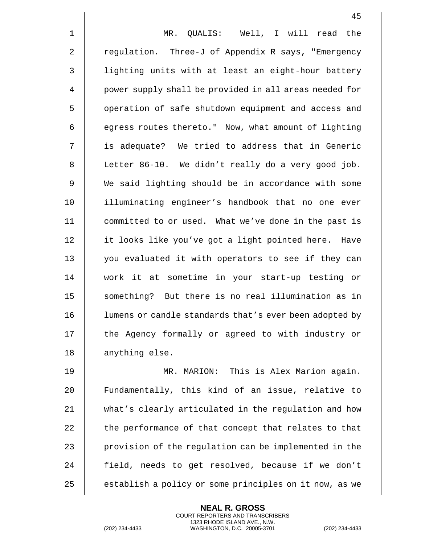1 MR. QUALIS: Well, I will read the 2 | regulation. Three-J of Appendix R says, "Emergency 3 || lighting units with at least an eight-hour battery 4 | power supply shall be provided in all areas needed for 5 | operation of safe shutdown equipment and access and  $6$   $\parallel$  egress routes thereto." Now, what amount of lighting 7 || is adequate? We tried to address that in Generic 8 || Letter 86-10. We didn't really do a very good job. 9 We said lighting should be in accordance with some 10 illuminating engineer's handbook that no one ever 11 committed to or used. What we've done in the past is 12 | it looks like you've got a light pointed here. Have 13 || you evaluated it with operators to see if they can 14 work it at sometime in your start-up testing or 15 || something? But there is no real illumination as in 16 | lumens or candle standards that's ever been adopted by 17 || the Agency formally or agreed to with industry or 18 || anything else. 19 MR. MARION: This is Alex Marion again.

20 || Fundamentally, this kind of an issue, relative to 21 what's clearly articulated in the regulation and how 22  $\parallel$  the performance of that concept that relates to that 23  $\parallel$  provision of the regulation can be implemented in the 24 || field, needs to get resolved, because if we don't 25 | establish a policy or some principles on it now, as we

> **NEAL R. GROSS** COURT REPORTERS AND TRANSCRIBERS 1323 RHODE ISLAND AVE., N.W.

(202) 234-4433 WASHINGTON, D.C. 20005-3701 (202) 234-4433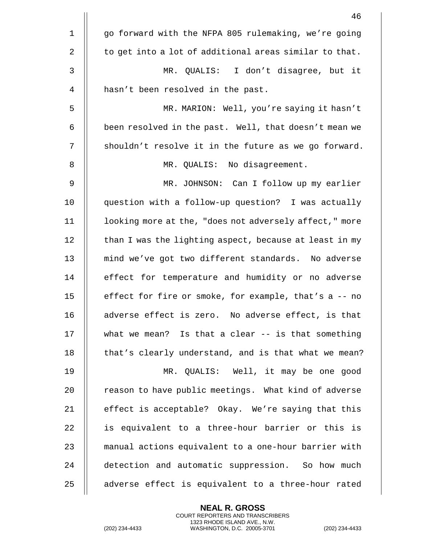|             | 46                                                     |
|-------------|--------------------------------------------------------|
| $\mathbf 1$ | go forward with the NFPA 805 rulemaking, we're going   |
| 2           | to get into a lot of additional areas similar to that. |
| 3           | MR. QUALIS: I don't disagree, but it                   |
| 4           | hasn't been resolved in the past.                      |
| 5           | MR. MARION: Well, you're saying it hasn't              |
| 6           | been resolved in the past. Well, that doesn't mean we  |
| 7           | shouldn't resolve it in the future as we go forward.   |
| 8           | MR. QUALIS: No disagreement.                           |
| 9           | MR. JOHNSON: Can I follow up my earlier                |
| 10          | question with a follow-up question? I was actually     |
| 11          | looking more at the, "does not adversely affect," more |
| 12          | than I was the lighting aspect, because at least in my |
| 13          | mind we've got two different standards. No adverse     |
| 14          | effect for temperature and humidity or no adverse      |
| 15          | effect for fire or smoke, for example, that's a -- no  |
| 16          | adverse effect is zero. No adverse effect, is that     |
| 17          | what we mean? Is that a clear $--$ is that something   |
| 18          | that's clearly understand, and is that what we mean?   |
| 19          | MR. QUALIS: Well, it may be one good                   |
| 20          | reason to have public meetings. What kind of adverse   |
| 21          | effect is acceptable? Okay. We're saying that this     |
| 22          | is equivalent to a three-hour barrier or this is       |
| 23          | manual actions equivalent to a one-hour barrier with   |
| 24          | detection and automatic suppression. So how much       |
| 25          | adverse effect is equivalent to a three-hour rated     |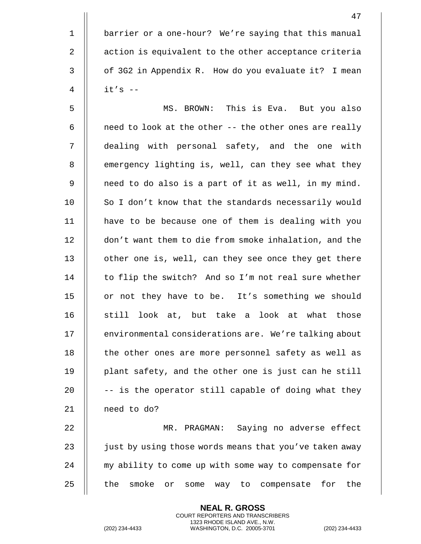1 | barrier or a one-hour? We're saying that this manual 2 | action is equivalent to the other acceptance criteria 3 | of 3G2 in Appendix R. How do you evaluate it? I mean 4 it's --

5 MS. BROWN: This is Eva. But you also  $6$  || need to look at the other -- the other ones are really 7 dealing with personal safety, and the one with 8 | emergency lighting is, well, can they see what they 9 || need to do also is a part of it as well, in my mind. 10 || So I don't know that the standards necessarily would 11 have to be because one of them is dealing with you 12 | don't want them to die from smoke inhalation, and the 13 || other one is, well, can they see once they get there 14 || to flip the switch? And so I'm not real sure whether 15 || or not they have to be. It's something we should 16  $\parallel$  still look at, but take a look at what those 17 | environmental considerations are. We're talking about 18 || the other ones are more personnel safety as well as 19 || plant safety, and the other one is just can he still 20  $\parallel$  -- is the operator still capable of doing what they 21 need to do?

22 MR. PRAGMAN: Saying no adverse effect 23  $\parallel$  just by using those words means that you've taken away 24 || my ability to come up with some way to compensate for 25 || the smoke or some way to compensate for the

> **NEAL R. GROSS** COURT REPORTERS AND TRANSCRIBERS 1323 RHODE ISLAND AVE., N.W.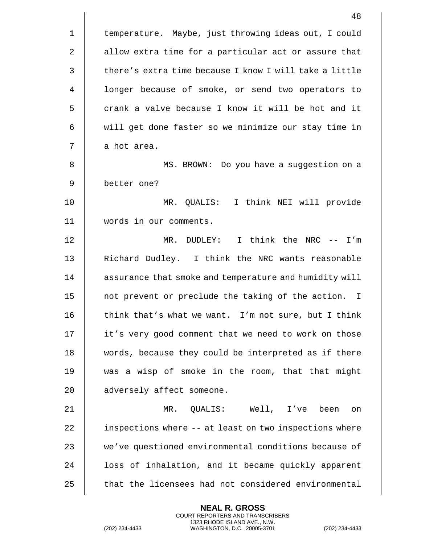|              | 48                                                     |
|--------------|--------------------------------------------------------|
| $\mathbf{1}$ | temperature. Maybe, just throwing ideas out, I could   |
| 2            | allow extra time for a particular act or assure that   |
| 3            | there's extra time because I know I will take a little |
| 4            | longer because of smoke, or send two operators to      |
| 5            | crank a valve because I know it will be hot and it     |
| 6            | will get done faster so we minimize our stay time in   |
| 7            | a hot area.                                            |
| 8            | MS. BROWN: Do you have a suggestion on a               |
| 9            | better one?                                            |
| 10           | MR. QUALIS: I think NEI will provide                   |
| 11           | words in our comments.                                 |
| 12           | I think the NRC -- I'm<br>MR. DUDLEY:                  |
| 13           | Richard Dudley. I think the NRC wants reasonable       |
| 14           | assurance that smoke and temperature and humidity will |
| 15           | not prevent or preclude the taking of the action. I    |
| 16           | think that's what we want. I'm not sure, but I think   |
| 17           | it's very good comment that we need to work on those   |
| 18           | words, because they could be interpreted as if there   |
| 19           | was a wisp of smoke in the room, that that might       |
| 20           | adversely affect someone.                              |
| 21           | MR. QUALIS: Well, I've been<br>on                      |
| 22           | inspections where -- at least on two inspections where |
| 23           | we've questioned environmental conditions because of   |
| 24           | loss of inhalation, and it became quickly apparent     |
| 25           | that the licensees had not considered environmental    |

(202) 234-4433 WASHINGTON, D.C. 20005-3701 (202) 234-4433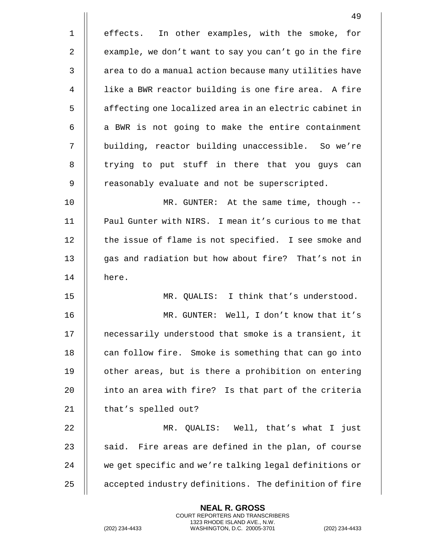|                | 49                                                     |
|----------------|--------------------------------------------------------|
| $\mathbf 1$    | effects. In other examples, with the smoke, for        |
| 2              | example, we don't want to say you can't go in the fire |
| $\mathfrak{Z}$ | area to do a manual action because many utilities have |
| $\overline{4}$ | like a BWR reactor building is one fire area. A fire   |
| 5              | affecting one localized area in an electric cabinet in |
| 6              | a BWR is not going to make the entire containment      |
| 7              | building, reactor building unaccessible. So we're      |
| 8              | trying to put stuff in there that you guys can         |
| 9              | reasonably evaluate and not be superscripted.          |
| 10             | MR. GUNTER: At the same time, though --                |
| 11             | Paul Gunter with NIRS. I mean it's curious to me that  |
| 12             | the issue of flame is not specified. I see smoke and   |
| 13             | gas and radiation but how about fire? That's not in    |
| 14             | here.                                                  |
| 15             | MR. QUALIS: I think that's understood.                 |
| 16             | MR. GUNTER: Well, I don't know that it's               |
| 17             | necessarily understood that smoke is a transient, it   |
| 18             | can follow fire. Smoke is something that can go into   |
| 19             | other areas, but is there a prohibition on entering    |
| 20             | into an area with fire? Is that part of the criteria   |
| 21             | that's spelled out?                                    |
| 22             | MR. QUALIS: Well, that's what I just                   |
| 23             | said. Fire areas are defined in the plan, of course    |
| 24             | we get specific and we're talking legal definitions or |
| 25             | accepted industry definitions. The definition of fire  |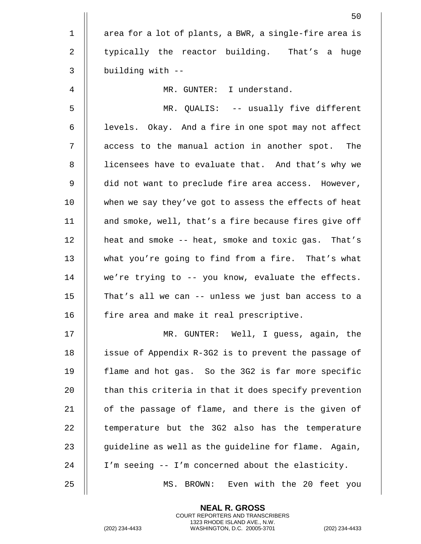|                | 50                                                     |
|----------------|--------------------------------------------------------|
| $\mathbf 1$    | area for a lot of plants, a BWR, a single-fire area is |
| 2              | typically the reactor building. That's a huge          |
| 3              | building with --                                       |
| $\overline{4}$ | MR. GUNTER: I understand.                              |
| 5              | MR. QUALIS: -- usually five different                  |
| 6              | levels. Okay. And a fire in one spot may not affect    |
| 7              | access to the manual action in another spot. The       |
| $\, 8$         | licensees have to evaluate that. And that's why we     |
| 9              | did not want to preclude fire area access. However,    |
| 10             | when we say they've got to assess the effects of heat  |
| 11             | and smoke, well, that's a fire because fires give off  |
| 12             | heat and smoke -- heat, smoke and toxic gas. That's    |
| 13             | what you're going to find from a fire. That's what     |
| 14             | we're trying to -- you know, evaluate the effects.     |
| 15             | That's all we can -- unless we just ban access to a    |
| 16             | fire area and make it real prescriptive.               |
| 17             | MR. GUNTER: Well, I guess, again, the                  |
| 18             | issue of Appendix R-3G2 is to prevent the passage of   |
| 19             | flame and hot gas. So the 3G2 is far more specific     |
| 20             | than this criteria in that it does specify prevention  |
| 21             | of the passage of flame, and there is the given of     |
| 22             | temperature but the 3G2 also has the temperature       |
| 23             | guideline as well as the guideline for flame. Again,   |
| 24             | I'm seeing -- I'm concerned about the elasticity.      |
| 25             | BROWN: Even with the 20 feet you<br>MS.                |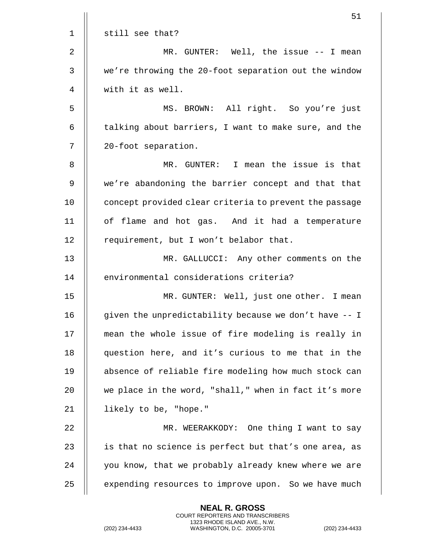|              | 51                                                     |
|--------------|--------------------------------------------------------|
| 1            | still see that?                                        |
| 2            | MR. GUNTER: Well, the issue -- I mean                  |
| $\mathsf{3}$ | we're throwing the 20-foot separation out the window   |
| 4            | with it as well.                                       |
| 5            | MS. BROWN: All right. So you're just                   |
| 6            | talking about barriers, I want to make sure, and the   |
| 7            | 20-foot separation.                                    |
| 8            | MR. GUNTER: I mean the issue is that                   |
| 9            | we're abandoning the barrier concept and that that     |
| 10           | concept provided clear criteria to prevent the passage |
| 11           | of flame and hot gas. And it had a temperature         |
| 12           | requirement, but I won't belabor that.                 |
| 13           | MR. GALLUCCI: Any other comments on the                |
| 14           | environmental considerations criteria?                 |
| 15           | MR. GUNTER: Well, just one other. I mean               |
| 16           | given the unpredictability because we don't have -- I  |
| 17           | mean the whole issue of fire modeling is really in     |
| 18           | question here, and it's curious to me that in the      |
| 19           | absence of reliable fire modeling how much stock can   |
| 20           | we place in the word, "shall," when in fact it's more  |
| 21           | likely to be, "hope."                                  |
| 22           | MR. WEERAKKODY: One thing I want to say                |
| 23           | is that no science is perfect but that's one area, as  |
| 24           | you know, that we probably already knew where we are   |
| 25           | expending resources to improve upon. So we have much   |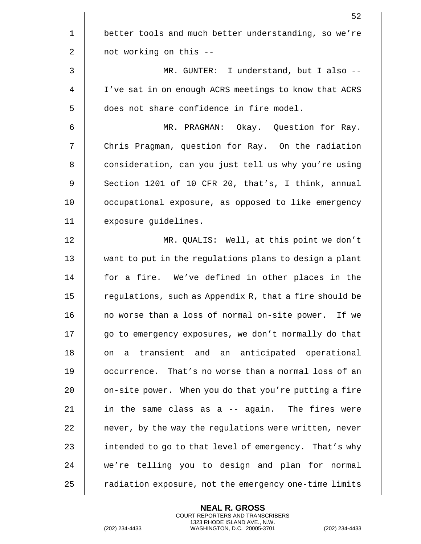|                | 52                                                     |
|----------------|--------------------------------------------------------|
| $\mathbf 1$    | better tools and much better understanding, so we're   |
| 2              | not working on this --                                 |
| 3              | MR. GUNTER: I understand, but I also --                |
| $\overline{4}$ | I've sat in on enough ACRS meetings to know that ACRS  |
| 5              | does not share confidence in fire model.               |
| 6              | MR. PRAGMAN: Okay. Question for Ray.                   |
| 7              | Chris Pragman, question for Ray. On the radiation      |
| $\, 8$         | consideration, can you just tell us why you're using   |
| 9              | Section 1201 of 10 CFR 20, that's, I think, annual     |
| 10             | occupational exposure, as opposed to like emergency    |
| 11             | exposure guidelines.                                   |
| 12             | MR. QUALIS: Well, at this point we don't               |
| 13             | want to put in the regulations plans to design a plant |
| 14             | for a fire. We've defined in other places in the       |
| 15             | regulations, such as Appendix R, that a fire should be |
| 16             | no worse than a loss of normal on-site power. If we    |
| 17             | go to emergency exposures, we don't normally do that   |
| 18             | a transient and an anticipated operational<br>on       |
| 19             | occurrence. That's no worse than a normal loss of an   |
| 20             | on-site power. When you do that you're putting a fire  |
| 21             | in the same class as a -- again. The fires were        |
| 22             | never, by the way the regulations were written, never  |
| 23             | intended to go to that level of emergency. That's why  |
| 24             | we're telling you to design and plan for normal        |
| 25             | radiation exposure, not the emergency one-time limits  |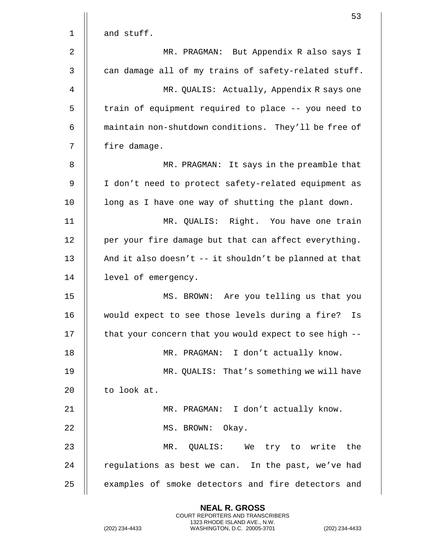|              | 53                                                               |
|--------------|------------------------------------------------------------------|
| $\mathbf 1$  | and stuff.                                                       |
| 2            | MR. PRAGMAN: But Appendix R also says I                          |
| $\mathbf{3}$ | can damage all of my trains of safety-related stuff.             |
| 4            | MR. QUALIS: Actually, Appendix R says one                        |
| 5            | train of equipment required to place -- you need to              |
| 6            | maintain non-shutdown conditions. They'll be free of             |
| 7            | fire damage.                                                     |
| 8            | MR. PRAGMAN: It says in the preamble that                        |
| 9            | I don't need to protect safety-related equipment as              |
| 10           | long as I have one way of shutting the plant down.               |
| 11           | MR. QUALIS: Right. You have one train                            |
| 12           | per your fire damage but that can affect everything.             |
| 13           | And it also doesn't $--$ it shouldn't be planned at that         |
| 14           | level of emergency.                                              |
| 15           | MS. BROWN: Are you telling us that you                           |
| 16           | would expect to see those levels during a fire?<br>$\mathtt{Is}$ |
| 17           | that your concern that you would expect to see high --           |
| 18           | MR. PRAGMAN: I don't actually know.                              |
| 19           | MR. QUALIS: That's something we will have                        |
| 20           | to look at.                                                      |
| 21           | MR. PRAGMAN: I don't actually know.                              |
| 22           | MS. BROWN: Okay.                                                 |
| 23           | MR. QUALIS: We try to write the                                  |
| 24           | regulations as best we can. In the past, we've had               |
| 25           | examples of smoke detectors and fire detectors and               |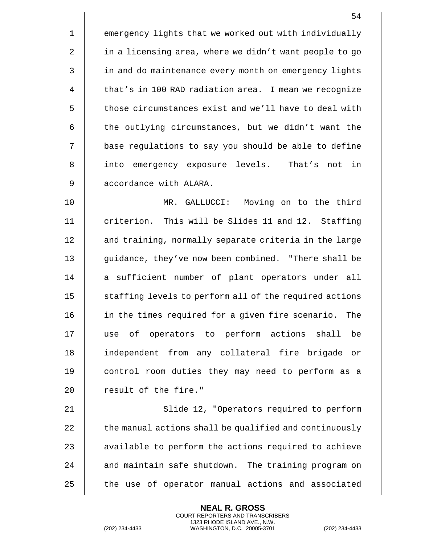1 | emergency lights that we worked out with individually 2 | in a licensing area, where we didn't want people to go 3 | in and do maintenance every month on emergency lights 4 | that's in 100 RAD radiation area. I mean we recognize 5  $\parallel$  those circumstances exist and we'll have to deal with  $6$   $\parallel$  the outlying circumstances, but we didn't want the 7 || base regulations to say you should be able to define 8 || into emergency exposure levels. That's not in 9 | accordance with ALARA.

10 MR. GALLUCCI: Moving on to the third 11 || criterion. This will be Slides 11 and 12. Staffing 12 | and training, normally separate criteria in the large 13 || guidance, they've now been combined. "There shall be 14 || a sufficient number of plant operators under all 15 | staffing levels to perform all of the required actions 16 || in the times required for a given fire scenario. The 17 || use of operators to perform actions shall be 18 independent from any collateral fire brigade or 19 || control room duties they may need to perform as a  $20$  | result of the fire."

21 || Slide 12, "Operators required to perform  $\parallel$  the manual actions shall be qualified and continuously  $\parallel$  available to perform the actions required to achieve  $\parallel$  and maintain safe shutdown. The training program on  $\parallel$  the use of operator manual actions and associated

> **NEAL R. GROSS** COURT REPORTERS AND TRANSCRIBERS 1323 RHODE ISLAND AVE., N.W.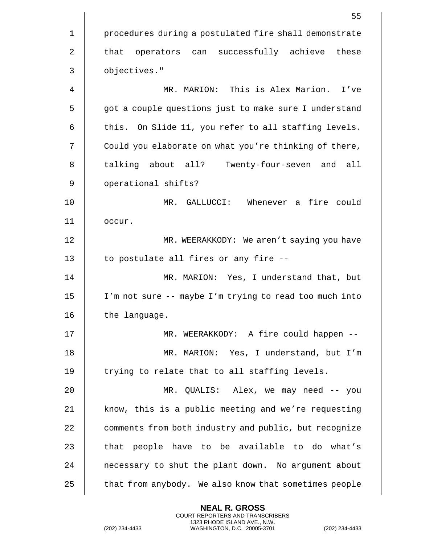|             | 55                                                     |
|-------------|--------------------------------------------------------|
| $\mathbf 1$ | procedures during a postulated fire shall demonstrate  |
| 2           | operators can successfully achieve these<br>that       |
| 3           | objectives."                                           |
| 4           | MR. MARION: This is Alex Marion. I've                  |
| 5           | got a couple questions just to make sure I understand  |
| 6           | this. On Slide 11, you refer to all staffing levels.   |
| 7           | Could you elaborate on what you're thinking of there,  |
| 8           | talking about all? Twenty-four-seven and all           |
| 9           | operational shifts?                                    |
| 10          | MR. GALLUCCI: Whenever a fire could                    |
| 11          | occur.                                                 |
| 12          | MR. WEERAKKODY: We aren't saying you have              |
| 13          | to postulate all fires or any fire --                  |
| 14          | MR. MARION: Yes, I understand that, but                |
| 15          | I'm not sure -- maybe I'm trying to read too much into |
| 16          | the language.                                          |
| 17          | MR. WEERAKKODY: A fire could happen --                 |
| 18          | MR. MARION: Yes, I understand, but I'm                 |
| 19          | trying to relate that to all staffing levels.          |
| 20          | MR. QUALIS: Alex, we may need -- you                   |
| 21          | know, this is a public meeting and we're requesting    |
| 22          | comments from both industry and public, but recognize  |
| 23          | that people have to be available to do what's          |
| 24          | necessary to shut the plant down. No argument about    |
| 25          | that from anybody. We also know that sometimes people  |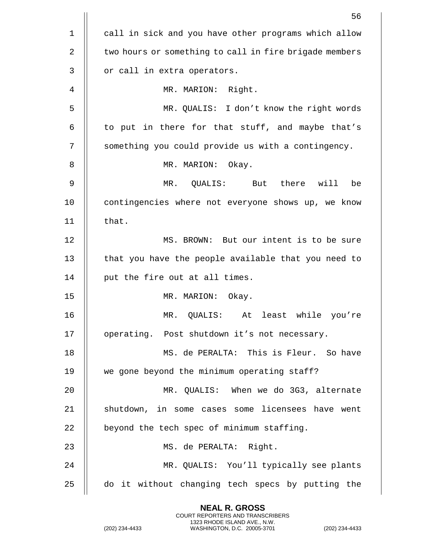|                | 56                                                        |
|----------------|-----------------------------------------------------------|
| $\mathbf 1$    | call in sick and you have other programs which allow      |
| $\overline{2}$ | two hours or something to call in fire brigade members    |
| $\mathbf{3}$   | or call in extra operators.                               |
| 4              | Right.<br>MR. MARION:                                     |
| 5              | MR. QUALIS: I don't know the right words                  |
| 6              | to put in there for that stuff, and maybe that's          |
| 7              | something you could provide us with a contingency.        |
| 8              | MR. MARION: Okay.                                         |
| 9              | there will<br>MR.<br>QUALIS: But<br>be                    |
| 10             | contingencies where not everyone shows up, we know        |
| 11             | that.                                                     |
| 12             | MS. BROWN: But our intent is to be sure                   |
| 13             | that you have the people available that you need to       |
| 14             | put the fire out at all times.                            |
| 15             | MR. MARION:<br>Okay.                                      |
| 16             | $\texttt{MR}$ .<br>least while<br>QUALIS:<br>At<br>you're |
| 17             | operating. Post shutdown it's not necessary.              |
| 18             | MS. de PERALTA: This is Fleur. So have                    |
| 19             | we gone beyond the minimum operating staff?               |
| 20             | MR. QUALIS: When we do 3G3, alternate                     |
| 21             | shutdown, in some cases some licensees have went          |
| 22             | beyond the tech spec of minimum staffing.                 |
| 23             | MS. de PERALTA: Right.                                    |
| 24             | MR. QUALIS: You'll typically see plants                   |
| 25             | do it without changing tech specs by putting the          |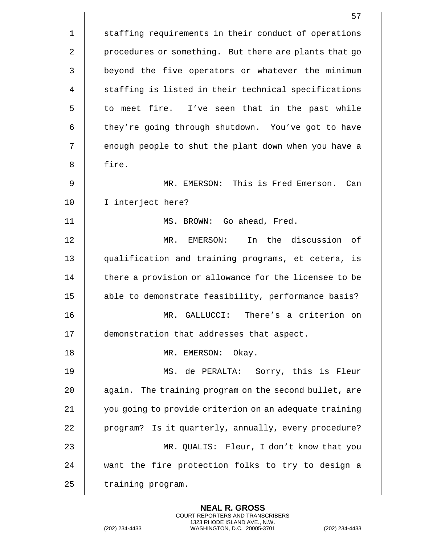|                | 57                                                     |
|----------------|--------------------------------------------------------|
| $\mathbf 1$    | staffing requirements in their conduct of operations   |
| 2              | procedures or something. But there are plants that go  |
| 3              | beyond the five operators or whatever the minimum      |
| $\overline{4}$ | staffing is listed in their technical specifications   |
| 5              | to meet fire. I've seen that in the past while         |
| 6              | they're going through shutdown. You've got to have     |
| 7              | enough people to shut the plant down when you have a   |
| 8              | fire.                                                  |
| 9              | MR. EMERSON: This is Fred Emerson.<br>Can              |
| 10             | I interject here?                                      |
| 11             | MS. BROWN: Go ahead, Fred.                             |
| 12             | In the discussion of<br>MR. EMERSON:                   |
| 13             | qualification and training programs, et cetera, is     |
| 14             | there a provision or allowance for the licensee to be  |
| 15             | able to demonstrate feasibility, performance basis?    |
| 16             | There's a criterion on<br>MR.<br>GALLUCCI:             |
| 17             | demonstration that addresses that aspect.              |
| 18             | MR. EMERSON: Okay.                                     |
| 19             | MS. de PERALTA: Sorry, this is Fleur                   |
| 20             | again. The training program on the second bullet, are  |
| 21             | you going to provide criterion on an adequate training |
| 22             | program? Is it quarterly, annually, every procedure?   |
| 23             | MR. QUALIS: Fleur, I don't know that you               |
| 24             | want the fire protection folks to try to design a      |
| 25             | training program.                                      |

(202) 234-4433 WASHINGTON, D.C. 20005-3701 (202) 234-4433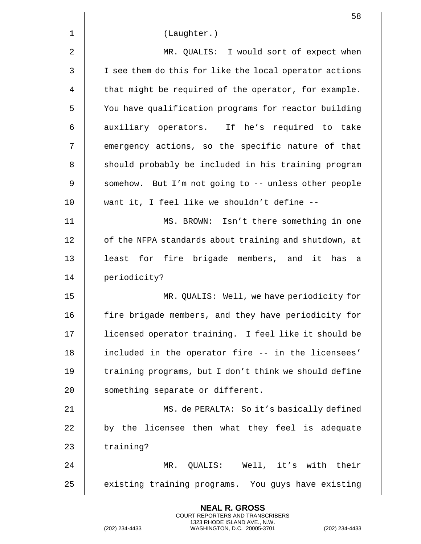|    | 58                                                     |
|----|--------------------------------------------------------|
| 1  | (Laughter.)                                            |
| 2  | MR. QUALIS: I would sort of expect when                |
| 3  | I see them do this for like the local operator actions |
| 4  | that might be required of the operator, for example.   |
| 5  | You have qualification programs for reactor building   |
| 6  | auxiliary operators. If he's required to take          |
| 7  | emergency actions, so the specific nature of that      |
| 8  | should probably be included in his training program    |
| 9  | somehow. But I'm not going to -- unless other people   |
| 10 | want it, I feel like we shouldn't define --            |
| 11 | MS. BROWN: Isn't there something in one                |
| 12 | of the NFPA standards about training and shutdown, at  |
| 13 | least for fire brigade members, and it has a           |
| 14 | periodicity?                                           |
| 15 | MR. QUALIS: Well, we have periodicity for              |
| 16 | fire brigade members, and they have periodicity for    |
| 17 | licensed operator training. I feel like it should be   |
| 18 | included in the operator fire -- in the licensees'     |
| 19 | training programs, but I don't think we should define  |
| 20 | something separate or different.                       |
| 21 | MS. de PERALTA: So it's basically defined              |
| 22 | by the licensee then what they feel is adequate        |
| 23 | training?                                              |
| 24 | MR. QUALIS: Well, it's with their                      |
| 25 | existing training programs. You guys have existing     |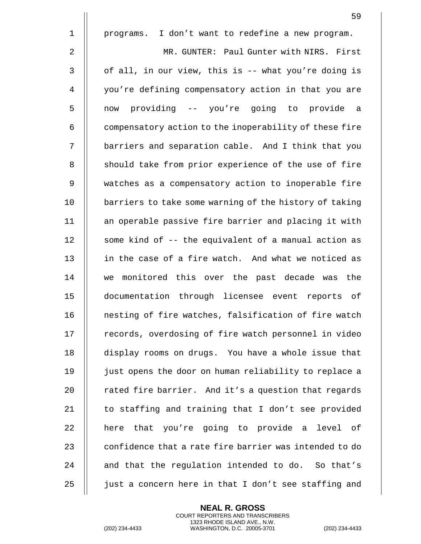|             | 59                                                     |
|-------------|--------------------------------------------------------|
| $\mathbf 1$ | I don't want to redefine a new program.<br>programs.   |
| 2           | MR. GUNTER: Paul Gunter with NIRS. First               |
| 3           | of all, in our view, this is -- what you're doing is   |
| 4           | you're defining compensatory action in that you are    |
| 5           | now providing -- you're going to provide a             |
| 6           | compensatory action to the inoperability of these fire |
| 7           | barriers and separation cable. And I think that you    |
| 8           | should take from prior experience of the use of fire   |
| 9           | watches as a compensatory action to inoperable fire    |
| 10          | barriers to take some warning of the history of taking |
| 11          | an operable passive fire barrier and placing it with   |
| 12          | some kind of -- the equivalent of a manual action as   |
| 13          | in the case of a fire watch. And what we noticed as    |
| 14          | monitored this over the past decade was the<br>we      |
| 15          | documentation through licensee event reports of        |
| 16          | nesting of fire watches, falsification of fire watch   |
| 17          | records, overdosing of fire watch personnel in video   |
| 18          | display rooms on drugs. You have a whole issue that    |
| 19          | just opens the door on human reliability to replace a  |
| 20          | rated fire barrier. And it's a question that regards   |
| 21          | to staffing and training that I don't see provided     |
| 22          | here that you're going to provide a level of           |
| 23          | confidence that a rate fire barrier was intended to do |
| 24          | and that the regulation intended to do. So that's      |
| 25          | just a concern here in that I don't see staffing and   |

(202) 234-4433 WASHINGTON, D.C. 20005-3701 (202) 234-4433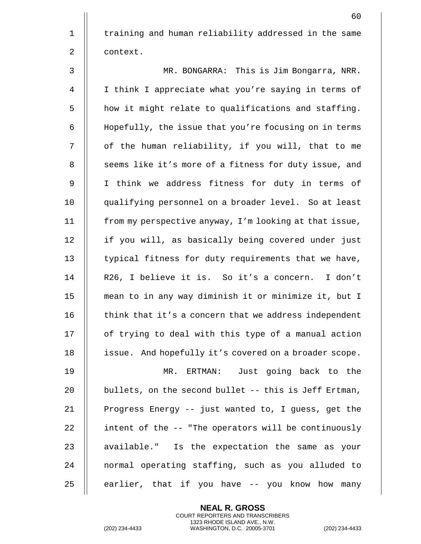1 | training and human reliability addressed in the same 2 | context.

| 3              | MR. BONGARRA: This is Jim Bongarra, NRR.               |
|----------------|--------------------------------------------------------|
| $\overline{4}$ | I think I appreciate what you're saying in terms of    |
| 5              | how it might relate to qualifications and staffing.    |
| 6              | Hopefully, the issue that you're focusing on in terms  |
| 7              | of the human reliability, if you will, that to me      |
| 8              | seems like it's more of a fitness for duty issue, and  |
| 9              | I think we address fitness for duty in terms of        |
| 10             | qualifying personnel on a broader level. So at least   |
| 11             | from my perspective anyway, I'm looking at that issue, |
| 12             | if you will, as basically being covered under just     |
| 13             | typical fitness for duty requirements that we have,    |
| 14             | R26, I believe it is. So it's a concern. I don't       |
| 15             | mean to in any way diminish it or minimize it, but I   |
| 16             | think that it's a concern that we address independent  |
| 17             | of trying to deal with this type of a manual action    |
| 18             | issue. And hopefully it's covered on a broader scope.  |
| 19             | Just going back to the<br>MR. ERTMAN:                  |
| 20             | bullets, on the second bullet -- this is Jeff Ertman,  |
| 21             | Progress Energy -- just wanted to, I guess, get the    |
| 22             | intent of the -- "The operators will be continuously   |
| 23             | available." Is the expectation the same as your        |
| 24             | normal operating staffing, such as you alluded to      |
| 25             | earlier, that if you have -- you know how many         |
|                |                                                        |

COURT REPORTERS AND TRANSCRIBERS 1323 RHODE ISLAND AVE., N.W. (202) 234-4433 WASHINGTON, D.C. 20005-3701 (202) 234-4433

**NEAL R. GROSS**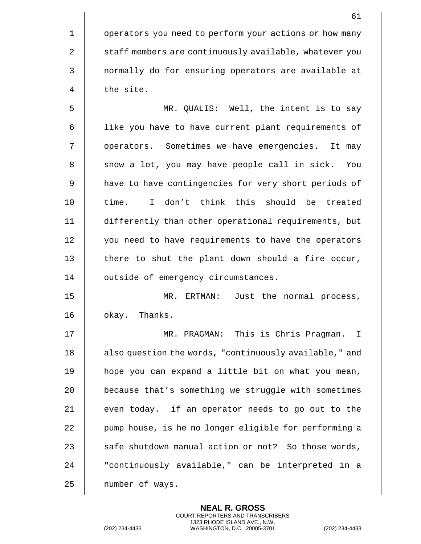|             | 61                                                     |
|-------------|--------------------------------------------------------|
| $\mathbf 1$ | operators you need to perform your actions or how many |
| 2           | staff members are continuously available, whatever you |
| 3           | normally do for ensuring operators are available at    |
| 4           | the site.                                              |
| 5           | MR. QUALIS: Well, the intent is to say                 |
| 6           | like you have to have current plant requirements of    |
| 7           | operators. Sometimes we have emergencies. It may       |
| 8           | snow a lot, you may have people call in sick. You      |
| 9           | have to have contingencies for very short periods of   |
| 10          | time. I don't think this should be treated             |
| 11          | differently than other operational requirements, but   |
| 12          | you need to have requirements to have the operators    |
| 13          | there to shut the plant down should a fire occur,      |
| 14          | outside of emergency circumstances.                    |
| 15          | MR.<br>ERTMAN: Just the normal process,                |
| 16          | okay. Thanks.                                          |
| 17          | MR. PRAGMAN: This is Chris Pragman. I                  |
| 18          | also question the words, "continuously available," and |
| 19          | hope you can expand a little bit on what you mean,     |
| 20          | because that's something we struggle with sometimes    |
| 21          | even today. if an operator needs to go out to the      |
| 22          | pump house, is he no longer eligible for performing a  |
| 23          | safe shutdown manual action or not? So those words,    |
| 24          | "continuously available," can be interpreted in a      |
| 25          | number of ways.                                        |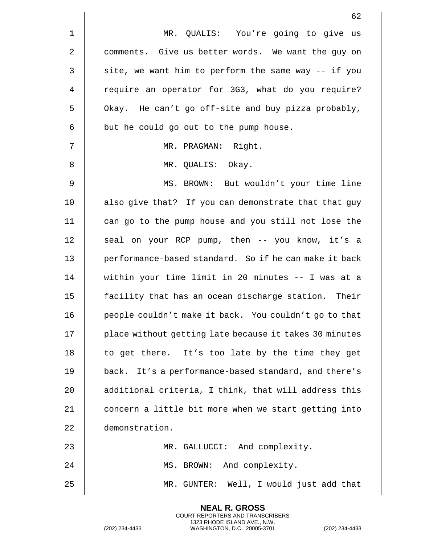|                | 62                                                     |
|----------------|--------------------------------------------------------|
| $\mathbf 1$    | MR. QUALIS: You're going to give us                    |
| $\overline{2}$ | comments. Give us better words. We want the guy on     |
| $\mathsf 3$    | site, we want him to perform the same way -- if you    |
| 4              | require an operator for 3G3, what do you require?      |
| 5              | Okay. He can't go off-site and buy pizza probably,     |
| 6              | but he could go out to the pump house.                 |
| 7              | MR. PRAGMAN: Right.                                    |
| 8              | MR. QUALIS: Okay.                                      |
| 9              | MS. BROWN: But wouldn't your time line                 |
| 10             | also give that? If you can demonstrate that that guy   |
| 11             | can go to the pump house and you still not lose the    |
| 12             | seal on your RCP pump, then -- you know, it's a        |
| 13             | performance-based standard. So if he can make it back  |
| 14             | within your time limit in 20 minutes -- I was at a     |
| 15             | facility that has an ocean discharge station. Their    |
| 16             | people couldn't make it back. You couldn't go to that  |
| 17             | place without getting late because it takes 30 minutes |
| 18             | to get there. It's too late by the time they get       |
| 19             | back. It's a performance-based standard, and there's   |
| 20             | additional criteria, I think, that will address this   |
| 21             | concern a little bit more when we start getting into   |
| 22             | demonstration.                                         |
| 23             | MR. GALLUCCI: And complexity.                          |
| 24             | MS. BROWN: And complexity.                             |
| 25             | MR. GUNTER: Well, I would just add that                |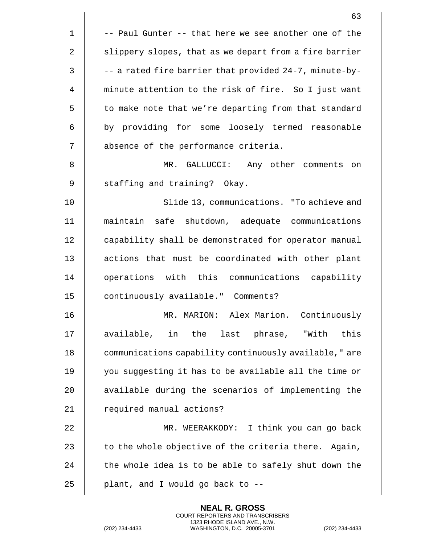|              | 63                                                     |
|--------------|--------------------------------------------------------|
| $\mathbf{1}$ | -- Paul Gunter -- that here we see another one of the  |
| 2            | slippery slopes, that as we depart from a fire barrier |
| $\mathbf{3}$ | -- a rated fire barrier that provided 24-7, minute-by- |
| 4            | minute attention to the risk of fire. So I just want   |
| 5            | to make note that we're departing from that standard   |
| 6            | by providing for some loosely termed reasonable        |
| 7            | absence of the performance criteria.                   |
| 8            | MR. GALLUCCI: Any other comments on                    |
| 9            | staffing and training? Okay.                           |
| 10           | Slide 13, communications. "To achieve and              |
| 11           | maintain safe shutdown, adequate communications        |
| 12           | capability shall be demonstrated for operator manual   |
| 13           | actions that must be coordinated with other plant      |
| 14           | operations with this communications capability         |
| 15           | continuously available." Comments?                     |
| 16           | MR. MARION: Alex Marion. Continuously                  |
| 17           | available, in the last phrase, "With this              |
| 18           | communications capability continuously available," are |
| 19           | you suggesting it has to be available all the time or  |
| 20           | available during the scenarios of implementing the     |
| 21           | required manual actions?                               |
| 22           | MR. WEERAKKODY: I think you can go back                |
| 23           | to the whole objective of the criteria there. Again,   |
| 24           | the whole idea is to be able to safely shut down the   |
| 25           | plant, and I would go back to --                       |

(202) 234-4433 WASHINGTON, D.C. 20005-3701 (202) 234-4433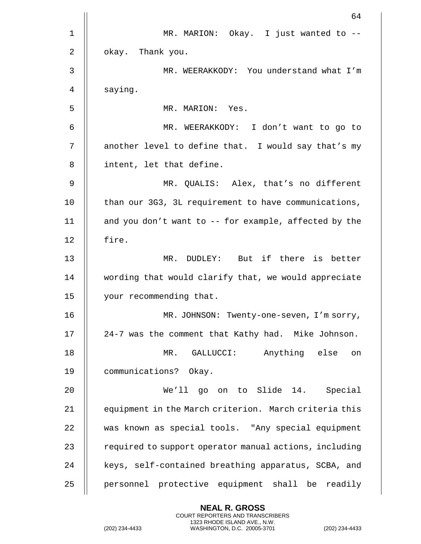|    | 64                                                       |
|----|----------------------------------------------------------|
| 1  | MR. MARION: Okay. I just wanted to --                    |
| 2  | okay. Thank you.                                         |
| 3  | MR. WEERAKKODY: You understand what I'm                  |
| 4  | saying.                                                  |
| 5  | MR. MARION: Yes.                                         |
| 6  | MR. WEERAKKODY: I don't want to go to                    |
| 7  | another level to define that. I would say that's my      |
| 8  | intent, let that define.                                 |
| 9  | MR. QUALIS: Alex, that's no different                    |
| 10 | than our 3G3, 3L requirement to have communications,     |
| 11 | and you don't want to $-$ - for example, affected by the |
| 12 | fire.                                                    |
| 13 | MR. DUDLEY: But if there is better                       |
| 14 | wording that would clarify that, we would appreciate     |
| 15 | your recommending that.                                  |
| 16 | MR. JOHNSON: Twenty-one-seven, I'm sorry,                |
| 17 | 24-7 was the comment that Kathy had. Mike Johnson.       |
| 18 | MR. GALLUCCI: Anything else<br>on                        |
| 19 | communications? Okay.                                    |
| 20 | We'll go on to Slide 14. Special                         |
| 21 | equipment in the March criterion. March criteria this    |
| 22 | was known as special tools. "Any special equipment       |
| 23 | required to support operator manual actions, including   |
| 24 | keys, self-contained breathing apparatus, SCBA, and      |
| 25 | personnel protective equipment shall be readily          |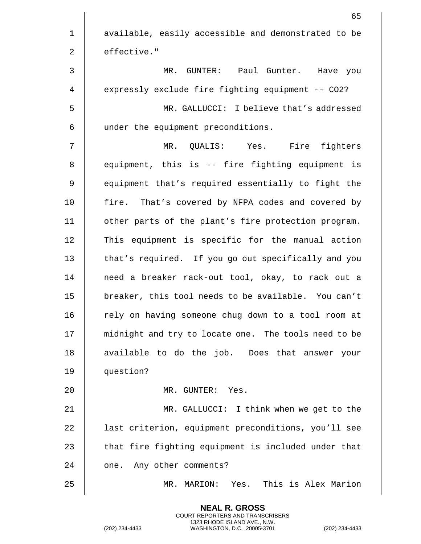|              | 65                                                   |
|--------------|------------------------------------------------------|
| 1            | available, easily accessible and demonstrated to be  |
| 2            | effective."                                          |
| $\mathsf{3}$ | MR. GUNTER: Paul Gunter. Have you                    |
| 4            | expressly exclude fire fighting equipment -- CO2?    |
| 5            | MR. GALLUCCI: I believe that's addressed             |
| 6            | under the equipment preconditions.                   |
| 7            | MR. QUALIS: Yes. Fire fighters                       |
| 8            | equipment, this is -- fire fighting equipment is     |
| 9            | equipment that's required essentially to fight the   |
| 10           | fire. That's covered by NFPA codes and covered by    |
| 11           | other parts of the plant's fire protection program.  |
| 12           | This equipment is specific for the manual action     |
| 13           | that's required. If you go out specifically and you  |
| 14           | need a breaker rack-out tool, okay, to rack out a    |
| 15           | breaker, this tool needs to be available. You can't  |
| 16           | rely on having someone chug down to a tool room at   |
| 17           | midnight and try to locate one. The tools need to be |
| 18           | available to do the job. Does that answer your       |
| 19           | question?                                            |
| 20           | MR. GUNTER: Yes.                                     |
| 21           | MR. GALLUCCI: I think when we get to the             |
| 22           | last criterion, equipment preconditions, you'll see  |
| 23           | that fire fighting equipment is included under that  |
| 24           | one. Any other comments?                             |
| 25           | Yes. This is Alex Marion<br>MR. MARION:              |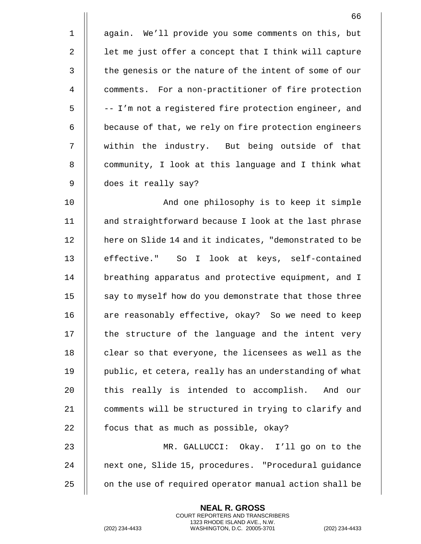|                | 66                                                     |
|----------------|--------------------------------------------------------|
| $\mathbf 1$    | again. We'll provide you some comments on this, but    |
| 2              | let me just offer a concept that I think will capture  |
| 3              | the genesis or the nature of the intent of some of our |
| $\overline{4}$ | comments. For a non-practitioner of fire protection    |
| 5              | -- I'm not a registered fire protection engineer, and  |
| 6              | because of that, we rely on fire protection engineers  |
| 7              | within the industry. But being outside of that         |
| $\, 8$         | community, I look at this language and I think what    |
| 9              | does it really say?                                    |
| 10             | And one philosophy is to keep it simple                |
| 11             | and straightforward because I look at the last phrase  |
| 12             | here on Slide 14 and it indicates, "demonstrated to be |
| 13             | effective." So I look at keys, self-contained          |
| 14             | breathing apparatus and protective equipment, and I    |
| 15             | say to myself how do you demonstrate that those three  |
| 16             | are reasonably effective, okay? So we need to keep     |
| 17             | the structure of the language and the intent very      |
| 18             | clear so that everyone, the licensees as well as the   |
| 19             | public, et cetera, really has an understanding of what |
| 20             | this really is intended to accomplish. And our         |
| 21             | comments will be structured in trying to clarify and   |
| 22             | focus that as much as possible, okay?                  |
| 23             | MR. GALLUCCI: Okay. I'll go on to the                  |
| 24             | next one, Slide 15, procedures. "Procedural guidance   |
| 25             | on the use of required operator manual action shall be |

(202) 234-4433 WASHINGTON, D.C. 20005-3701 (202) 234-4433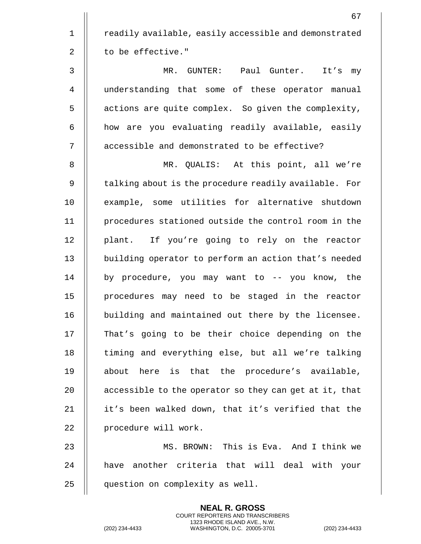|             | 67                                                     |
|-------------|--------------------------------------------------------|
| $\mathbf 1$ | readily available, easily accessible and demonstrated  |
| 2           | to be effective."                                      |
| 3           | MR. GUNTER: Paul Gunter. It's<br>my                    |
| 4           | understanding that some of these operator manual       |
| 5           | actions are quite complex. So given the complexity,    |
| 6           | how are you evaluating readily available, easily       |
| 7           | accessible and demonstrated to be effective?           |
| 8           | MR. QUALIS: At this point, all we're                   |
| 9           | talking about is the procedure readily available. For  |
| 10          | example, some utilities for alternative shutdown       |
| 11          | procedures stationed outside the control room in the   |
| 12          | plant. If you're going to rely on the reactor          |
| 13          | building operator to perform an action that's needed   |
| 14          | by procedure, you may want to -- you know, the         |
| 15          | procedures may need to be staged in the reactor        |
| 16          | building and maintained out there by the licensee.     |
| 17          | That's going to be their choice depending on the       |
| 18          | timing and everything else, but all we're talking      |
| 19          | about here is that the procedure's available,          |
| 20          | accessible to the operator so they can get at it, that |
| 21          | it's been walked down, that it's verified that the     |
| 22          | procedure will work.                                   |
| 23          | MS. BROWN: This is Eva. And I think we                 |
| 24          | have another criteria that will deal with your         |
| 25          | question on complexity as well.                        |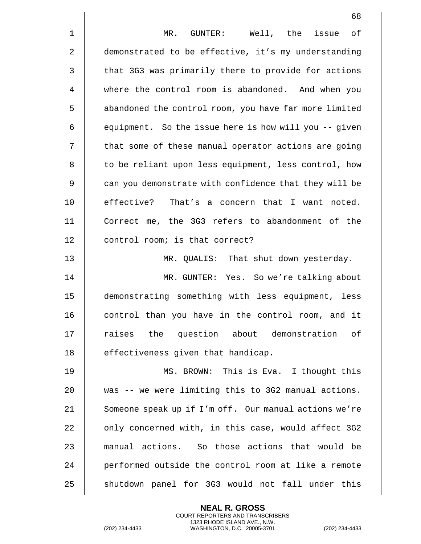68 1 MR. GUNTER: Well, the issue of 2 | demonstrated to be effective, it's my understanding 3 | that 3G3 was primarily there to provide for actions 4 where the control room is abandoned. And when you 5 | abandoned the control room, you have far more limited 6 | equipment. So the issue here is how will you -- given 7 | that some of these manual operator actions are going 8 || to be reliant upon less equipment, less control, how 9 || can you demonstrate with confidence that they will be 10 || effective? That's a concern that I want noted. 11 Correct me, the 3G3 refers to abandonment of the 12 | control room; is that correct? 13 MR. QUALIS: That shut down yesterday. 14 MR. GUNTER: Yes. So we're talking about 15 demonstrating something with less equipment, less 16 || control than you have in the control room, and it 17 || raises the question about demonstration of 18 || effectiveness given that handicap. 19 MS. BROWN: This is Eva. I thought this 20 || was -- we were limiting this to 3G2 manual actions. 21 || Someone speak up if I'm off. Our manual actions we're 22  $\parallel$  only concerned with, in this case, would affect 3G2 23 || manual actions. So those actions that would be 24 || performed outside the control room at like a remote 25 || shutdown panel for 3G3 would not fall under this

> **NEAL R. GROSS** COURT REPORTERS AND TRANSCRIBERS 1323 RHODE ISLAND AVE., N.W.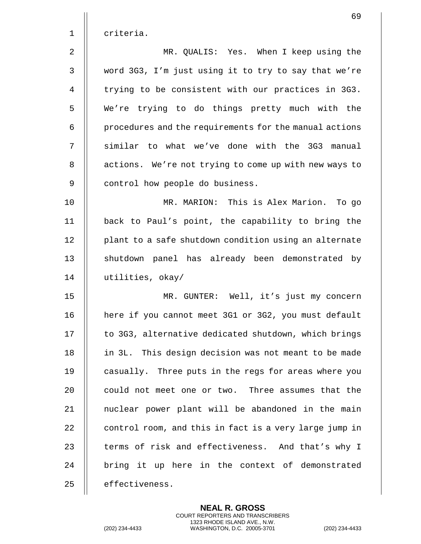|       | 69                                                     |
|-------|--------------------------------------------------------|
| $1\,$ | criteria.                                              |
| 2     | MR. QUALIS: Yes. When I keep using the                 |
| 3     | word 3G3, I'm just using it to try to say that we're   |
| 4     | trying to be consistent with our practices in 3G3.     |
| 5     | We're trying to do things pretty much with the         |
| 6     | procedures and the requirements for the manual actions |
| 7     | similar to what we've done with the 3G3 manual         |
| 8     | actions. We're not trying to come up with new ways to  |
| 9     | control how people do business.                        |
| 10    | MR. MARION: This is Alex Marion. To go                 |
| 11    | back to Paul's point, the capability to bring the      |
| 12    | plant to a safe shutdown condition using an alternate  |
| 13    | shutdown panel has already been demonstrated by        |
| 14    | utilities, okay/                                       |
| 15    | MR. GUNTER: Well, it's just my concern                 |
| 16    | here if you cannot meet 3G1 or 3G2, you must default   |
| 17    | to 3G3, alternative dedicated shutdown, which brings   |
| 18    | in 3L. This design decision was not meant to be made   |
| 19    | casually. Three puts in the regs for areas where you   |
| 20    | could not meet one or two. Three assumes that the      |
| 21    | nuclear power plant will be abandoned in the main      |
| 22    | control room, and this in fact is a very large jump in |
| 23    | terms of risk and effectiveness. And that's why I      |
| 24    | bring it up here in the context of demonstrated        |
| 25    | effectiveness.                                         |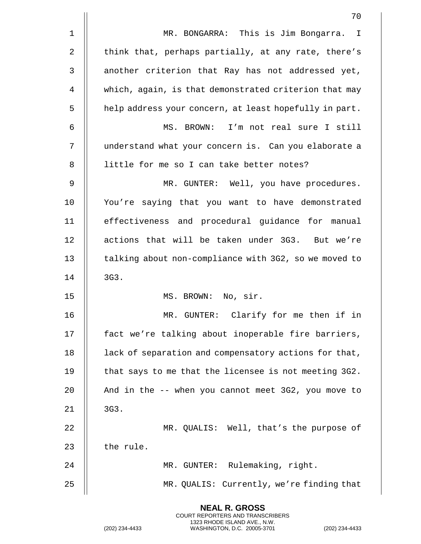|              | 70                                                     |
|--------------|--------------------------------------------------------|
| 1            | MR. BONGARRA: This is Jim Bongarra. I                  |
| 2            | think that, perhaps partially, at any rate, there's    |
| $\mathbf{3}$ | another criterion that Ray has not addressed yet,      |
| 4            | which, again, is that demonstrated criterion that may  |
| 5            | help address your concern, at least hopefully in part. |
| 6            | MS. BROWN: I'm not real sure I still                   |
| 7            | understand what your concern is. Can you elaborate a   |
| 8            | little for me so I can take better notes?              |
| 9            | MR. GUNTER: Well, you have procedures.                 |
| 10           | You're saying that you want to have demonstrated       |
| 11           | effectiveness and procedural guidance for manual       |
| 12           | actions that will be taken under 3G3. But we're        |
| 13           | talking about non-compliance with 3G2, so we moved to  |
| 14           | 3G3.                                                   |
| 15           | MS. BROWN: No, sir.                                    |
| 16           | Clarify for me then if in<br>MR. GUNTER:               |
| 17           | fact we're talking about inoperable fire barriers,     |
| 18           | lack of separation and compensatory actions for that,  |
| 19           | that says to me that the licensee is not meeting 3G2.  |
| 20           | And in the -- when you cannot meet 3G2, you move to    |
| 21           | 3G3.                                                   |
| 22           | MR. QUALIS: Well, that's the purpose of                |
| 23           | the rule.                                              |
| 24           | MR. GUNTER: Rulemaking, right.                         |
| 25           | MR. QUALIS: Currently, we're finding that              |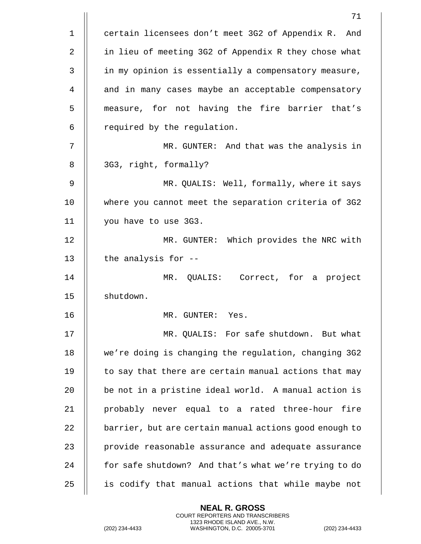|    | 71                                                     |
|----|--------------------------------------------------------|
| 1  | certain licensees don't meet 3G2 of Appendix R.<br>And |
| 2  | in lieu of meeting 3G2 of Appendix R they chose what   |
| 3  | in my opinion is essentially a compensatory measure,   |
| 4  | and in many cases maybe an acceptable compensatory     |
| 5  | measure, for not having the fire barrier that's        |
| 6  | required by the regulation.                            |
| 7  | MR. GUNTER: And that was the analysis in               |
| 8  | 3G3, right, formally?                                  |
| 9  | MR. QUALIS: Well, formally, where it says              |
| 10 | where you cannot meet the separation criteria of 3G2   |
| 11 | you have to use 3G3.                                   |
| 12 | MR. GUNTER: Which provides the NRC with                |
| 13 | the analysis for --                                    |
| 14 | MR. QUALIS: Correct, for a project                     |
| 15 | shutdown.                                              |
| 16 | MR. GUNTER:<br>Yes.                                    |
| 17 | MR. QUALIS: For safe shutdown. But what                |
| 18 | we're doing is changing the regulation, changing 3G2   |
| 19 | to say that there are certain manual actions that may  |
| 20 | be not in a pristine ideal world. A manual action is   |
| 21 | probably never equal to a rated three-hour fire        |
| 22 | barrier, but are certain manual actions good enough to |
| 23 | provide reasonable assurance and adequate assurance    |
| 24 | for safe shutdown? And that's what we're trying to do  |
| 25 | is codify that manual actions that while maybe not     |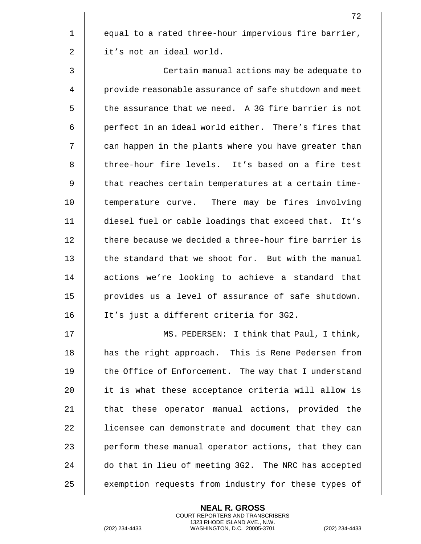1 || equal to a rated three-hour impervious fire barrier, 2 | it's not an ideal world.

3 Certain manual actions may be adequate to 4 provide reasonable assurance of safe shutdown and meet  $5$   $\parallel$  the assurance that we need. A 3G fire barrier is not 6 || perfect in an ideal world either. There's fires that 7 || can happen in the plants where you have greater than 8 || three-hour fire levels. It's based on a fire test 9 || that reaches certain temperatures at a certain time-10 || temperature curve. There may be fires involving 11 diesel fuel or cable loadings that exceed that. It's 12  $\parallel$  there because we decided a three-hour fire barrier is 13 || the standard that we shoot for. But with the manual 14 || actions we're looking to achieve a standard that 15 provides us a level of assurance of safe shutdown. 16 It's just a different criteria for 3G2.

17 MS. PEDERSEN: I think that Paul, I think, 18 || has the right approach. This is Rene Pedersen from 19 || the Office of Enforcement. The way that I understand 20 || it is what these acceptance criteria will allow is 21 || that these operator manual actions, provided the 22 | licensee can demonstrate and document that they can 23 | perform these manual operator actions, that they can 24 || do that in lieu of meeting 3G2. The NRC has accepted 25 | exemption requests from industry for these types of

> **NEAL R. GROSS** COURT REPORTERS AND TRANSCRIBERS 1323 RHODE ISLAND AVE., N.W.

(202) 234-4433 WASHINGTON, D.C. 20005-3701 (202) 234-4433

72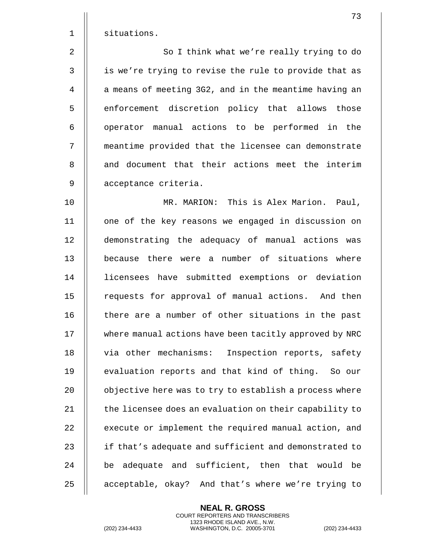1 | situations. 2 || So I think what we're really trying to do 3 || is we're trying to revise the rule to provide that as 4 | a means of meeting 3G2, and in the meantime having an 5 | enforcement discretion policy that allows those 6 || operator manual actions to be performed in the 7 meantime provided that the licensee can demonstrate 8 || and document that their actions meet the interim 9 || acceptance criteria. 10 MR. MARION: This is Alex Marion. Paul, 11 || one of the key reasons we engaged in discussion on 12 demonstrating the adequacy of manual actions was 13 because there were a number of situations where 14 licensees have submitted exemptions or deviation 15 || requests for approval of manual actions. And then 16 || there are a number of other situations in the past 17 | where manual actions have been tacitly approved by NRC 18 || via other mechanisms: Inspection reports, safety 19 || evaluation reports and that kind of thing. So our 20 | objective here was to try to establish a process where 21  $\parallel$  the licensee does an evaluation on their capability to 22 | execute or implement the required manual action, and 23 || if that's adequate and sufficient and demonstrated to  $24$   $\parallel$  be adequate and sufficient, then that would be

> **NEAL R. GROSS** COURT REPORTERS AND TRANSCRIBERS 1323 RHODE ISLAND AVE., N.W.

25 || acceptable, okay? And that's where we're trying to

(202) 234-4433 WASHINGTON, D.C. 20005-3701 (202) 234-4433

73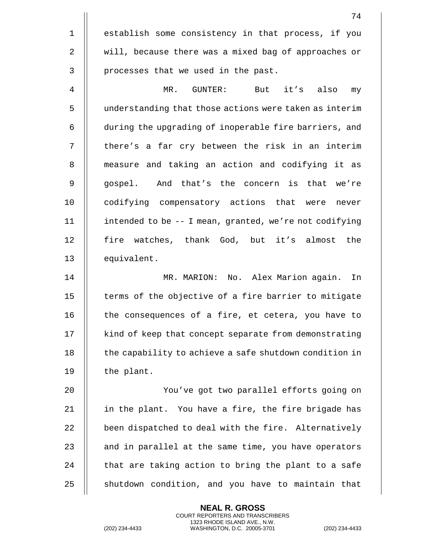74 1 || establish some consistency in that process, if you 2 | will, because there was a mixed bag of approaches or  $3$  || processes that we used in the past. 4 MR. GUNTER: But it's also my 5 understanding that those actions were taken as interim 6 | during the upgrading of inoperable fire barriers, and 7 || there's a far cry between the risk in an interim 8 || measure and taking an action and codifying it as 9 || gospel. And that's the concern is that we're 10 || codifying compensatory actions that were never 11 intended to be -- I mean, granted, we're not codifying 12 || fire watches, thank God, but it's almost the 13 equivalent. 14 MR. MARION: No. Alex Marion again. In 15 || terms of the objective of a fire barrier to mitigate 16 || the consequences of a fire, et cetera, you have to 17 | kind of keep that concept separate from demonstrating 18 | the capability to achieve a safe shutdown condition in 19 || the plant. 20 || You've got two parallel efforts going on 21  $\parallel$  in the plant. You have a fire, the fire brigade has

22 | been dispatched to deal with the fire. Alternatively  $\parallel$  and in parallel at the same time, you have operators  $\parallel$  that are taking action to bring the plant to a safe  $\parallel$  shutdown condition, and you have to maintain that

> **NEAL R. GROSS** COURT REPORTERS AND TRANSCRIBERS 1323 RHODE ISLAND AVE., N.W.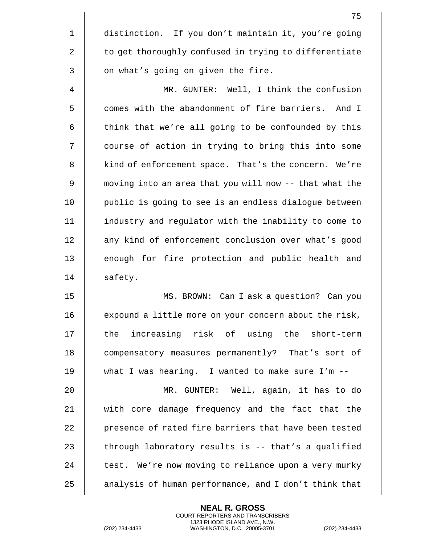|              | 75                                                     |
|--------------|--------------------------------------------------------|
| $\mathbf 1$  | distinction. If you don't maintain it, you're going    |
| 2            | to get thoroughly confused in trying to differentiate  |
| $\mathsf{3}$ | on what's going on given the fire.                     |
| 4            | MR. GUNTER: Well, I think the confusion                |
| 5            | comes with the abandonment of fire barriers. And I     |
| 6            | think that we're all going to be confounded by this    |
| 7            | course of action in trying to bring this into some     |
| 8            | kind of enforcement space. That's the concern. We're   |
| 9            | moving into an area that you will now -- that what the |
| 10           | public is going to see is an endless dialogue between  |
| 11           | industry and regulator with the inability to come to   |
| 12           | any kind of enforcement conclusion over what's good    |
| 13           | enough for fire protection and public health and       |
| 14           | safety.                                                |
| 15           | MS. BROWN: Can I ask a question? Can you               |
| 16           | expound a little more on your concern about the risk,  |
| 17           | the increasing risk of using the short-term            |
| 18           | compensatory measures permanently? That's sort of      |
| 19           | what I was hearing. I wanted to make sure I'm --       |
| 20           | MR. GUNTER: Well, again, it has to do                  |
| 21           | with core damage frequency and the fact that the       |
| 22           | presence of rated fire barriers that have been tested  |
| 23           | through laboratory results is -- that's a qualified    |
| 24           | test. We're now moving to reliance upon a very murky   |
| 25           | analysis of human performance, and I don't think that  |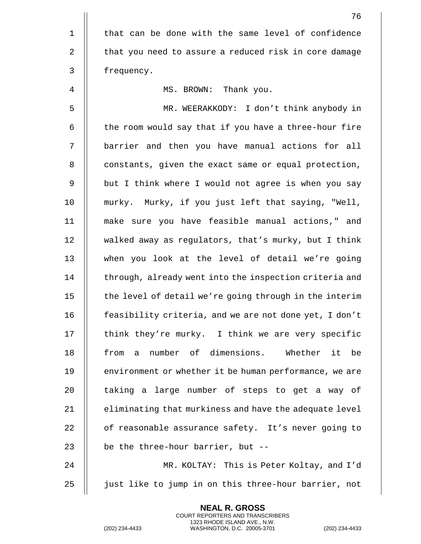|             | 76                                                     |
|-------------|--------------------------------------------------------|
| $\mathbf 1$ | that can be done with the same level of confidence     |
| 2           | that you need to assure a reduced risk in core damage  |
| 3           | frequency.                                             |
| 4           | MS. BROWN: Thank you.                                  |
| 5           | MR. WEERAKKODY: I don't think anybody in               |
| 6           | the room would say that if you have a three-hour fire  |
| 7           | barrier and then you have manual actions for all       |
| $\, 8$      | constants, given the exact same or equal protection,   |
| 9           | but I think where I would not agree is when you say    |
| 10          | murky. Murky, if you just left that saying, "Well,     |
| 11          | make sure you have feasible manual actions," and       |
| 12          | walked away as regulators, that's murky, but I think   |
| 13          | when you look at the level of detail we're going       |
| 14          | through, already went into the inspection criteria and |
| 15          | the level of detail we're going through in the interim |
| 16          | feasibility criteria, and we are not done yet, I don't |
| 17          | think they're murky. I think we are very specific      |
| 18          | number of dimensions. Whether it be<br>from<br>a       |
| 19          | environment or whether it be human performance, we are |
| 20          | taking a large number of steps to get a way of         |
| 21          | eliminating that murkiness and have the adequate level |
| 22          | of reasonable assurance safety. It's never going to    |
| 23          | be the three-hour barrier, but --                      |
| 24          | MR. KOLTAY: This is Peter Koltay, and I'd              |
| 25          | just like to jump in on this three-hour barrier, not   |

(202) 234-4433 WASHINGTON, D.C. 20005-3701 (202) 234-4433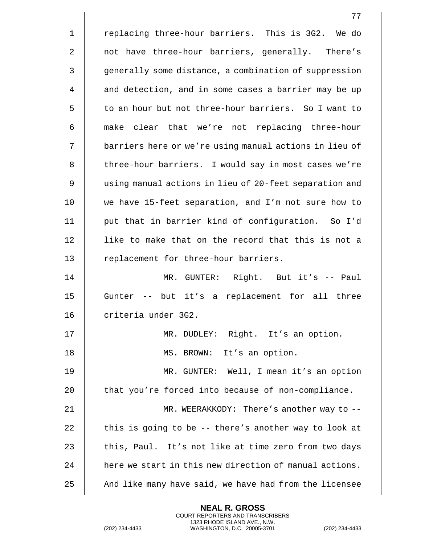1 || replacing three-hour barriers. This is 3G2. We do 2 || not have three-hour barriers, generally. There's 3 | generally some distance, a combination of suppression 4 || and detection, and in some cases a barrier may be up 5 to an hour but not three-hour barriers. So I want to 6 || make clear that we're not replacing three-hour 7 | barriers here or we're using manual actions in lieu of 8 | three-hour barriers. I would say in most cases we're 9 | using manual actions in lieu of 20-feet separation and 10 we have 15-feet separation, and I'm not sure how to 11 put that in barrier kind of configuration. So I'd 12 || like to make that on the record that this is not a 13 || replacement for three-hour barriers. 14 MR. GUNTER: Right. But it's -- Paul 15 Gunter -- but it's a replacement for all three 16 || criteria under 3G2. 17 MR. DUDLEY: Right. It's an option. 18 || MS. BROWN: It's an option. 19 MR. GUNTER: Well, I mean it's an option 20  $\parallel$  that you're forced into because of non-compliance. 21 || MR. WEERAKKODY: There's another way to --22  $\parallel$  this is going to be -- there's another way to look at 23 || this, Paul. It's not like at time zero from two days 24  $\parallel$  here we start in this new direction of manual actions. 25  $\parallel$  And like many have said, we have had from the licensee

> **NEAL R. GROSS** COURT REPORTERS AND TRANSCRIBERS 1323 RHODE ISLAND AVE., N.W.

(202) 234-4433 WASHINGTON, D.C. 20005-3701 (202) 234-4433

77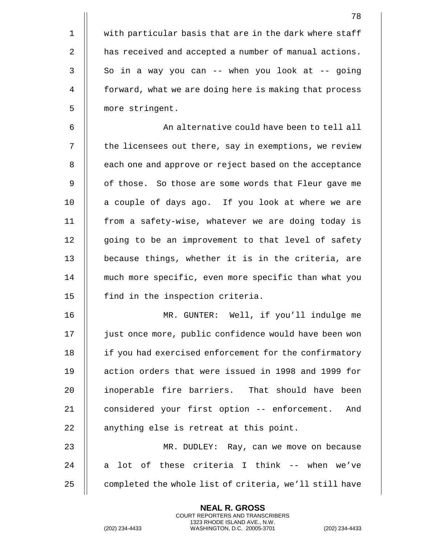1 | with particular basis that are in the dark where staff 2 | has received and accepted a number of manual actions.  $3 \parallel$  So in a way you can -- when you look at -- going 4 | forward, what we are doing here is making that process 5 | more stringent.

6 || An alternative could have been to tell all 7 || the licensees out there, say in exemptions, we review 8 || each one and approve or reject based on the acceptance 9 || of those. So those are some words that Fleur gave me 10 || a couple of days ago. If you look at where we are 11 from a safety-wise, whatever we are doing today is 12 || going to be an improvement to that level of safety 13 || because things, whether it is in the criteria, are 14 much more specific, even more specific than what you 15 || find in the inspection criteria.

16 MR. GUNTER: Well, if you'll indulge me 17 just once more, public confidence would have been won 18 | if you had exercised enforcement for the confirmatory 19 action orders that were issued in 1998 and 1999 for 20 || inoperable fire barriers. That should have been 21 || considered your first option -- enforcement. And 22 || anything else is retreat at this point.

23 MR. DUDLEY: Ray, can we move on because 24  $\parallel$  a lot of these criteria I think -- when we've 25  $\parallel$  completed the whole list of criteria, we'll still have

> **NEAL R. GROSS** COURT REPORTERS AND TRANSCRIBERS 1323 RHODE ISLAND AVE., N.W.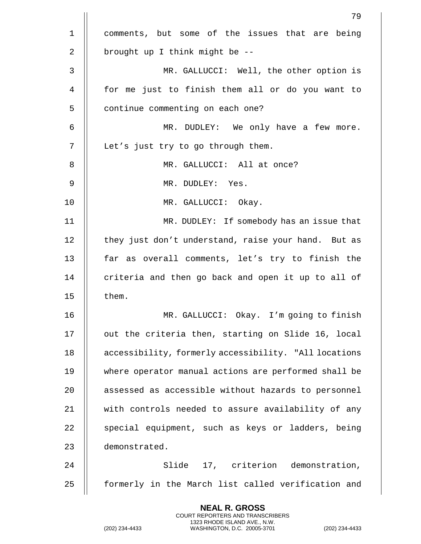|             | 79                                                    |
|-------------|-------------------------------------------------------|
| $\mathbf 1$ | comments, but some of the issues that are being       |
| 2           | brought up I think might be --                        |
| 3           | MR. GALLUCCI: Well, the other option is               |
| 4           | for me just to finish them all or do you want to      |
| 5           | continue commenting on each one?                      |
| 6           | MR. DUDLEY: We only have a few more.                  |
| 7           | Let's just try to go through them.                    |
| 8           | MR. GALLUCCI: All at once?                            |
| 9           | MR. DUDLEY: Yes.                                      |
| 10          | MR. GALLUCCI: Okay.                                   |
| 11          | MR. DUDLEY: If somebody has an issue that             |
| 12          | they just don't understand, raise your hand. But as   |
| 13          | far as overall comments, let's try to finish the      |
| 14          | criteria and then go back and open it up to all of    |
| 15          | them.                                                 |
| 16          | MR. GALLUCCI: Okay. I'm going to finish               |
| 17          | out the criteria then, starting on Slide 16, local    |
| 18          | accessibility, formerly accessibility. "All locations |
| 19          | where operator manual actions are performed shall be  |
| 20          | assessed as accessible without hazards to personnel   |
| 21          | with controls needed to assure availability of any    |
| 22          | special equipment, such as keys or ladders, being     |
| 23          | demonstrated.                                         |
| 24          | Slide 17, criterion demonstration,                    |
| 25          | formerly in the March list called verification and    |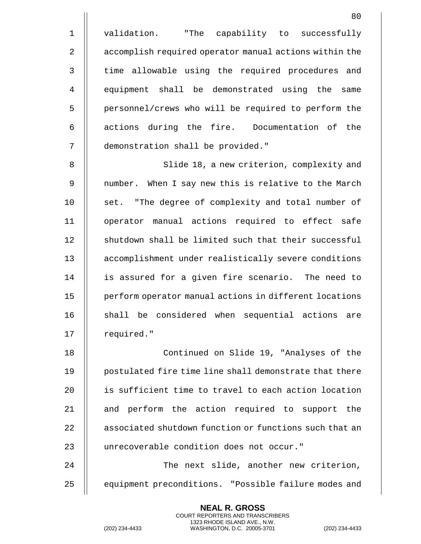1 || validation. "The capability to successfully 2 | accomplish required operator manual actions within the 3 || time allowable using the required procedures and 4 || equipment shall be demonstrated using the same 5 | personnel/crews who will be required to perform the  $6$   $\parallel$  actions during the fire. Documentation of the 7 demonstration shall be provided."

8 || Slide 18, a new criterion, complexity and 9 || number. When I say new this is relative to the March 10 || set. "The degree of complexity and total number of 11 operator manual actions required to effect safe 12 || shutdown shall be limited such that their successful 13 | accomplishment under realistically severe conditions 14 || is assured for a given fire scenario. The need to 15 | perform operator manual actions in different locations 16 || shall be considered when sequential actions are 17 | required."

18 Continued on Slide 19, "Analyses of the 19 || postulated fire time line shall demonstrate that there 20 **i** is sufficient time to travel to each action location 21 || and perform the action required to support the 22  $\parallel$  associated shutdown function or functions such that an 23 || unrecoverable condition does not occur." 24 The next slide, another new criterion,

25 | equipment preconditions. "Possible failure modes and

**NEAL R. GROSS** COURT REPORTERS AND TRANSCRIBERS 1323 RHODE ISLAND AVE., N.W.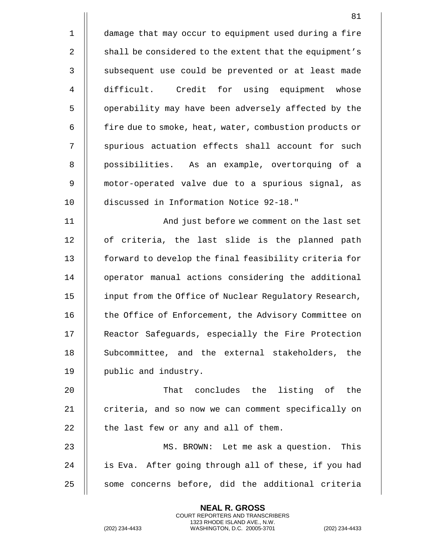1 damage that may occur to equipment used during a fire 2 | shall be considered to the extent that the equipment's 3 || subsequent use could be prevented or at least made 4 | difficult. Credit for using equipment whose 5 | | operability may have been adversely affected by the 6 | fire due to smoke, heat, water, combustion products or 7 || spurious actuation effects shall account for such 8 || possibilities. As an example, overtorquing of a 9 motor-operated valve due to a spurious signal, as 10 discussed in Information Notice 92-18." 11 || And just before we comment on the last set 12 || of criteria, the last slide is the planned path 13 || forward to develop the final feasibility criteria for 14 | operator manual actions considering the additional 15 | input from the Office of Nuclear Regulatory Research, 16 || the Office of Enforcement, the Advisory Committee on 17 | Reactor Safeguards, especially the Fire Protection 18 || Subcommittee, and the external stakeholders, the 19 || public and industry. 20 || That concludes the listing of the 21 || criteria, and so now we can comment specifically on  $22$  || the last few or any and all of them. 23 MS. BROWN: Let me ask a question. This 24  $\parallel$  is Eva. After going through all of these, if you had  $25$   $\parallel$  some concerns before, did the additional criteria

> **NEAL R. GROSS** COURT REPORTERS AND TRANSCRIBERS 1323 RHODE ISLAND AVE., N.W.

(202) 234-4433 WASHINGTON, D.C. 20005-3701 (202) 234-4433

81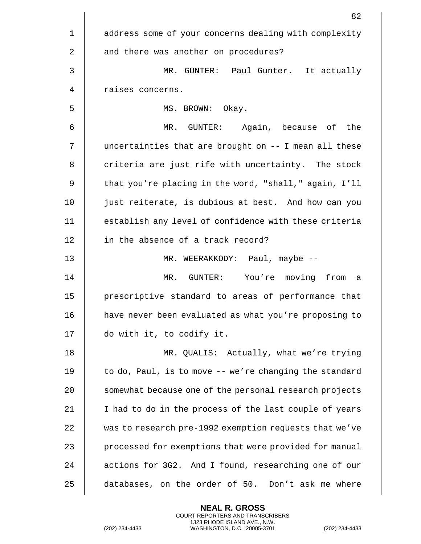|             | 82                                                     |
|-------------|--------------------------------------------------------|
| $\mathbf 1$ | address some of your concerns dealing with complexity  |
| 2           | and there was another on procedures?                   |
| 3           | MR. GUNTER: Paul Gunter. It actually                   |
| 4           | raises concerns.                                       |
| 5           | MS. BROWN: Okay.                                       |
| 6           | MR. GUNTER: Again, because of the                      |
| 7           | uncertainties that are brought on -- I mean all these  |
| 8           | criteria are just rife with uncertainty. The stock     |
| 9           | that you're placing in the word, "shall," again, I'll  |
| 10          | just reiterate, is dubious at best. And how can you    |
| 11          | establish any level of confidence with these criteria  |
| 12          | in the absence of a track record?                      |
| 13          | MR. WEERAKKODY: Paul, maybe --                         |
| 14          | MR. GUNTER: You're moving from<br>a                    |
| 15          | prescriptive standard to areas of performance that     |
| 16          | have never been evaluated as what you're proposing to  |
| 17          | do with it, to codify it.                              |
| 18          | MR. QUALIS: Actually, what we're trying                |
| 19          | to do, Paul, is to move -- we're changing the standard |
| 20          | somewhat because one of the personal research projects |
| 21          | I had to do in the process of the last couple of years |
| 22          | was to research pre-1992 exemption requests that we've |
| 23          | processed for exemptions that were provided for manual |
| 24          | actions for 3G2. And I found, researching one of our   |
| 25          | databases, on the order of 50. Don't ask me where      |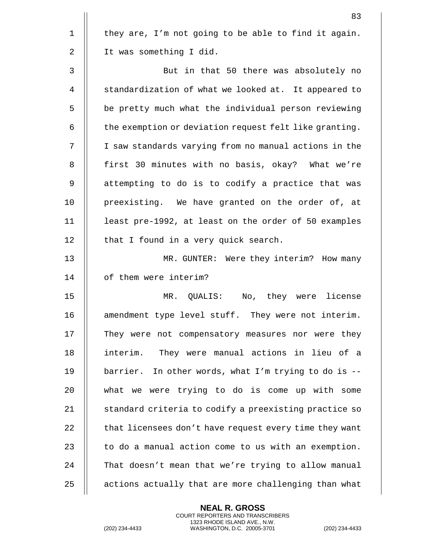|                | 83                                                     |
|----------------|--------------------------------------------------------|
| $\mathbf 1$    | they are, I'm not going to be able to find it again.   |
| 2              | It was something I did.                                |
| $\mathfrak{Z}$ | But in that 50 there was absolutely no                 |
| 4              | standardization of what we looked at. It appeared to   |
| 5              | be pretty much what the individual person reviewing    |
| 6              | the exemption or deviation request felt like granting. |
| 7              | I saw standards varying from no manual actions in the  |
| 8              | first 30 minutes with no basis, okay? What we're       |
| 9              | attempting to do is to codify a practice that was      |
| 10             | preexisting. We have granted on the order of, at       |
| 11             | least pre-1992, at least on the order of 50 examples   |
| 12             | that I found in a very quick search.                   |
| 13             | MR. GUNTER: Were they interim? How many                |
| 14             | of them were interim?                                  |
| 15             | MR. QUALIS:<br>No, they were license                   |
| 16             | amendment type level stuff. They were not interim.     |
| 17             | They were not compensatory measures nor were they      |
| 18             | interim.<br>They were manual actions in lieu of a      |
| 19             | barrier. In other words, what I'm trying to do is $-$  |
| 20             | what we were trying to do is come up with some         |
| 21             | standard criteria to codify a preexisting practice so  |
| 22             | that licensees don't have request every time they want |
| 23             | to do a manual action come to us with an exemption.    |
| 24             | That doesn't mean that we're trying to allow manual    |
| 25             | actions actually that are more challenging than what   |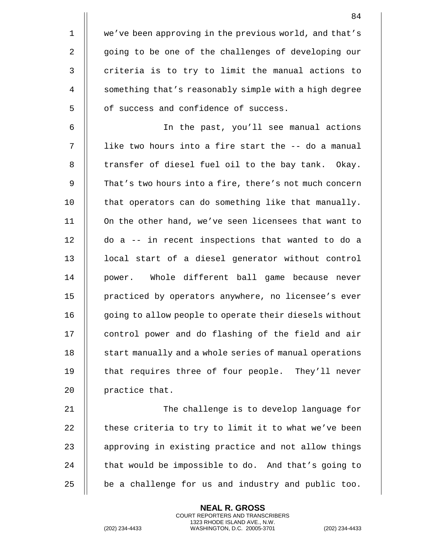1 | we've been approving in the previous world, and that's 2 | going to be one of the challenges of developing our  $3$   $\parallel$  criteria is to try to limit the manual actions to 4 | something that's reasonably simple with a high degree 5 | of success and confidence of success.

6 In the past, you'll see manual actions 7 || like two hours into a fire start the -- do a manual 8 || transfer of diesel fuel oil to the bay tank. Okay. 9 | That's two hours into a fire, there's not much concern 10 || that operators can do something like that manually. 11 On the other hand, we've seen licensees that want to 12 do a -- in recent inspections that wanted to do a 13 || local start of a diesel generator without control 14 || power. Whole different ball game because never 15 || practiced by operators anywhere, no licensee's ever 16 || qoing to allow people to operate their diesels without 17 | control power and do flashing of the field and air 18 || start manually and a whole series of manual operations 19 || that requires three of four people. They'll never 20 || practice that.

 The challenge is to develop language for  $\parallel$  these criteria to try to limit it to what we've been 23 || approving in existing practice and not allow things  $\parallel$  that would be impossible to do. And that's going to  $\parallel$  be a challenge for us and industry and public too.

> **NEAL R. GROSS** COURT REPORTERS AND TRANSCRIBERS 1323 RHODE ISLAND AVE., N.W.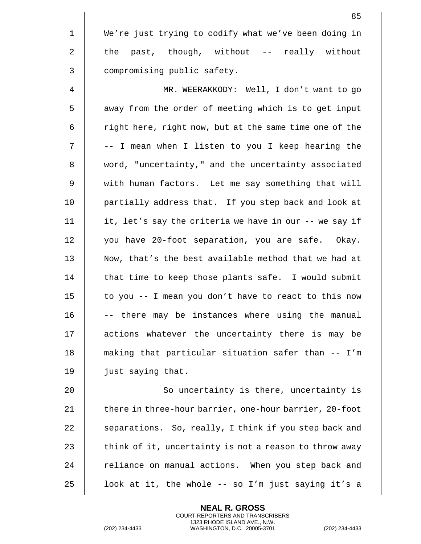1 We're just trying to codify what we've been doing in 2  $\parallel$  the past, though, without -- really without 3 | compromising public safety. 4 MR. WEERAKKODY: Well, I don't want to go 5 | away from the order of meeting which is to get input 6 | right here, right now, but at the same time one of the 7 ||  $-$  I mean when I listen to you I keep hearing the 8 | word, "uncertainty," and the uncertainty associated 9 with human factors. Let me say something that will 10 || partially address that. If you step back and look at 11 it, let's say the criteria we have in our -- we say if 12 | you have 20-foot separation, you are safe. Okay. 13 || Now, that's the best available method that we had at 14 || that time to keep those plants safe. I would submit 15  $\parallel$  to you -- I mean you don't have to react to this now  $16$   $||$  -- there may be instances where using the manual 17 || actions whatever the uncertainty there is may be 18 making that particular situation safer than -- I'm 19 | just saying that.

20 || So uncertainty is there, uncertainty is 21 || there in three-hour barrier, one-hour barrier, 20-foot 22 | separations. So, really, I think if you step back and 23  $\parallel$  think of it, uncertainty is not a reason to throw away  $24$   $\parallel$  reliance on manual actions. When you step back and 25  $\parallel$  100k at it, the whole -- so I'm just saying it's a

> **NEAL R. GROSS** COURT REPORTERS AND TRANSCRIBERS 1323 RHODE ISLAND AVE., N.W.

(202) 234-4433 WASHINGTON, D.C. 20005-3701 (202) 234-4433

85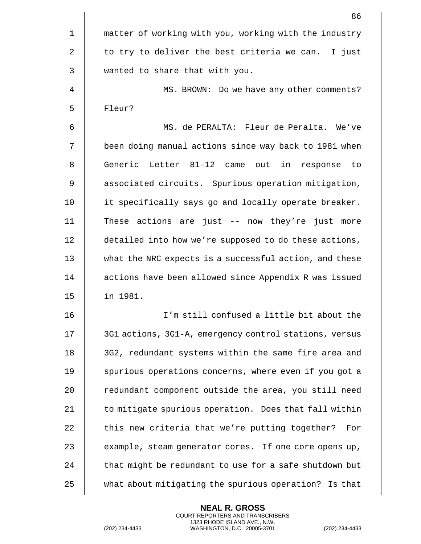|             | 86                                                     |
|-------------|--------------------------------------------------------|
| $\mathbf 1$ | matter of working with you, working with the industry  |
| 2           | to try to deliver the best criteria we can.<br>I just  |
| 3           | wanted to share that with you.                         |
| 4           | MS. BROWN: Do we have any other comments?              |
| 5           | Fleur?                                                 |
| 6           | MS. de PERALTA: Fleur de Peralta. We've                |
| 7           | been doing manual actions since way back to 1981 when  |
| 8           | Generic Letter 81-12 came out<br>in<br>response<br>to  |
| 9           | associated circuits. Spurious operation mitigation,    |
| 10          | it specifically says go and locally operate breaker.   |
| 11          | These actions are just -- now they're just more        |
| 12          | detailed into how we're supposed to do these actions,  |
| 13          | what the NRC expects is a successful action, and these |
| 14          | actions have been allowed since Appendix R was issued  |
| 15          | in 1981.                                               |
| 16          | I'm still confused a little bit about the              |
| 17          | 3G1 actions, 3G1-A, emergency control stations, versus |
| 18          | 3G2, redundant systems within the same fire area and   |
| 19          | spurious operations concerns, where even if you got a  |
| 20          | redundant component outside the area, you still need   |
| 21          | to mitigate spurious operation. Does that fall within  |
| 22          | this new criteria that we're putting together?<br>For  |
| 23          | example, steam generator cores. If one core opens up,  |
| 24          | that might be redundant to use for a safe shutdown but |
| 25          | what about mitigating the spurious operation? Is that  |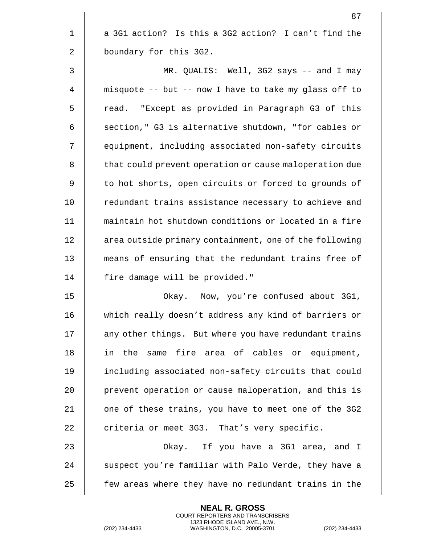$1 \parallel a$  3G1 action? Is this a 3G2 action? I can't find the 2 | boundary for this 3G2. 3 MR. QUALIS: Well, 3G2 says -- and I may 4 misquote -- but -- now I have to take my glass off to 5 || read. "Except as provided in Paragraph G3 of this 6  $\parallel$  section," G3 is alternative shutdown, "for cables or 7 || equipment, including associated non-safety circuits

8 | that could prevent operation or cause maloperation due 9 || to hot shorts, open circuits or forced to grounds of 10 || redundant trains assistance necessary to achieve and 11 maintain hot shutdown conditions or located in a fire 12 | area outside primary containment, one of the following 13 || means of ensuring that the redundant trains free of 14 || fire damage will be provided."

 Okay. Now, you're confused about 3G1, which really doesn't address any kind of barriers or 17 | any other things. But where you have redundant trains 18 || in the same fire area of cables or equipment, including associated non-safety circuits that could 20 | prevent operation or cause maloperation, and this is  $\parallel$  one of these trains, you have to meet one of the 3G2  $\parallel$  criteria or meet 3G3. That's very specific.

23 Okay. If you have a 3G1 area, and I 24  $\parallel$  suspect you're familiar with Palo Verde, they have a 25 **folut** few areas where they have no redundant trains in the

> **NEAL R. GROSS** COURT REPORTERS AND TRANSCRIBERS 1323 RHODE ISLAND AVE., N.W.

<sup>87</sup>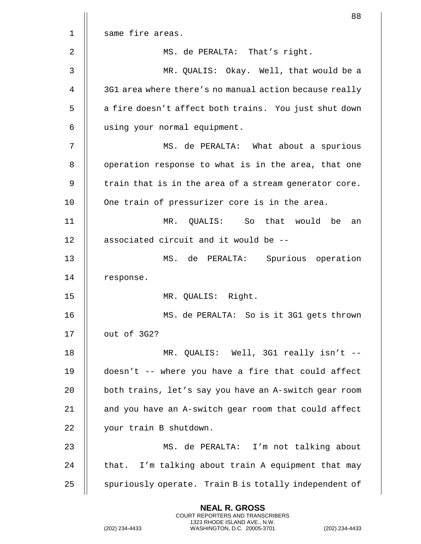|    | 88                                                     |
|----|--------------------------------------------------------|
| 1  | same fire areas.                                       |
| 2  | MS. de PERALTA: That's right.                          |
| 3  | MR. QUALIS: Okay. Well, that would be a                |
| 4  | 3G1 area where there's no manual action because really |
| 5  | a fire doesn't affect both trains. You just shut down  |
| 6  | using your normal equipment.                           |
| 7  | MS. de PERALTA: What about a spurious                  |
| 8  | operation response to what is in the area, that one    |
| 9  | train that is in the area of a stream generator core.  |
| 10 | One train of pressurizer core is in the area.          |
| 11 | MR. QUALIS: So that would<br>be<br>an                  |
| 12 | associated circuit and it would be --                  |
| 13 | MS. de PERALTA:<br>Spurious operation                  |
| 14 | response.                                              |
| 15 | MR. QUALIS: Right.                                     |
| 16 | MS. de PERALTA: So is it 3G1 gets thrown               |
| 17 | out of 3G2?                                            |
| 18 | MR. QUALIS: Well, 3G1 really isn't --                  |
| 19 | doesn't -- where you have a fire that could affect     |
| 20 | both trains, let's say you have an A-switch gear room  |
| 21 | and you have an A-switch gear room that could affect   |
| 22 | your train B shutdown.                                 |
| 23 | MS. de PERALTA: I'm not talking about                  |
| 24 | that. I'm talking about train A equipment that may     |
| 25 | spuriously operate. Train B is totally independent of  |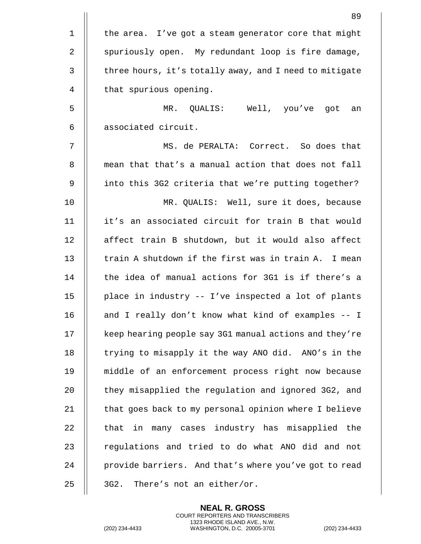|              | 89                                                     |
|--------------|--------------------------------------------------------|
| $\mathbf 1$  | the area. I've got a steam generator core that might   |
| $\sqrt{2}$   | spuriously open. My redundant loop is fire damage,     |
| $\mathsf{3}$ | three hours, it's totally away, and I need to mitigate |
| 4            | that spurious opening.                                 |
| 5            | MR. QUALIS: Well, you've got<br>an                     |
| 6            | associated circuit.                                    |
| 7            | MS. de PERALTA: Correct. So does that                  |
| 8            | mean that that's a manual action that does not fall    |
| 9            | into this 3G2 criteria that we're putting together?    |
| 10           | MR. QUALIS: Well, sure it does, because                |
| 11           | it's an associated circuit for train B that would      |
| 12           | affect train B shutdown, but it would also affect      |
| 13           | train A shutdown if the first was in train A. I mean   |
| 14           | the idea of manual actions for 3G1 is if there's a     |
| 15           | place in industry -- I've inspected a lot of plants    |
| 16           | and I really don't know what kind of examples -- I     |
| 17           | keep hearing people say 3G1 manual actions and they're |
| 18           | trying to misapply it the way ANO did. ANO's in the    |
| 19           | middle of an enforcement process right now because     |
| 20           | they misapplied the regulation and ignored 3G2, and    |
| 21           | that goes back to my personal opinion where I believe  |
| 22           | that in many cases industry has misapplied the         |
| 23           | regulations and tried to do what ANO did and not       |
| 24           | provide barriers. And that's where you've got to read  |
| 25           | There's not an either/or.<br>3G2.                      |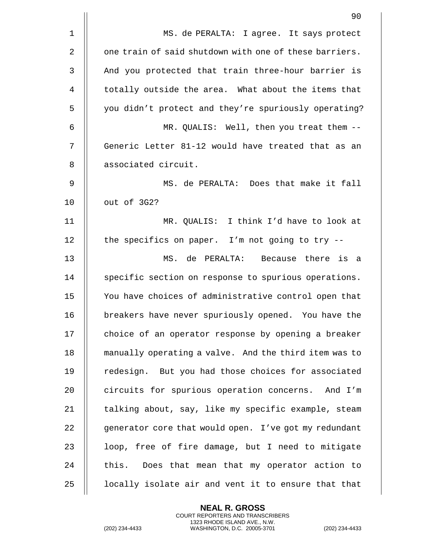|                | 90                                                     |
|----------------|--------------------------------------------------------|
| $\mathbf 1$    | MS. de PERALTA: I agree. It says protect               |
| 2              | one train of said shutdown with one of these barriers. |
| $\mathfrak{Z}$ | And you protected that train three-hour barrier is     |
| 4              | totally outside the area. What about the items that    |
| 5              | you didn't protect and they're spuriously operating?   |
| 6              | MR. QUALIS: Well, then you treat them --               |
| 7              | Generic Letter 81-12 would have treated that as an     |
| 8              | associated circuit.                                    |
| 9              | MS. de PERALTA: Does that make it fall                 |
| 10             | out of 3G2?                                            |
| 11             | MR. QUALIS: I think I'd have to look at                |
| 12             | the specifics on paper. I'm not going to try --        |
| 13             | MS. de PERALTA: Because there is a                     |
| 14             | specific section on response to spurious operations.   |
| 15             | You have choices of administrative control open that   |
| 16             | breakers have never spuriously opened. You have the    |
| 17             | choice of an operator response by opening a breaker    |
| 18             | manually operating a valve. And the third item was to  |
| 19             | redesign. But you had those choices for associated     |
| 20             | circuits for spurious operation concerns. And I'm      |
| 21             | talking about, say, like my specific example, steam    |
| 22             | generator core that would open. I've got my redundant  |
| 23             | loop, free of fire damage, but I need to mitigate      |
| 24             | this. Does that mean that my operator action to        |
| 25             | locally isolate air and vent it to ensure that that    |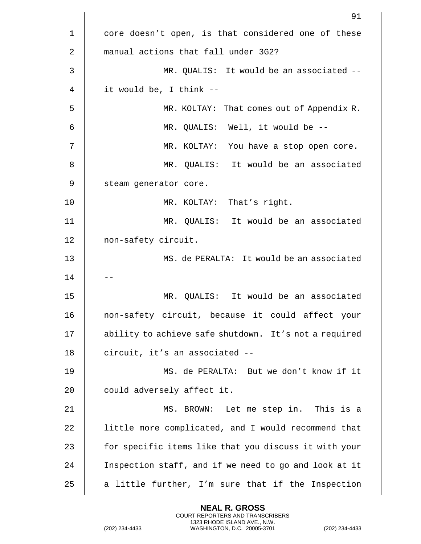|    | 91                                                    |
|----|-------------------------------------------------------|
| 1  | core doesn't open, is that considered one of these    |
| 2  | manual actions that fall under 3G2?                   |
| 3  | MR. QUALIS: It would be an associated --              |
| 4  | it would be, I think --                               |
| 5  | MR. KOLTAY: That comes out of Appendix R.             |
| 6  | MR. QUALIS: Well, it would be --                      |
| 7  | MR. KOLTAY: You have a stop open core.                |
| 8  | MR. QUALIS: It would be an associated                 |
| 9  | steam generator core.                                 |
| 10 | MR. KOLTAY: That's right.                             |
| 11 | MR. QUALIS: It would be an associated                 |
| 12 | non-safety circuit.                                   |
| 13 | MS. de PERALTA: It would be an associated             |
| 14 |                                                       |
| 15 | MR. QUALIS: It would be an associated                 |
| 16 | non-safety circuit, because it could affect your      |
| 17 | ability to achieve safe shutdown. It's not a required |
| 18 | circuit, it's an associated --                        |
| 19 | MS. de PERALTA: But we don't know if it               |
| 20 | could adversely affect it.                            |
| 21 | MS. BROWN: Let me step in. This is a                  |
| 22 | little more complicated, and I would recommend that   |
| 23 | for specific items like that you discuss it with your |
| 24 | Inspection staff, and if we need to go and look at it |
| 25 | a little further, I'm sure that if the Inspection     |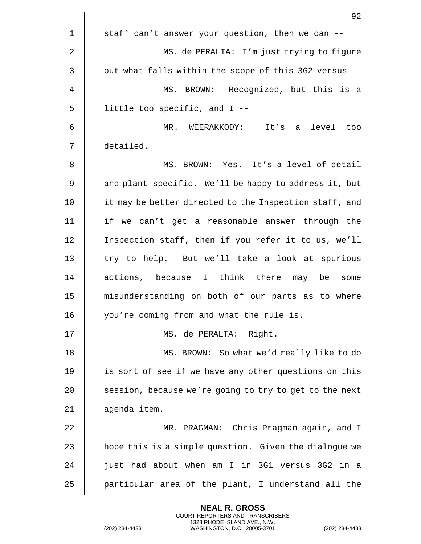|             | 92                                                     |
|-------------|--------------------------------------------------------|
| $\mathbf 1$ | staff can't answer your question, then we can --       |
| 2           | MS. de PERALTA: I'm just trying to figure              |
| 3           | out what falls within the scope of this 3G2 versus --  |
| 4           | MS. BROWN: Recognized, but this is a                   |
| 5           | little too specific, and $I$ --                        |
| 6           | MR. WEERAKKODY:<br>It's a level too                    |
| 7           | detailed.                                              |
| 8           | MS. BROWN: Yes. It's a level of detail                 |
| 9           | and plant-specific. We'll be happy to address it, but  |
| 10          | it may be better directed to the Inspection staff, and |
| 11          | if we can't get a reasonable answer through the        |
| 12          | Inspection staff, then if you refer it to us, we'll    |
| 13          | try to help. But we'll take a look at spurious         |
| 14          | actions, because I think there may be some             |
| 15          | misunderstanding on both of our parts as to where      |
| 16          | you're coming from and what the rule is.               |
| 17          | MS. de PERALTA: Right.                                 |
| 18          | MS. BROWN: So what we'd really like to do              |
| 19          | is sort of see if we have any other questions on this  |
| 20          | session, because we're going to try to get to the next |
| 21          | agenda item.                                           |
| 22          | MR. PRAGMAN: Chris Pragman again, and I                |
| 23          | hope this is a simple question. Given the dialogue we  |
| 24          | just had about when am I in 3G1 versus 3G2 in a        |
| 25          | particular area of the plant, I understand all the     |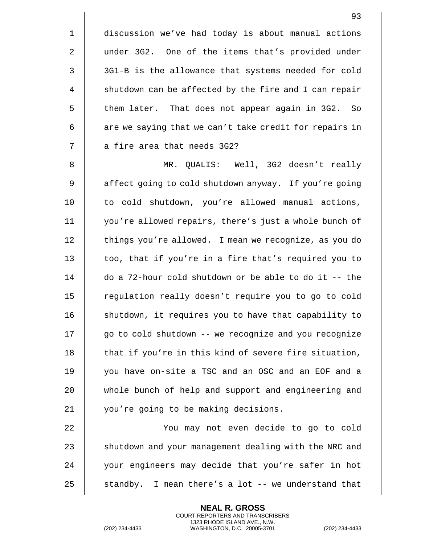1 discussion we've had today is about manual actions 2 || under 3G2. One of the items that's provided under 3 | 3G1-B is the allowance that systems needed for cold 4 | shutdown can be affected by the fire and I can repair 5 | them later. That does not appear again in 3G2. So  $6$  || are we saying that we can't take credit for repairs in 7 || a fire area that needs 3G2?

8 MR. QUALIS: Well, 3G2 doesn't really 9 | affect going to cold shutdown anyway. If you're going 10 || to cold shutdown, you're allowed manual actions, 11 you're allowed repairs, there's just a whole bunch of 12 | things you're allowed. I mean we recognize, as you do 13  $\parallel$  too, that if you're in a fire that's required you to 14 do a 72-hour cold shutdown or be able to do it -- the 15 | regulation really doesn't require you to go to cold 16 | shutdown, it requires you to have that capability to 17 | go to cold shutdown -- we recognize and you recognize 18  $\parallel$  that if you're in this kind of severe fire situation, 19 you have on-site a TSC and an OSC and an EOF and a 20 || whole bunch of help and support and engineering and 21 || you're going to be making decisions.

 You may not even decide to go to cold  $\parallel$  shutdown and your management dealing with the NRC and 24 || your engineers may decide that you're safer in hot  $\parallel$  standby. I mean there's a lot -- we understand that

> **NEAL R. GROSS** COURT REPORTERS AND TRANSCRIBERS 1323 RHODE ISLAND AVE., N.W.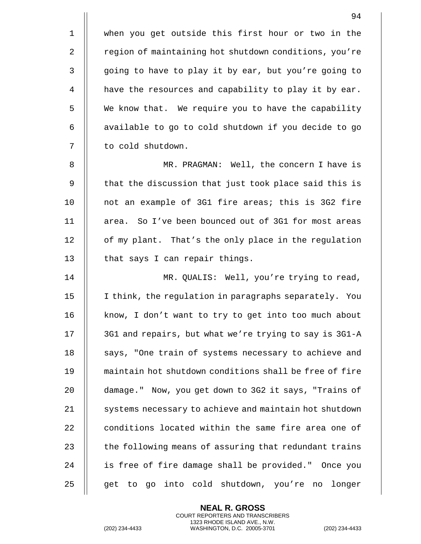94

1 || when you get outside this first hour or two in the 2 | region of maintaining hot shutdown conditions, you're 3 | going to have to play it by ear, but you're going to 4 | have the resources and capability to play it by ear. 5 | We know that. We require you to have the capability  $6$  || available to go to cold shutdown if you decide to go 7 | to cold shutdown.

8 MR. PRAGMAN: Well, the concern I have is 9 || that the discussion that just took place said this is 10 || not an example of 3G1 fire areas; this is 3G2 fire 11 area. So I've been bounced out of 3G1 for most areas 12 | of my plant. That's the only place in the regulation 13 || that says I can repair things.

14 MR. QUALIS: Well, you're trying to read, 15 I think, the regulation in paragraphs separately. You 16 || know, I don't want to try to get into too much about 17 || 3G1 and repairs, but what we're trying to say is 3G1-A 18 || says, "One train of systems necessary to achieve and 19 maintain hot shutdown conditions shall be free of fire 20 **damage.**" Now, you get down to 3G2 it says, "Trains of 21 | systems necessary to achieve and maintain hot shutdown 22 || conditions located within the same fire area one of 23  $\parallel$  the following means of assuring that redundant trains 24 || is free of fire damage shall be provided." Once you  $25$  || get to go into cold shutdown, you're no longer

> **NEAL R. GROSS** COURT REPORTERS AND TRANSCRIBERS 1323 RHODE ISLAND AVE., N.W.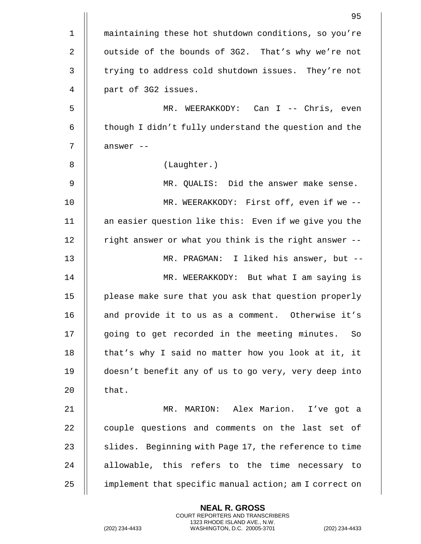|    | 95                                                     |
|----|--------------------------------------------------------|
| 1  | maintaining these hot shutdown conditions, so you're   |
| 2  | outside of the bounds of 3G2. That's why we're not     |
| 3  | trying to address cold shutdown issues. They're not    |
| 4  | part of 3G2 issues.                                    |
| 5  | MR. WEERAKKODY: Can I -- Chris, even                   |
| 6  | though I didn't fully understand the question and the  |
| 7  | answer --                                              |
| 8  | (Laughter.)                                            |
| 9  | MR. QUALIS: Did the answer make sense.                 |
| 10 | MR. WEERAKKODY: First off, even if we --               |
| 11 | an easier question like this: Even if we give you the  |
| 12 | right answer or what you think is the right answer --  |
| 13 | I liked his answer, but --<br>MR. PRAGMAN:             |
| 14 | MR. WEERAKKODY: But what I am saying is                |
| 15 | please make sure that you ask that question properly   |
| 16 | and provide it to us as a comment. Otherwise it's      |
| 17 | going to get recorded in the meeting minutes.<br>So    |
| 18 | that's why I said no matter how you look at it, it     |
| 19 | doesn't benefit any of us to go very, very deep into   |
| 20 | that.                                                  |
| 21 | MR. MARION: Alex Marion. I've got a                    |
| 22 | couple questions and comments on the last set of       |
| 23 | slides. Beginning with Page 17, the reference to time  |
| 24 | allowable, this refers to the time necessary to        |
| 25 | implement that specific manual action; am I correct on |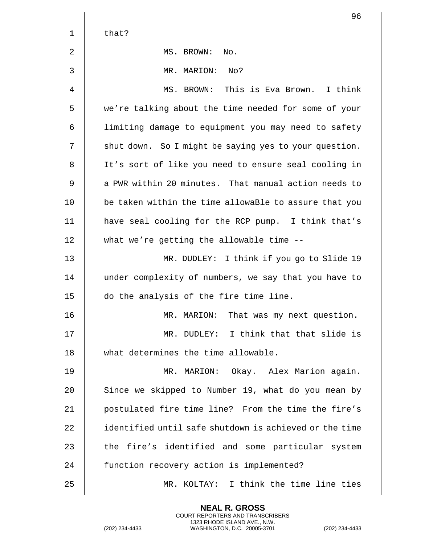|             | 96                                                     |
|-------------|--------------------------------------------------------|
| $\mathbf 1$ | that?                                                  |
| 2           | MS. BROWN:<br>No.                                      |
| 3           | MR. MARION:<br>No?                                     |
| 4           | MS. BROWN: This is Eva Brown. I think                  |
| 5           | we're talking about the time needed for some of your   |
| 6           | limiting damage to equipment you may need to safety    |
| 7           | shut down. So I might be saying yes to your question.  |
| 8           | It's sort of like you need to ensure seal cooling in   |
| 9           | a PWR within 20 minutes. That manual action needs to   |
| 10          | be taken within the time allowaBle to assure that you  |
| 11          | have seal cooling for the RCP pump. I think that's     |
| 12          | what we're getting the allowable time --               |
| 13          | MR. DUDLEY: I think if you go to Slide 19              |
| 14          | under complexity of numbers, we say that you have to   |
| 15          | do the analysis of the fire time line.                 |
| 16          | That was my next question.<br>MR. MARION:              |
| 17          | MR. DUDLEY: I think that that slide is                 |
| 18          | what determines the time allowable.                    |
| 19          | MR. MARION: Okay. Alex Marion again.                   |
| 20          | Since we skipped to Number 19, what do you mean by     |
| 21          | postulated fire time line? From the time the fire's    |
| 22          | identified until safe shutdown is achieved or the time |
| 23          | the fire's identified and some particular system       |
| 24          | function recovery action is implemented?               |
| 25          | MR. KOLTAY: I think the time line ties                 |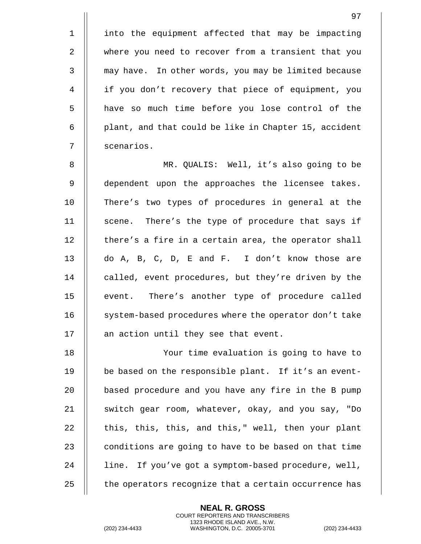1 || into the equipment affected that may be impacting 2 where you need to recover from a transient that you 3 || may have. In other words, you may be limited because 4 if you don't recovery that piece of equipment, you 5 || have so much time before you lose control of the 6 | plant, and that could be like in Chapter 15, accident 7 scenarios.

8 MR. QUALIS: Well, it's also going to be 9 || dependent upon the approaches the licensee takes. 10 There's two types of procedures in general at the 11 || scene. There's the type of procedure that says if  $12$  | there's a fire in a certain area, the operator shall 13 || do A, B, C, D, E and F. I don't know those are 14 || called, event procedures, but they're driven by the 15 || event. There's another type of procedure called 16 || system-based procedures where the operator don't take  $17$  || an action until they see that event.

18 Your time evaluation is going to have to 19 || be based on the responsible plant. If it's an event-20 | based procedure and you have any fire in the B pump 21 || switch gear room, whatever, okay, and you say, "Do  $22$   $\parallel$  this, this, this, and this," well, then your plant 23  $\parallel$  conditions are going to have to be based on that time 24 || line. If you've got a symptom-based procedure, well, 25  $\parallel$  the operators recognize that a certain occurrence has

> **NEAL R. GROSS** COURT REPORTERS AND TRANSCRIBERS 1323 RHODE ISLAND AVE., N.W.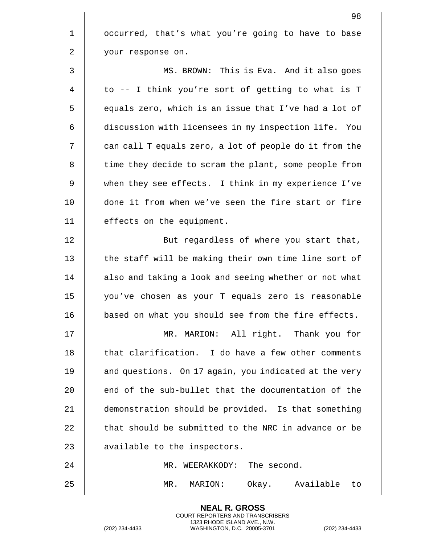|             | 98                                                     |
|-------------|--------------------------------------------------------|
| $\mathbf 1$ | occurred, that's what you're going to have to base     |
| 2           | your response on.                                      |
| 3           | MS. BROWN: This is Eva. And it also goes               |
| 4           | to -- I think you're sort of getting to what is T      |
| 5           | equals zero, which is an issue that I've had a lot of  |
| 6           | discussion with licensees in my inspection life. You   |
| 7           | can call T equals zero, a lot of people do it from the |
| 8           | time they decide to scram the plant, some people from  |
| 9           | when they see effects. I think in my experience I've   |
| 10          | done it from when we've seen the fire start or fire    |
| 11          | effects on the equipment.                              |
| 12          | But regardless of where you start that,                |
| 13          | the staff will be making their own time line sort of   |
| 14          | also and taking a look and seeing whether or not what  |
| 15          | you've chosen as your T equals zero is reasonable      |
| 16          | based on what you should see from the fire effects.    |
| 17          | MR. MARION: All right. Thank you for                   |
| 18          | that clarification. I do have a few other comments     |
| 19          | and questions. On 17 again, you indicated at the very  |
| 20          | end of the sub-bullet that the documentation of the    |
| 21          | demonstration should be provided. Is that something    |
| 22          | that should be submitted to the NRC in advance or be   |
| 23          | available to the inspectors.                           |
| 24          | MR. WEERAKKODY: The second.                            |
| 25          | Okay. Available<br>MR.<br>MARION:<br>to                |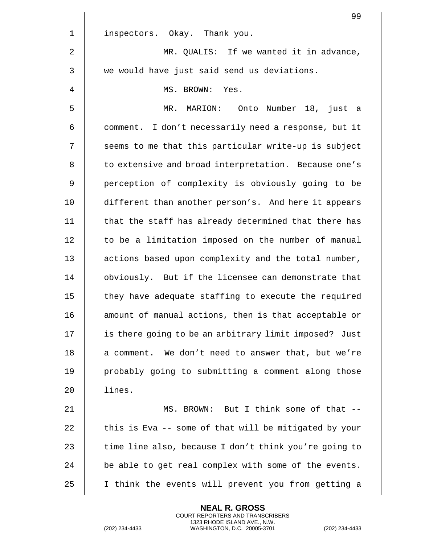|             | 99                                                    |
|-------------|-------------------------------------------------------|
| $\mathbf 1$ | inspectors. Okay. Thank you.                          |
| 2           | MR. QUALIS: If we wanted it in advance,               |
| 3           | we would have just said send us deviations.           |
| 4           | MS. BROWN: Yes.                                       |
| 5           | MR. MARION: Onto Number 18, just a                    |
| 6           | comment. I don't necessarily need a response, but it  |
| 7           | seems to me that this particular write-up is subject  |
| 8           | to extensive and broad interpretation. Because one's  |
| 9           | perception of complexity is obviously going to be     |
| 10          | different than another person's. And here it appears  |
| 11          | that the staff has already determined that there has  |
| 12          | to be a limitation imposed on the number of manual    |
| 13          | actions based upon complexity and the total number,   |
| 14          | obviously. But if the licensee can demonstrate that   |
| 15          | they have adequate staffing to execute the required   |
| 16          | amount of manual actions, then is that acceptable or  |
| 17          | is there going to be an arbitrary limit imposed? Just |
| 18          | a comment. We don't need to answer that, but we're    |
| 19          | probably going to submitting a comment along those    |
| 20          | lines.                                                |
| 21          | MS. BROWN: But I think some of that --                |
| 22          | this is Eva -- some of that will be mitigated by your |
| 23          | time line also, because I don't think you're going to |
| 24          | be able to get real complex with some of the events.  |
| 25          | I think the events will prevent you from getting a    |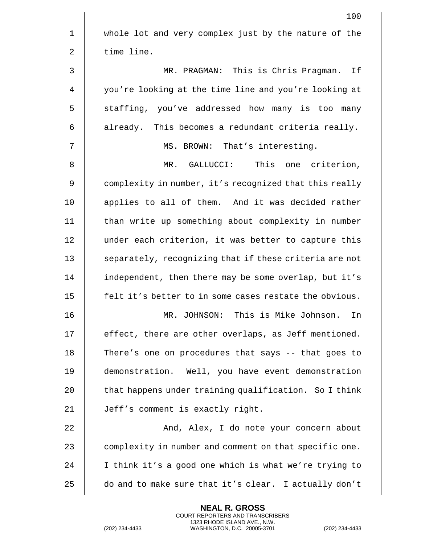|                | 100                                                    |
|----------------|--------------------------------------------------------|
| $\mathbf 1$    | whole lot and very complex just by the nature of the   |
| 2              | time line.                                             |
| $\mathfrak{Z}$ | MR. PRAGMAN: This is Chris Pragman. If                 |
| 4              | you're looking at the time line and you're looking at  |
| 5              | staffing, you've addressed how many is too many        |
| 6              | already. This becomes a redundant criteria really.     |
| 7              | MS. BROWN: That's interesting.                         |
| 8              | MR. GALLUCCI:<br>This one criterion,                   |
| 9              | complexity in number, it's recognized that this really |
| 10             | applies to all of them. And it was decided rather      |
| 11             | than write up something about complexity in number     |
| 12             | under each criterion, it was better to capture this    |
| 13             | separately, recognizing that if these criteria are not |
| 14             | independent, then there may be some overlap, but it's  |
| 15             | felt it's better to in some cases restate the obvious. |
| 16             | This is Mike Johnson.<br>MR.<br>JOHNSON:<br>In         |
| 17             | effect, there are other overlaps, as Jeff mentioned.   |
| 18             | There's one on procedures that says -- that goes to    |
| 19             | demonstration. Well, you have event demonstration      |
| 20             | that happens under training qualification. So I think  |
| 21             | Jeff's comment is exactly right.                       |
| 22             | And, Alex, I do note your concern about                |
| 23             | complexity in number and comment on that specific one. |
| 24             | I think it's a good one which is what we're trying to  |
| 25             | do and to make sure that it's clear. I actually don't  |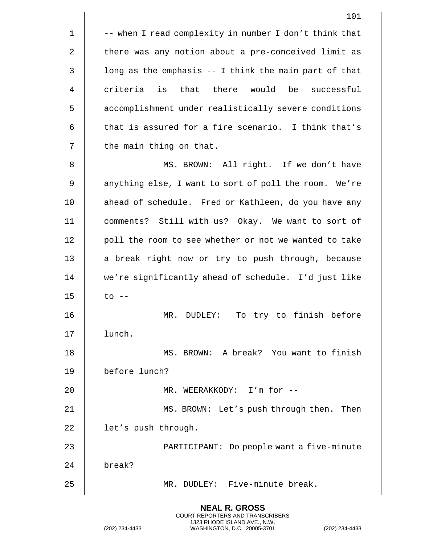|             | 101                                                    |
|-------------|--------------------------------------------------------|
| $\mathbf 1$ | -- when I read complexity in number I don't think that |
| 2           | there was any notion about a pre-conceived limit as    |
| 3           | long as the emphasis -- I think the main part of that  |
| 4           | criteria is that there would<br>be<br>successful       |
| 5           | accomplishment under realistically severe conditions   |
| 6           | that is assured for a fire scenario. I think that's    |
| 7           | the main thing on that.                                |
| 8           | MS. BROWN: All right. If we don't have                 |
| 9           | anything else, I want to sort of poll the room. We're  |
| 10          | ahead of schedule. Fred or Kathleen, do you have any   |
| 11          | comments? Still with us? Okay. We want to sort of      |
| 12          | poll the room to see whether or not we wanted to take  |
| 13          | a break right now or try to push through, because      |
| 14          | we're significantly ahead of schedule. I'd just like   |
| 15          | $\circ$ --                                             |
| 16          | To try to finish before<br>$\mathtt{MR}$ .<br>DUDLEY:  |
| 17          | lunch.                                                 |
| 18          | MS. BROWN: A break? You want to finish                 |
| 19          | before lunch?                                          |
| 20          | MR. WEERAKKODY: I'm for --                             |
| 21          | MS. BROWN: Let's push through then. Then               |
| 22          | let's push through.                                    |
| 23          | PARTICIPANT: Do people want a five-minute              |
| 24          | break?                                                 |
| 25          | MR. DUDLEY: Five-minute break.                         |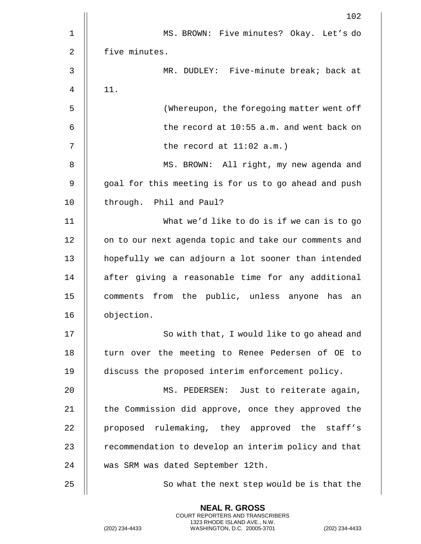|             | 102                                                   |
|-------------|-------------------------------------------------------|
| $\mathbf 1$ | MS. BROWN: Five minutes? Okay. Let's do               |
| 2           | five minutes.                                         |
| 3           | MR. DUDLEY: Five-minute break; back at                |
| 4           | 11.                                                   |
| 5           | (Whereupon, the foregoing matter went off             |
| 6           | the record at 10:55 a.m. and went back on             |
| 7           | the record at $11:02$ a.m.)                           |
| 8           | MS. BROWN: All right, my new agenda and               |
| 9           | goal for this meeting is for us to go ahead and push  |
| 10          | through. Phil and Paul?                               |
| 11          | What we'd like to do is if we can is to go            |
| 12          | on to our next agenda topic and take our comments and |
| 13          | hopefully we can adjourn a lot sooner than intended   |
| 14          | after giving a reasonable time for any additional     |
| 15          | comments from the public, unless anyone has an        |
| 16          | objection.                                            |
| 17          | So with that, I would like to go ahead and            |
| 18          | turn over the meeting to Renee Pedersen of OE to      |
| 19          | discuss the proposed interim enforcement policy.      |
| 20          | MS. PEDERSEN: Just to reiterate again,                |
| 21          | the Commission did approve, once they approved the    |
| 22          | proposed rulemaking, they approved the staff's        |
| 23          | recommendation to develop an interim policy and that  |
| 24          | was SRM was dated September 12th.                     |
| 25          | So what the next step would be is that the            |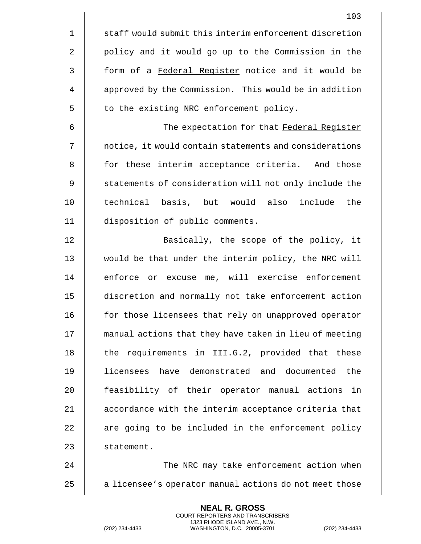|                | 103                                                    |
|----------------|--------------------------------------------------------|
| $\mathbf 1$    | staff would submit this interim enforcement discretion |
| $\overline{2}$ | policy and it would go up to the Commission in the     |
| $\mathfrak{Z}$ | form of a Federal Register notice and it would be      |
| 4              | approved by the Commission. This would be in addition  |
| 5              | to the existing NRC enforcement policy.                |
| 6              | The expectation for that Federal Register              |
| 7              | notice, it would contain statements and considerations |
| 8              | for these interim acceptance criteria. And those       |
| 9              | statements of consideration will not only include the  |
| 10             | technical basis, but would also include the            |
| 11             | disposition of public comments.                        |
| 12             | Basically, the scope of the policy, it                 |
| 13             | would be that under the interim policy, the NRC will   |
| 14             | enforce or excuse me, will exercise enforcement        |
| 15             | discretion and normally not take enforcement action    |
| 16             | for those licensees that rely on unapproved operator   |
| 17             | manual actions that they have taken in lieu of meeting |
| 18             | the requirements in III.G.2, provided that these       |
| 19             | licensees have demonstrated and documented the         |
| 20             | feasibility of their operator manual actions<br>in     |
| 21             | accordance with the interim acceptance criteria that   |
| 22             | are going to be included in the enforcement policy     |
| 23             | statement.                                             |
| 24             | The NRC may take enforcement action when               |
| 25             | a licensee's operator manual actions do not meet those |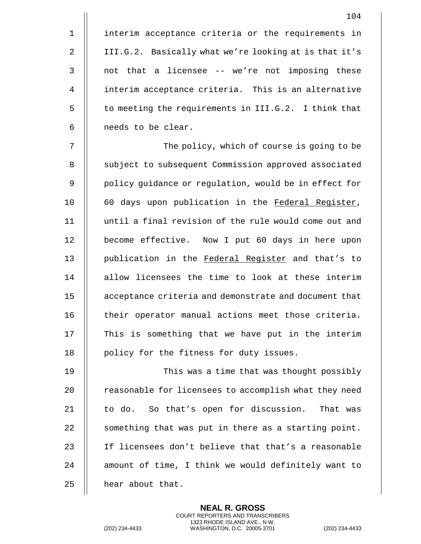1 | interim acceptance criteria or the requirements in 2 | III.G.2. Basically what we're looking at is that it's  $3$  || not that a licensee  $-$  we're not imposing these 4 | interim acceptance criteria. This is an alternative  $5$  || to meeting the requirements in III.G.2. I think that 6 | needs to be clear.

7 || The policy, which of course is going to be 8 | subject to subsequent Commission approved associated 9 || policy guidance or regulation, would be in effect for 10 || 60 days upon publication in the Federal Register, 11 until a final revision of the rule would come out and 12 | become effective. Now I put 60 days in here upon 13 || publication in the Federal Register and that's to 14 || allow licensees the time to look at these interim 15 acceptance criteria and demonstrate and document that 16 || their operator manual actions meet those criteria.  $17$   $\parallel$  This is something that we have put in the interim 18 || policy for the fitness for duty issues.

19 This was a time that was thought possibly 20 | reasonable for licensees to accomplish what they need 21 | to do. So that's open for discussion. That was 22  $\parallel$  something that was put in there as a starting point. 23 || If licensees don't believe that that's a reasonable 24 || amount of time, I think we would definitely want to  $25$  | hear about that.

> **NEAL R. GROSS** COURT REPORTERS AND TRANSCRIBERS 1323 RHODE ISLAND AVE., N.W.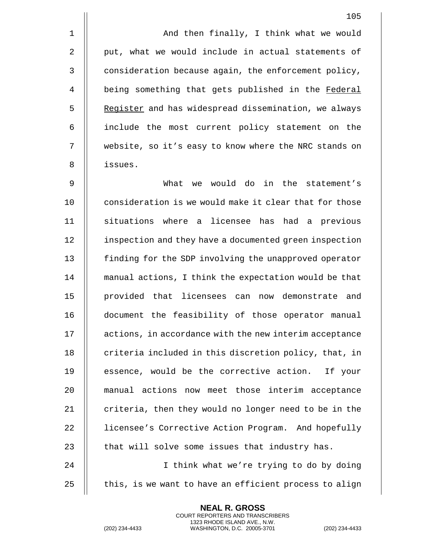1 And then finally, I think what we would  $2 \parallel$  put, what we would include in actual statements of 3 | consideration because again, the enforcement policy, 4 | being something that gets published in the Federal 5 | Register and has widespread dissemination, we always 6 include the most current policy statement on the 7 website, so it's easy to know where the NRC stands on 8 issues.

9 What we would do in the statement's 10  $\parallel$  consideration is we would make it clear that for those 11 situations where a licensee has had a previous 12 | inspection and they have a documented green inspection 13 | finding for the SDP involving the unapproved operator 14 manual actions, I think the expectation would be that 15 provided that licensees can now demonstrate and 16 document the feasibility of those operator manual 17 | actions, in accordance with the new interim acceptance 18 || criteria included in this discretion policy, that, in 19 || essence, would be the corrective action. If your 20 manual actions now meet those interim acceptance 21  $\parallel$  criteria, then they would no longer need to be in the 22 | licensee's Corrective Action Program. And hopefully 23  $\parallel$  that will solve some issues that industry has.

24 || I think what we're trying to do by doing 25  $\parallel$  this, is we want to have an efficient process to align

> **NEAL R. GROSS** COURT REPORTERS AND TRANSCRIBERS 1323 RHODE ISLAND AVE., N.W.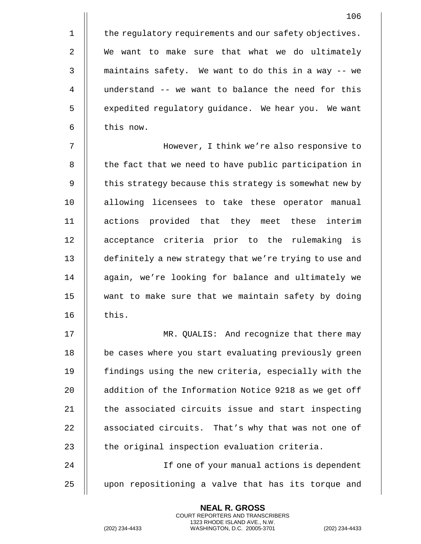1 | the regulatory requirements and our safety objectives. 2 || We want to make sure that what we do ultimately  $3$   $\parallel$  maintains safety. We want to do this in a way -- we 4 understand -- we want to balance the need for this 5 | expedited regulatory guidance. We hear you. We want  $6$   $\parallel$  this now.

7 However, I think we're also responsive to 8 | the fact that we need to have public participation in 9 | this strategy because this strategy is somewhat new by 10 || allowing licensees to take these operator manual 11 actions provided that they meet these interim 12 || acceptance criteria prior to the rulemaking is 13 | definitely a new strategy that we're trying to use and 14 || again, we're looking for balance and ultimately we 15 want to make sure that we maintain safety by doing  $16$   $\parallel$  this.

17 MR. QUALIS: And recognize that there may 18 || be cases where you start evaluating previously green 19 findings using the new criteria, especially with the 20 | addition of the Information Notice 9218 as we get off  $21$   $\parallel$  the associated circuits issue and start inspecting 22 | associated circuits. That's why that was not one of 23  $\parallel$  the original inspection evaluation criteria.

24 If one of your manual actions is dependent 25 upon repositioning a valve that has its torque and

> **NEAL R. GROSS** COURT REPORTERS AND TRANSCRIBERS 1323 RHODE ISLAND AVE., N.W.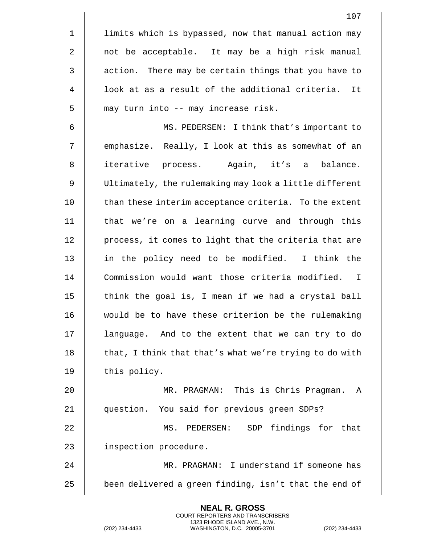|                | 107                                                    |
|----------------|--------------------------------------------------------|
| $\mathbf 1$    | limits which is bypassed, now that manual action may   |
| 2              | not be acceptable. It may be a high risk manual        |
| $\mathbf{3}$   | action. There may be certain things that you have to   |
| $\overline{4}$ | look at as a result of the additional criteria. It     |
| 5              | may turn into -- may increase risk.                    |
| 6              | MS. PEDERSEN: I think that's important to              |
| 7              | emphasize. Really, I look at this as somewhat of an    |
| 8              | iterative process. Again, it's a balance.              |
| $\mathsf 9$    | Ultimately, the rulemaking may look a little different |
| 10             | than these interim acceptance criteria. To the extent  |
| 11             | that we're on a learning curve and through this        |
| 12             | process, it comes to light that the criteria that are  |
| 13             | in the policy need to be modified. I think the         |
| 14             | Commission would want those criteria modified. I       |
| 15             | think the goal is, I mean if we had a crystal ball     |
| 16             | would be to have these criterion be the rulemaking     |
| 17             | language. And to the extent that we can try to do      |
| 18             | that, I think that that's what we're trying to do with |
| 19             | this policy.                                           |
| 20             | MR. PRAGMAN: This is Chris Pragman.<br>A               |
| 21             | question. You said for previous green SDPs?            |
| 22             | MS. PEDERSEN: SDP findings for that                    |
| 23             | inspection procedure.                                  |
| 24             | MR. PRAGMAN: I understand if someone has               |
| 25             | been delivered a green finding, isn't that the end of  |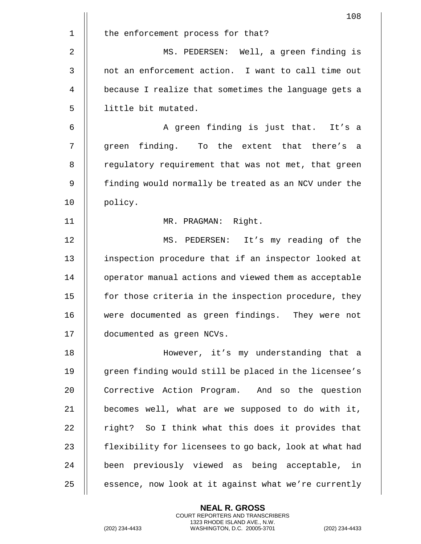|                | 108                                                    |
|----------------|--------------------------------------------------------|
| $\mathbf 1$    | the enforcement process for that?                      |
| 2              | MS. PEDERSEN: Well, a green finding is                 |
| 3              | not an enforcement action. I want to call time out     |
| $\overline{4}$ | because I realize that sometimes the language gets a   |
| 5              | little bit mutated.                                    |
| 6              | A green finding is just that. It's a                   |
| $\overline{7}$ | green finding. To the extent that there's a            |
| 8              | regulatory requirement that was not met, that green    |
| 9              | finding would normally be treated as an NCV under the  |
| 10             | policy.                                                |
| 11             | MR. PRAGMAN: Right.                                    |
| 12             | MS. PEDERSEN: It's my reading of the                   |
| 13             | inspection procedure that if an inspector looked at    |
| 14             | operator manual actions and viewed them as acceptable  |
| 15             | for those criteria in the inspection procedure, they   |
| 16             | were documented as green findings. They were not       |
| 17             | documented as green NCVs.                              |
| 18             | However, it's my understanding that a                  |
| 19             | green finding would still be placed in the licensee's  |
| 20             | Corrective Action Program. And so the question         |
| 21             | becomes well, what are we supposed to do with it,      |
| 22             | right? So I think what this does it provides that      |
| 23             | flexibility for licensees to go back, look at what had |
| 24             | been previously viewed as being acceptable, in         |
| 25             | essence, now look at it against what we're currently   |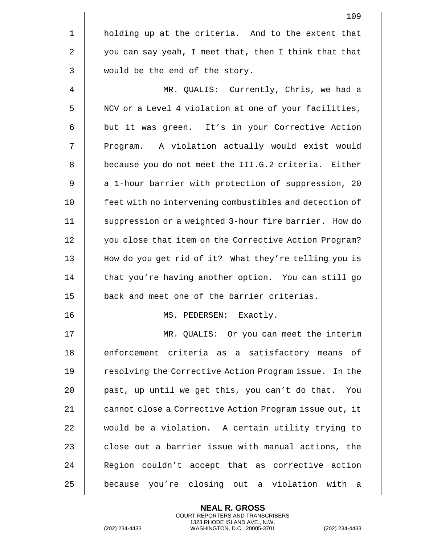|             | 109                                                    |
|-------------|--------------------------------------------------------|
| $\mathbf 1$ | holding up at the criteria. And to the extent that     |
| 2           | you can say yeah, I meet that, then I think that that  |
| 3           | would be the end of the story.                         |
| 4           | MR. QUALIS: Currently, Chris, we had a                 |
| 5           | NCV or a Level 4 violation at one of your facilities,  |
| 6           | but it was green. It's in your Corrective Action       |
| 7           | Program. A violation actually would exist would        |
| 8           | because you do not meet the III.G.2 criteria. Either   |
| 9           | a 1-hour barrier with protection of suppression, 20    |
| 10          | feet with no intervening combustibles and detection of |
| 11          | suppression or a weighted 3-hour fire barrier. How do  |
| 12          | you close that item on the Corrective Action Program?  |
| 13          | How do you get rid of it? What they're telling you is  |
| 14          | that you're having another option. You can still go    |
| 15          | back and meet one of the barrier criterias.            |
| 16          | MS. PEDERSEN: Exactly.                                 |
| 17          | MR. QUALIS: Or you can meet the interim                |
| 18          | enforcement criteria as a satisfactory means of        |
| 19          | resolving the Corrective Action Program issue. In the  |
| 20          | past, up until we get this, you can't do that. You     |
| 21          | cannot close a Corrective Action Program issue out, it |
| 22          | would be a violation. A certain utility trying to      |
| 23          | close out a barrier issue with manual actions, the     |
| 24          | Region couldn't accept that as corrective action       |
| 25          | because you're closing out a violation with a          |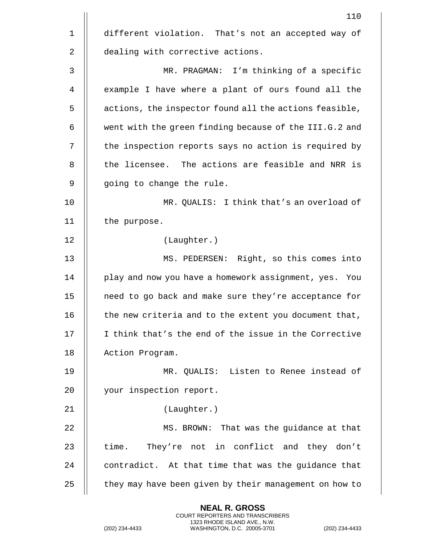|             | 110                                                    |
|-------------|--------------------------------------------------------|
| $\mathbf 1$ | different violation. That's not an accepted way of     |
| 2           | dealing with corrective actions.                       |
| 3           | MR. PRAGMAN: I'm thinking of a specific                |
| 4           | example I have where a plant of ours found all the     |
| 5           | actions, the inspector found all the actions feasible, |
| 6           | went with the green finding because of the III.G.2 and |
| 7           | the inspection reports says no action is required by   |
| 8           | the licensee. The actions are feasible and NRR is      |
| 9           | going to change the rule.                              |
| 10          | MR. QUALIS: I think that's an overload of              |
| 11          | the purpose.                                           |
| 12          | (Laughter.)                                            |
| 13          | MS. PEDERSEN: Right, so this comes into                |
| 14          | play and now you have a homework assignment, yes. You  |
| 15          | need to go back and make sure they're acceptance for   |
| 16          | the new criteria and to the extent you document that,  |
| 17          | I think that's the end of the issue in the Corrective  |
| 18          | Action Program.                                        |
| 19          | MR. QUALIS: Listen to Renee instead of                 |
| 20          | your inspection report.                                |
| 21          | (Laughter.)                                            |
| 22          | MS. BROWN: That was the guidance at that               |
| 23          | They're not in conflict and they don't<br>time.        |
| 24          | contradict. At that time that was the guidance that    |
| 25          | they may have been given by their management on how to |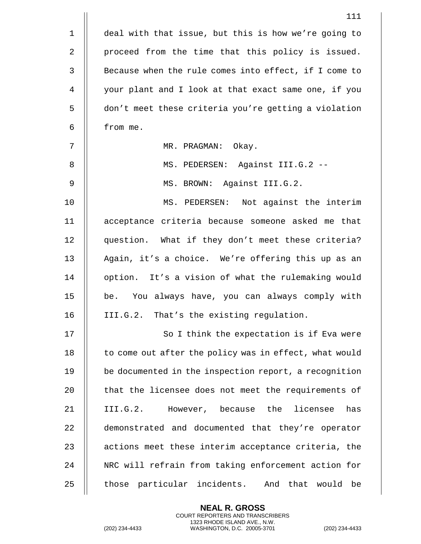|                | 111                                                    |
|----------------|--------------------------------------------------------|
| $\mathbf 1$    | deal with that issue, but this is how we're going to   |
| 2              | proceed from the time that this policy is issued.      |
| $\mathsf{3}$   | Because when the rule comes into effect, if I come to  |
| $\overline{4}$ | your plant and I look at that exact same one, if you   |
| 5              | don't meet these criteria you're getting a violation   |
| 6              | from me.                                               |
| 7              | MR. PRAGMAN: Okay.                                     |
| 8              | MS. PEDERSEN: Against III.G.2 --                       |
| 9              | MS. BROWN: Against III.G.2.                            |
| 10             | MS. PEDERSEN: Not against the interim                  |
| 11             | acceptance criteria because someone asked me that      |
| 12             | question. What if they don't meet these criteria?      |
| 13             | Again, it's a choice. We're offering this up as an     |
| 14             | option. It's a vision of what the rulemaking would     |
| 15             | be. You always have, you can always comply with        |
| 16             | That's the existing regulation.<br>III.G.2.            |
| 17             | So I think the expectation is if Eva were              |
| 18             | to come out after the policy was in effect, what would |
| 19             | be documented in the inspection report, a recognition  |
| 20             | that the licensee does not meet the requirements of    |
| 21             | III.G.2. However, because the licensee<br>has          |
| 22             | demonstrated and documented that they're operator      |
| 23             | actions meet these interim acceptance criteria, the    |
| 24             | NRC will refrain from taking enforcement action for    |
| 25             | those particular incidents. And that would be          |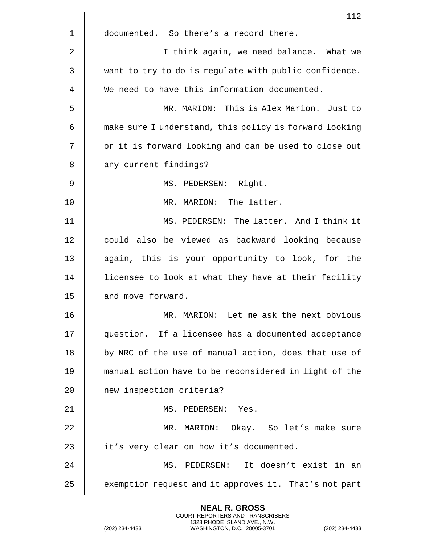|    | 112                                                    |
|----|--------------------------------------------------------|
| 1  | documented. So there's a record there.                 |
| 2  | I think again, we need balance. What we                |
| 3  | want to try to do is regulate with public confidence.  |
| 4  | We need to have this information documented.           |
| 5  | MR. MARION: This is Alex Marion. Just to               |
| 6  | make sure I understand, this policy is forward looking |
| 7  | or it is forward looking and can be used to close out  |
| 8  | any current findings?                                  |
| 9  | MS. PEDERSEN: Right.                                   |
| 10 | MR. MARION: The latter.                                |
| 11 | MS. PEDERSEN: The latter. And I think it               |
| 12 | could also be viewed as backward looking because       |
| 13 | again, this is your opportunity to look, for the       |
| 14 | licensee to look at what they have at their facility   |
| 15 | and move forward.                                      |
| 16 | MR. MARION: Let me ask the next obvious                |
| 17 | question. If a licensee has a documented acceptance    |
| 18 | by NRC of the use of manual action, does that use of   |
| 19 | manual action have to be reconsidered in light of the  |
| 20 | new inspection criteria?                               |
| 21 | MS. PEDERSEN:<br>Yes.                                  |
| 22 | MR. MARION: Okay. So let's make sure                   |
| 23 | it's very clear on how it's documented.                |
| 24 | MS. PEDERSEN: It doesn't exist in an                   |
| 25 | exemption request and it approves it. That's not part  |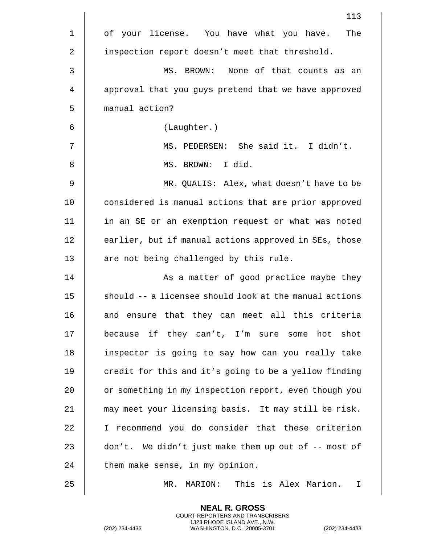|    | 113                                                    |
|----|--------------------------------------------------------|
| 1  | of your license. You have what you have.<br>The        |
| 2  | inspection report doesn't meet that threshold.         |
| 3  | MS. BROWN: None of that counts as an                   |
| 4  | approval that you guys pretend that we have approved   |
| 5  | manual action?                                         |
| 6  | (Laughter.)                                            |
| 7  | MS. PEDERSEN: She said it. I didn't.                   |
| 8  | MS. BROWN: I did.                                      |
| 9  | MR. QUALIS: Alex, what doesn't have to be              |
| 10 | considered is manual actions that are prior approved   |
| 11 | in an SE or an exemption request or what was noted     |
| 12 | earlier, but if manual actions approved in SEs, those  |
| 13 | are not being challenged by this rule.                 |
| 14 | As a matter of good practice maybe they                |
| 15 | should -- a licensee should look at the manual actions |
| 16 | and ensure that they can meet all this criteria        |
| 17 | because if they can't, I'm sure some hot shot          |
| 18 | inspector is going to say how can you really take      |
| 19 | credit for this and it's going to be a yellow finding  |
| 20 | or something in my inspection report, even though you  |
| 21 | may meet your licensing basis. It may still be risk.   |
| 22 | I recommend you do consider that these criterion       |
| 23 | don't. We didn't just make them up out of -- most of   |
| 24 | them make sense, in my opinion.                        |
| 25 | This is Alex Marion.<br>MARION:<br>$MR$ .<br>I.        |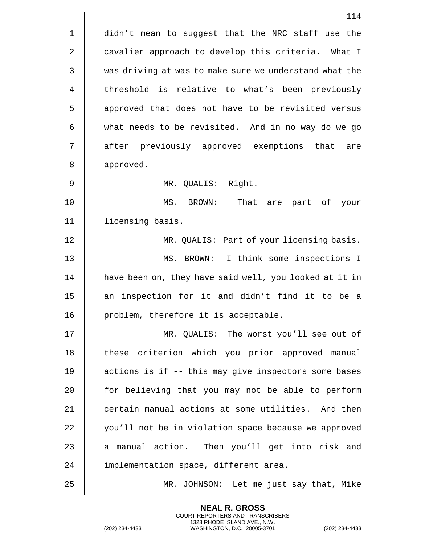114 1 | didn't mean to suggest that the NRC staff use the 2 | cavalier approach to develop this criteria. What I 3 Wed as driving at was to make sure we understand what the 4 || threshold is relative to what's been previously 5 | approved that does not have to be revisited versus  $6 \parallel$  what needs to be revisited. And in no way do we go 7 || after previously approved exemptions that are 8 || approved. 9 MR. QUALIS: Right. 10 MS. BROWN: That are part of your 11 licensing basis. 12 MR. QUALIS: Part of your licensing basis. 13 MS. BROWN: I think some inspections I 14 | have been on, they have said well, you looked at it in 15  $\parallel$  an inspection for it and didn't find it to be a 16 || problem, therefore it is acceptable. 17 MR. QUALIS: The worst you'll see out of 18 || these criterion which you prior approved manual 19 actions is if -- this may give inspectors some bases  $20$  || for believing that you may not be able to perform 21 | certain manual actions at some utilities. And then 22 | vou'll not be in violation space because we approved 23  $\parallel$  a manual action. Then you'll get into risk and 24 | implementation space, different area. 25 MR. JOHNSON: Let me just say that, Mike

> **NEAL R. GROSS** COURT REPORTERS AND TRANSCRIBERS 1323 RHODE ISLAND AVE., N.W.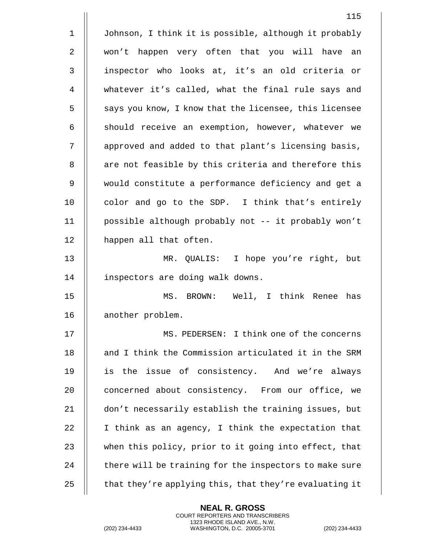|                | 115                                                    |
|----------------|--------------------------------------------------------|
| $\mathbf 1$    | Johnson, I think it is possible, although it probably  |
| $\overline{2}$ | won't happen very often that you will have an          |
| $\mathbf{3}$   | inspector who looks at, it's an old criteria or        |
| 4              | whatever it's called, what the final rule says and     |
| 5              | says you know, I know that the licensee, this licensee |
| 6              | should receive an exemption, however, whatever we      |
| 7              | approved and added to that plant's licensing basis,    |
| 8              | are not feasible by this criteria and therefore this   |
| 9              | would constitute a performance deficiency and get a    |
| 10             | color and go to the SDP. I think that's entirely       |
| 11             | possible although probably not -- it probably won't    |
| 12             | happen all that often.                                 |
| 13             | MR. QUALIS: I hope you're right, but                   |
| 14             | inspectors are doing walk downs.                       |
| 15             | MS. BROWN: Well, I think Renee has                     |
| 16             | another problem.                                       |
| 17             | MS. PEDERSEN: I think one of the concerns              |
| 18             | and I think the Commission articulated it in the SRM   |
| 19             | is the issue of consistency. And we're always          |
| 20             | concerned about consistency. From our office, we       |
| 21             | don't necessarily establish the training issues, but   |
| 22             | I think as an agency, I think the expectation that     |
| 23             | when this policy, prior to it going into effect, that  |
| 24             | there will be training for the inspectors to make sure |
| 25             | that they're applying this, that they're evaluating it |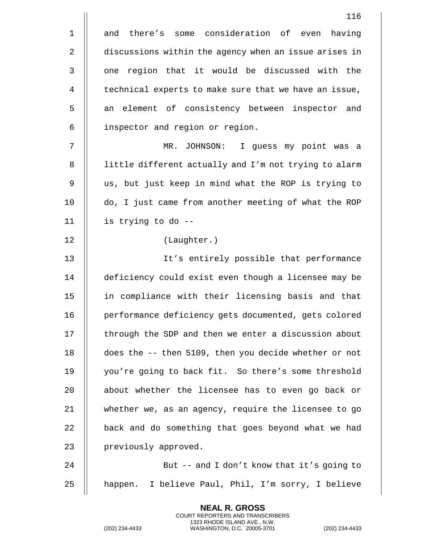1 and there's some consideration of even having 2 discussions within the agency when an issue arises in 3 || one region that it would be discussed with the 4 | technical experts to make sure that we have an issue, 5 || an element of consistency between inspector and 6 | inspector and region or region. 7 MR. JOHNSON: I guess my point was a 8 || little different actually and I'm not trying to alarm 9 || us, but just keep in mind what the ROP is trying to 10 do, I just came from another meeting of what the ROP 11 is trying to do -- 12 (Laughter.) 13 It's entirely possible that performance 14 deficiency could exist even though a licensee may be 15 in compliance with their licensing basis and that 16 | performance deficiency gets documented, gets colored  $17$   $\parallel$  through the SDP and then we enter a discussion about 18 does the -- then 5109, then you decide whether or not 19 || you're going to back fit. So there's some threshold 20 || about whether the licensee has to even go back or 21 whether we, as an agency, require the licensee to go  $22$   $\parallel$  back and do something that goes beyond what we had 23 | previously approved. 24 || But -- and I don't know that it's going to 25 || happen. I believe Paul, Phil, I'm sorry, I believe

> **NEAL R. GROSS** COURT REPORTERS AND TRANSCRIBERS 1323 RHODE ISLAND AVE., N.W.

(202) 234-4433 WASHINGTON, D.C. 20005-3701 (202) 234-4433

116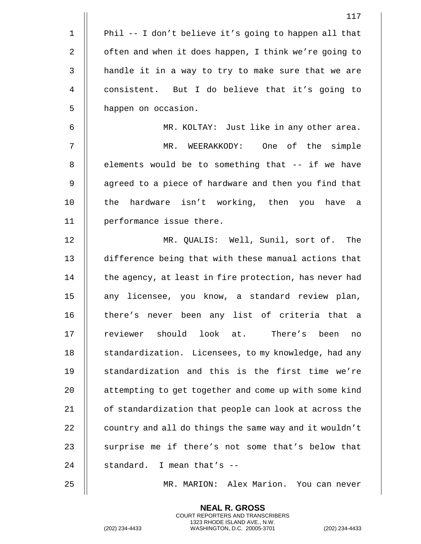|    | 117                                                    |
|----|--------------------------------------------------------|
| 1  | Phil -- I don't believe it's going to happen all that  |
| 2  | often and when it does happen, I think we're going to  |
| 3  | handle it in a way to try to make sure that we are     |
| 4  | consistent. But I do believe that it's going to        |
| 5  | happen on occasion.                                    |
| 6  | MR. KOLTAY: Just like in any other area.               |
| 7  | MR. WEERAKKODY: One of the simple                      |
| 8  | elements would be to something that -- if we have      |
| 9  | agreed to a piece of hardware and then you find that   |
| 10 | the hardware isn't working, then you have a            |
| 11 | performance issue there.                               |
| 12 | MR. QUALIS: Well, Sunil, sort of. The                  |
| 13 | difference being that with these manual actions that   |
| 14 | the agency, at least in fire protection, has never had |
| 15 | any licensee, you know, a standard review plan,        |
| 16 | there's never been any list of criteria that a         |
| 17 | reviewer should look at. There's been<br>no            |
| 18 | standardization. Licensees, to my knowledge, had any   |
| 19 | standardization and this is the first time we're       |
| 20 | attempting to get together and come up with some kind  |
| 21 | of standardization that people can look at across the  |
| 22 | country and all do things the same way and it wouldn't |
| 23 | surprise me if there's not some that's below that      |
| 24 | standard. I mean that's --                             |
| 25 | MR. MARION: Alex Marion. You can never                 |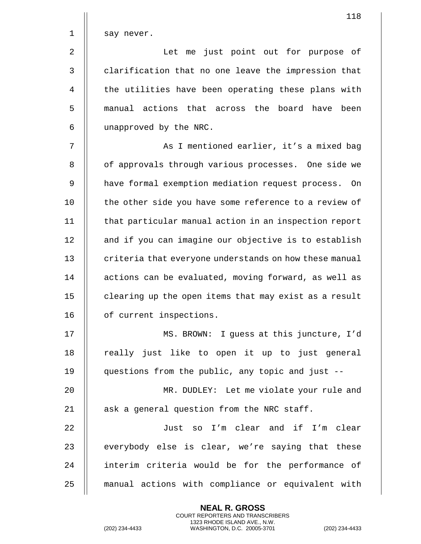| $1 \parallel$ | say never. |  |  |  |                                      |  |
|---------------|------------|--|--|--|--------------------------------------|--|
| 2 $\parallel$ |            |  |  |  | Let me just point out for purpose of |  |

3 | clarification that no one leave the impression that 4 | the utilities have been operating these plans with 5 || manual actions that across the board have been 6 unapproved by the NRC.

7 || As I mentioned earlier, it's a mixed bag 8 || of approvals through various processes. One side we 9 | have formal exemption mediation request process. On 10 || the other side you have some reference to a review of 11 || that particular manual action in an inspection report 12 | and if you can imagine our objective is to establish 13 | criteria that everyone understands on how these manual 14 | actions can be evaluated, moving forward, as well as 15 | clearing up the open items that may exist as a result 16 | of current inspections.

17 MS. BROWN: I guess at this juncture, I'd 18 || really just like to open it up to just general 19 questions from the public, any topic and just --

20 MR. DUDLEY: Let me violate your rule and 21  $\parallel$  ask a general question from the NRC staff.

22 || Just so I'm clear and if I'm clear  $23$   $\parallel$  everybody else is clear, we're saying that these 24 || interim criteria would be for the performance of 25 manual actions with compliance or equivalent with

> **NEAL R. GROSS** COURT REPORTERS AND TRANSCRIBERS 1323 RHODE ISLAND AVE., N.W.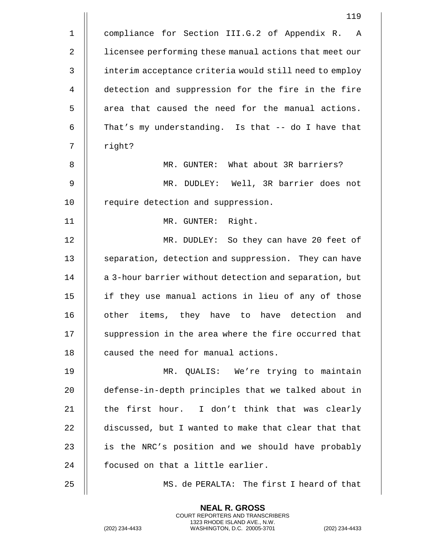|                | 119                                                    |
|----------------|--------------------------------------------------------|
| $\mathbf 1$    | compliance for Section III.G.2 of Appendix R. A        |
| 2              | licensee performing these manual actions that meet our |
| $\mathfrak{Z}$ | interim acceptance criteria would still need to employ |
| 4              | detection and suppression for the fire in the fire     |
| 5              | area that caused the need for the manual actions.      |
| 6              | That's my understanding. Is that -- do I have that     |
| 7              | right?                                                 |
| 8              | MR. GUNTER: What about 3R barriers?                    |
| 9              | MR. DUDLEY: Well, 3R barrier does not                  |
| 10             | require detection and suppression.                     |
| 11             | MR. GUNTER:<br>Right.                                  |
| 12             | MR. DUDLEY: So they can have 20 feet of                |
| 13             | separation, detection and suppression. They can have   |
| 14             | a 3-hour barrier without detection and separation, but |
| 15             | if they use manual actions in lieu of any of those     |
| 16             | items, they have to have detection and<br>other        |
| 17             | suppression in the area where the fire occurred that   |
| 18             | caused the need for manual actions.                    |
| 19             | MR. QUALIS: We're trying to maintain                   |
| 20             | defense-in-depth principles that we talked about in    |
| 21             | the first hour. I don't think that was clearly         |
| 22             | discussed, but I wanted to make that clear that that   |
| 23             | is the NRC's position and we should have probably      |
| 24             | focused on that a little earlier.                      |
| 25             | MS. de PERALTA: The first I heard of that              |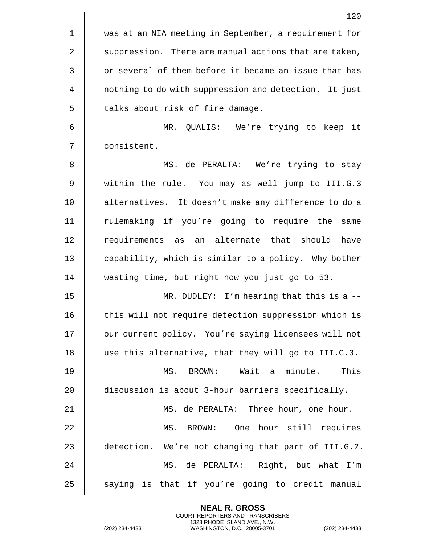|                | 120                                                   |
|----------------|-------------------------------------------------------|
| $\mathbf{1}$   | was at an NIA meeting in September, a requirement for |
| 2              | suppression. There are manual actions that are taken, |
| $\mathfrak{Z}$ | or several of them before it became an issue that has |
| 4              | nothing to do with suppression and detection. It just |
| 5              | talks about risk of fire damage.                      |
| 6              | MR. QUALIS: We're trying to keep it                   |
| 7              | consistent.                                           |
| 8              | MS. de PERALTA: We're trying to stay                  |
| 9              | within the rule. You may as well jump to III.G.3      |
| 10             | alternatives. It doesn't make any difference to do a  |
| 11             | rulemaking if you're going to require the same        |
| 12             | requirements as an alternate that should have         |
| 13             | capability, which is similar to a policy. Why bother  |
| 14             | wasting time, but right now you just go to 53.        |
| 15             | MR. DUDLEY: I'm hearing that this is a $-$ -          |
| 16             | this will not require detection suppression which is  |
| 17             | our current policy. You're saying licensees will not  |
| 18             | use this alternative, that they will go to III.G.3.   |
| 19             | MS. BROWN: Wait a minute. This                        |
| 20             | discussion is about 3-hour barriers specifically.     |
| 21             | MS. de PERALTA: Three hour, one hour.                 |
| 22             | MS. BROWN: One hour still requires                    |
| 23             | detection. We're not changing that part of III.G.2.   |
| 24             | MS. de PERALTA: Right, but what I'm                   |
| 25             | saying is that if you're going to credit manual       |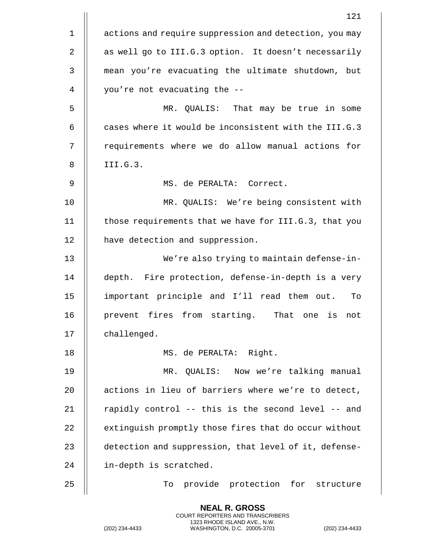|             | 121                                                    |
|-------------|--------------------------------------------------------|
| $\mathbf 1$ | actions and require suppression and detection, you may |
| 2           | as well go to III.G.3 option. It doesn't necessarily   |
| 3           | mean you're evacuating the ultimate shutdown, but      |
| 4           | you're not evacuating the --                           |
| 5           | MR. QUALIS: That may be true in some                   |
| 6           | cases where it would be inconsistent with the III.G.3  |
| 7           | requirements where we do allow manual actions for      |
| 8           | III.G.3.                                               |
| 9           | MS. de PERALTA: Correct.                               |
| 10          | MR. QUALIS: We're being consistent with                |
| 11          | those requirements that we have for III.G.3, that you  |
| 12          | have detection and suppression.                        |
| 13          | We're also trying to maintain defense-in-              |
| 14          | depth. Fire protection, defense-in-depth is a very     |
| 15          | important principle and I'll read them out.<br>To      |
| 16          | prevent fires from starting.<br>That one is not        |
| 17          | challenged.                                            |
| 18          | MS. de PERALTA: Right.                                 |
| 19          | MR. QUALIS: Now we're talking manual                   |
| 20          | actions in lieu of barriers where we're to detect,     |
| 21          | rapidly control -- this is the second level -- and     |
| 22          | extinguish promptly those fires that do occur without  |
| 23          | detection and suppression, that level of it, defense-  |
| 24          | in-depth is scratched.                                 |
| 25          | provide protection for structure<br>To                 |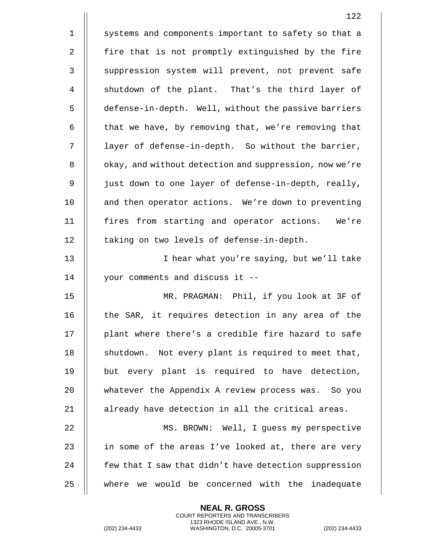|                | 122                                                    |
|----------------|--------------------------------------------------------|
| $\mathbf 1$    | systems and components important to safety so that a   |
| 2              | fire that is not promptly extinguished by the fire     |
| $\mathfrak{Z}$ | suppression system will prevent, not prevent safe      |
| $\overline{4}$ | shutdown of the plant. That's the third layer of       |
| 5              | defense-in-depth. Well, without the passive barriers   |
| 6              | that we have, by removing that, we're removing that    |
| 7              | layer of defense-in-depth. So without the barrier,     |
| 8              | okay, and without detection and suppression, now we're |
| 9              | just down to one layer of defense-in-depth, really,    |
| 10             | and then operator actions. We're down to preventing    |
| 11             | fires from starting and operator actions. We're        |
| 12             | taking on two levels of defense-in-depth.              |
| 13             | I hear what you're saying, but we'll take              |
| 14             | your comments and discuss it --                        |
| 15             | MR. PRAGMAN: Phil, if you look at 3F of                |
| 16             | the SAR, it requires detection in any area of the      |
| 17             | plant where there's a credible fire hazard to safe     |
| 18             | shutdown. Not every plant is required to meet that,    |
| 19             | but every plant is required to have detection,         |
| 20             | whatever the Appendix A review process was. So you     |
| 21             | already have detection in all the critical areas.      |
| 22             | MS. BROWN: Well, I guess my perspective                |
| 23             | in some of the areas I've looked at, there are very    |
| 24             | few that I saw that didn't have detection suppression  |
| 25             | where we would be concerned with the inadequate        |

(202) 234-4433 WASHINGTON, D.C. 20005-3701 (202) 234-4433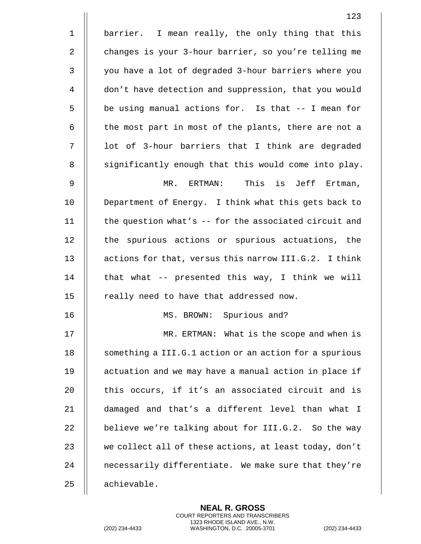|              | 123                                                    |
|--------------|--------------------------------------------------------|
| $\mathbf 1$  | barrier. I mean really, the only thing that this       |
| $\sqrt{2}$   | changes is your 3-hour barrier, so you're telling me   |
| $\mathbf{3}$ | you have a lot of degraded 3-hour barriers where you   |
| 4            | don't have detection and suppression, that you would   |
| 5            | be using manual actions for. Is that -- I mean for     |
| 6            | the most part in most of the plants, there are not a   |
| 7            | lot of 3-hour barriers that I think are degraded       |
| $\, 8$       | significantly enough that this would come into play.   |
| $\mathsf 9$  | MR. ERTMAN: This is Jeff Ertman,                       |
| 10           | Department of Energy. I think what this gets back to   |
| 11           | the question what's $-$ for the associated circuit and |
| 12           | the spurious actions or spurious actuations, the       |
| 13           | actions for that, versus this narrow III.G.2. I think  |
| 14           | that what -- presented this way, I think we will       |
| 15           | really need to have that addressed now.                |
| 16           | MS. BROWN: Spurious and?                               |
| 17           | MR. ERTMAN: What is the scope and when is              |
| 18           | something a III.G.1 action or an action for a spurious |
| 19           | actuation and we may have a manual action in place if  |
| 20           | this occurs, if it's an associated circuit and is      |
| 21           | damaged and that's a different level than what I       |
| 22           | believe we're talking about for III.G.2. So the way    |
| 23           | we collect all of these actions, at least today, don't |
| 24           | necessarily differentiate. We make sure that they're   |
| 25           | achievable.                                            |

(202) 234-4433 WASHINGTON, D.C. 20005-3701 (202) 234-4433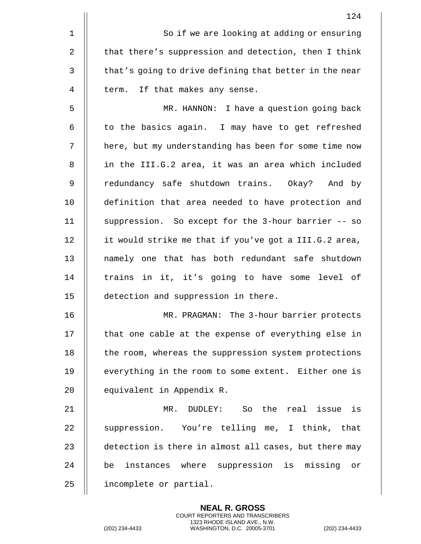|             | 124                                                    |
|-------------|--------------------------------------------------------|
| $\mathbf 1$ | So if we are looking at adding or ensuring             |
| 2           | that there's suppression and detection, then I think   |
| 3           | that's going to drive defining that better in the near |
| 4           | term. If that makes any sense.                         |
| 5           | MR. HANNON: I have a question going back               |
| 6           | to the basics again. I may have to get refreshed       |
| 7           | here, but my understanding has been for some time now  |
| 8           | in the III.G.2 area, it was an area which included     |
| 9           | redundancy safe shutdown trains. Okay? And by          |
| 10          | definition that area needed to have protection and     |
| 11          | suppression. So except for the 3-hour barrier -- so    |
| 12          | it would strike me that if you've got a III.G.2 area,  |
| 13          | namely one that has both redundant safe shutdown       |
| 14          | trains in it, it's going to have some level of         |
| 15          | detection and suppression in there.                    |
| 16          | MR. PRAGMAN: The 3-hour barrier protects               |
| 17          | that one cable at the expense of everything else in    |
| 18          | the room, whereas the suppression system protections   |
| 19          | everything in the room to some extent. Either one is   |
| 20          | equivalent in Appendix R.                              |
| 21          | MR. DUDLEY: So the real issue is                       |
| 22          | suppression. You're telling me, I think, that          |
| 23          | detection is there in almost all cases, but there may  |
| 24          | be instances where suppression is missing or           |
| 25          | incomplete or partial.                                 |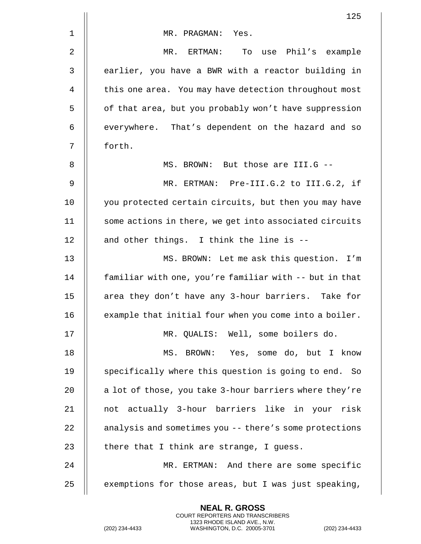|                | 125                                                       |
|----------------|-----------------------------------------------------------|
| $\mathbf 1$    | MR. PRAGMAN: Yes.                                         |
| 2              | MR. ERTMAN:<br>To use Phil's example                      |
| 3              | earlier, you have a BWR with a reactor building in        |
| $\overline{4}$ | this one area. You may have detection throughout most     |
| 5              | of that area, but you probably won't have suppression     |
| 6              | everywhere. That's dependent on the hazard and so         |
| 7              | forth.                                                    |
| 8              | MS. BROWN: But those are III.G --                         |
| 9              | MR. ERTMAN: Pre-III.G.2 to III.G.2, if                    |
| 10             | you protected certain circuits, but then you may have     |
| 11             | some actions in there, we get into associated circuits    |
| 12             | and other things. I think the line is --                  |
| 13             | MS. BROWN: Let me ask this question.<br>I'm               |
| 14             | familiar with one, you're familiar with -- but in that    |
| 15             | area they don't have any 3-hour barriers. Take for        |
| 16             | example that initial four when you come into a boiler.    |
| 17             | MR. QUALIS: Well, some boilers do.                        |
| 18             | MS. BROWN: Yes, some do, but I know                       |
| 19             | specifically where this question is going to end.<br>- So |
| 20             | a lot of those, you take 3-hour barriers where they're    |
| 21             | not actually 3-hour barriers like in your risk            |
| 22             | analysis and sometimes you -- there's some protections    |
| 23             | there that I think are strange, I guess.                  |
| 24             | MR. ERTMAN: And there are some specific                   |
| 25             | exemptions for those areas, but I was just speaking,      |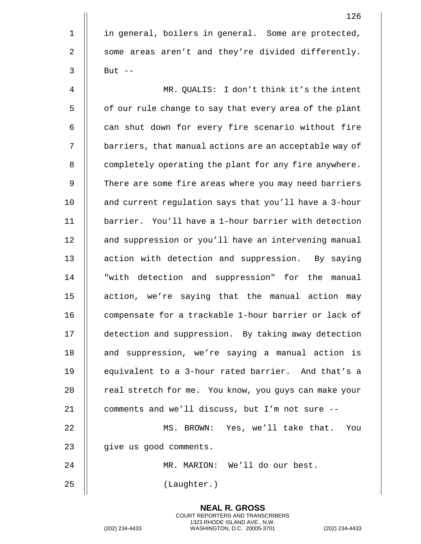1 | in general, boilers in general. Some are protected, 2 | some areas aren't and they're divided differently.  $3 \parallel$  But  $-$ 4 MR. QUALIS: I don't think it's the intent 5 | of our rule change to say that every area of the plant  $6$   $\parallel$  can shut down for every fire scenario without fire 7 | barriers, that manual actions are an acceptable way of 8 | completely operating the plant for any fire anywhere. 9 | There are some fire areas where you may need barriers 10 | and current regulation says that you'll have a 3-hour 11 barrier. You'll have a 1-hour barrier with detection 12 | and suppression or you'll have an intervening manual 13 || action with detection and suppression. By saying 14 || "with detection and suppression" for the manual 15 || action, we're saying that the manual action may 16 || compensate for a trackable 1-hour barrier or lack of 17 detection and suppression. By taking away detection 18 || and suppression, we're saying a manual action is 19 || equivalent to a 3-hour rated barrier. And that's a 20 | real stretch for me. You know, you quys can make your 21  $\parallel$  comments and we'll discuss, but I'm not sure --22 MS. BROWN: Yes, we'll take that. You 23 | give us good comments.

24 MR. MARION: We'll do our best.

**NEAL R. GROSS** COURT REPORTERS AND TRANSCRIBERS 1323 RHODE ISLAND AVE., N.W.

25 (Laughter.)

126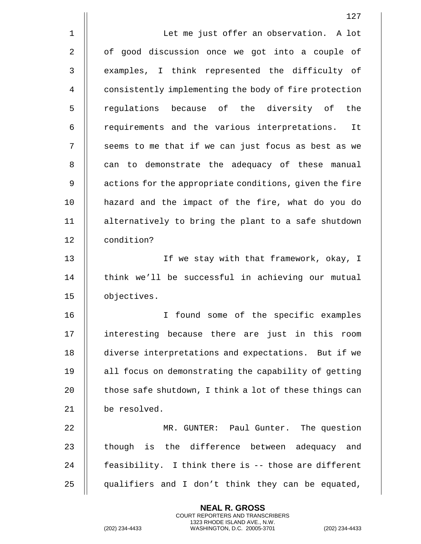|              | 127                                                    |
|--------------|--------------------------------------------------------|
| $\mathbf 1$  | Let me just offer an observation. A lot                |
| 2            | of good discussion once we got into a couple of        |
| $\mathsf{3}$ | examples, I think represented the difficulty of        |
| 4            | consistently implementing the body of fire protection  |
| 5            | regulations because of the diversity of the            |
| 6            | requirements and the various interpretations. It       |
| 7            | seems to me that if we can just focus as best as we    |
| 8            | can to demonstrate the adequacy of these manual        |
| 9            | actions for the appropriate conditions, given the fire |
| 10           | hazard and the impact of the fire, what do you do      |
| 11           | alternatively to bring the plant to a safe shutdown    |
| 12           | condition?                                             |
| 13           | If we stay with that framework, okay, I                |
| 14           | think we'll be successful in achieving our mutual      |
| 15           | objectives.                                            |
| 16           | found some of the specific examples<br>I.              |
| 17           | interesting because there are just in this room        |
| 18           | diverse interpretations and expectations. But if we    |
| 19           | all focus on demonstrating the capability of getting   |
| 20           | those safe shutdown, I think a lot of these things can |
| 21           | be resolved.                                           |
| 22           | MR. GUNTER: Paul Gunter. The question                  |
| 23           | though is the difference between adequacy and          |
| 24           | feasibility. I think there is -- those are different   |
| 25           | qualifiers and I don't think they can be equated,      |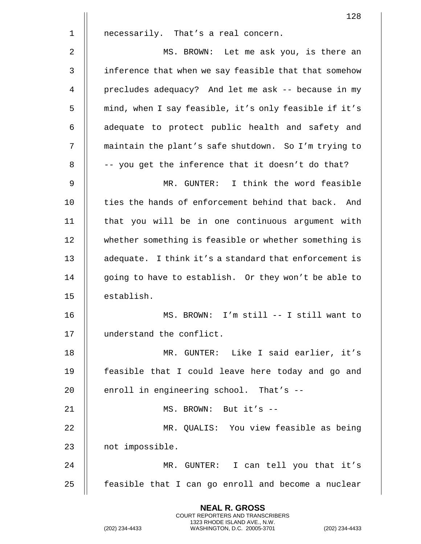128 1 | necessarily. That's a real concern. 2 MS. BROWN: Let me ask you, is there an 3 | inference that when we say feasible that that somehow 4 precludes adequacy? And let me ask -- because in my 5 | | mind, when I say feasible, it's only feasible if it's 6 || adequate to protect public health and safety and 7 maintain the plant's safe shutdown. So I'm trying to  $8$   $\parallel$  -- you get the inference that it doesn't do that? 9 MR. GUNTER: I think the word feasible 10  $\parallel$  ties the hands of enforcement behind that back. And 11 that you will be in one continuous argument with 12 whether something is feasible or whether something is 13 || adequate. I think it's a standard that enforcement is 14 || going to have to establish. Or they won't be able to 15 || establish. 16 MS. BROWN: I'm still -- I still want to 17 | understand the conflict. 18 MR. GUNTER: Like I said earlier, it's 19 feasible that I could leave here today and go and 20  $\parallel$  enroll in engineering school. That's --21 || MS. BROWN: But it's --22 MR. QUALIS: You view feasible as being 23 | not impossible. 24 MR. GUNTER: I can tell you that it's  $25$  || feasible that I can go enroll and become a nuclear

> **NEAL R. GROSS** COURT REPORTERS AND TRANSCRIBERS 1323 RHODE ISLAND AVE., N.W.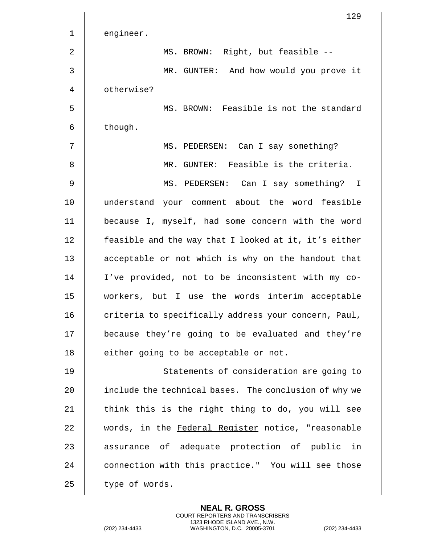|                | 129                                                   |
|----------------|-------------------------------------------------------|
| $\mathbf 1$    | engineer.                                             |
| 2              | MS. BROWN: Right, but feasible --                     |
| 3              | MR. GUNTER: And how would you prove it                |
| $\overline{4}$ | otherwise?                                            |
| 5              | MS. BROWN: Feasible is not the standard               |
| 6              | though.                                               |
| 7              | MS. PEDERSEN: Can I say something?                    |
| 8              | MR. GUNTER: Feasible is the criteria.                 |
| 9              | MS. PEDERSEN: Can I say something? I                  |
| 10             | understand your comment about the word feasible       |
| 11             | because I, myself, had some concern with the word     |
| 12             | feasible and the way that I looked at it, it's either |
| 13             | acceptable or not which is why on the handout that    |
| 14             | I've provided, not to be inconsistent with my co-     |
| 15             | workers, but I use the words interim acceptable       |
| 16             | criteria to specifically address your concern, Paul,  |
| 17             | because they're going to be evaluated and they're     |
| 18             | either going to be acceptable or not.                 |
| 19             | Statements of consideration are going to              |
| 20             | include the technical bases. The conclusion of why we |
| 21             | think this is the right thing to do, you will see     |
| 22             | words, in the Federal Register notice, "reasonable    |
| 23             | assurance of adequate protection of public in         |
| 24             | connection with this practice." You will see those    |
| 25             | type of words.                                        |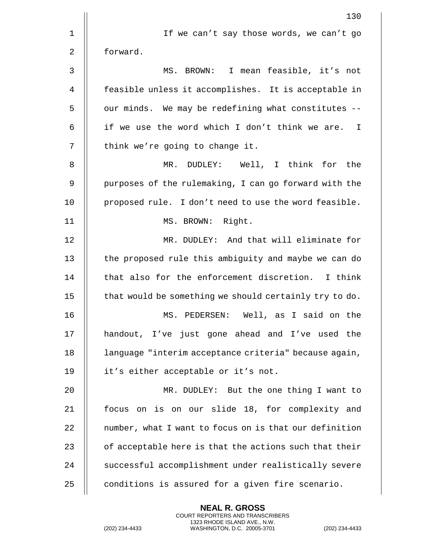|                | 130                                                    |
|----------------|--------------------------------------------------------|
| 1              | If we can't say those words, we can't go               |
| 2              | forward.                                               |
| 3              | MS. BROWN: I mean feasible, it's not                   |
| $\overline{4}$ | feasible unless it accomplishes. It is acceptable in   |
| 5              | our minds. We may be redefining what constitutes --    |
| 6              | if we use the word which I don't think we are. I       |
| 7              | think we're going to change it.                        |
| 8              | MR. DUDLEY: Well, I think for the                      |
| 9              | purposes of the rulemaking, I can go forward with the  |
| 10             | proposed rule. I don't need to use the word feasible.  |
| 11             | MS. BROWN: Right.                                      |
| 12             | MR. DUDLEY: And that will eliminate for                |
| 13             | the proposed rule this ambiguity and maybe we can do   |
| 14             | that also for the enforcement discretion. I think      |
| 15             | that would be something we should certainly try to do. |
| 16             | MS. PEDERSEN: Well, as I said on the                   |
| 17             | handout, I've just gone ahead and I've used the        |
| 18             | language "interim acceptance criteria" because again,  |
| 19             | it's either acceptable or it's not.                    |
| 20             | MR. DUDLEY: But the one thing I want to                |
| 21             | focus on is on our slide 18, for complexity and        |
| 22             | number, what I want to focus on is that our definition |
| 23             | of acceptable here is that the actions such that their |
| 24             | successful accomplishment under realistically severe   |
| 25             | conditions is assured for a given fire scenario.       |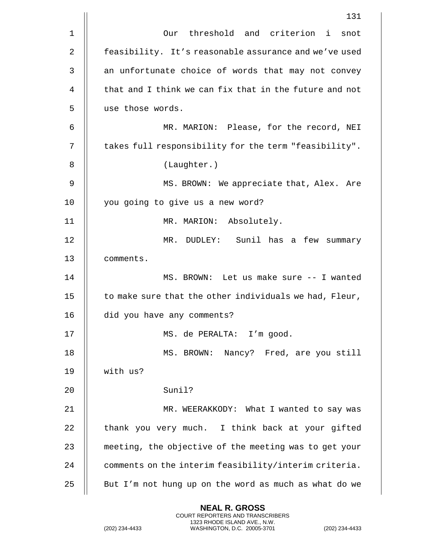|             | 131                                                    |
|-------------|--------------------------------------------------------|
| $\mathbf 1$ | Our threshold and criterion i<br>snot                  |
| 2           | feasibility. It's reasonable assurance and we've used  |
| 3           | an unfortunate choice of words that may not convey     |
| 4           | that and I think we can fix that in the future and not |
| 5           | use those words.                                       |
| 6           | MR. MARION: Please, for the record, NEI                |
| 7           | takes full responsibility for the term "feasibility".  |
| 8           | (Laughter.)                                            |
| 9           | MS. BROWN: We appreciate that, Alex. Are               |
| 10          | you going to give us a new word?                       |
| 11          | MR. MARION: Absolutely.                                |
| 12          | MR. DUDLEY: Sunil has a few summary                    |
| 13          | comments.                                              |
| 14          | MS. BROWN: Let us make sure -- I wanted                |
| 15          | to make sure that the other individuals we had, Fleur, |
| 16          | did you have any comments?                             |
| 17          | MS. de PERALTA: I'm good.                              |
| 18          | MS. BROWN: Nancy? Fred, are you still                  |
| 19          | with us?                                               |
| 20          | Sunil?                                                 |
| 21          | MR. WEERAKKODY: What I wanted to say was               |
| 22          | thank you very much. I think back at your gifted       |
| 23          | meeting, the objective of the meeting was to get your  |
| 24          | comments on the interim feasibility/interim criteria.  |
| 25          | But I'm not hung up on the word as much as what do we  |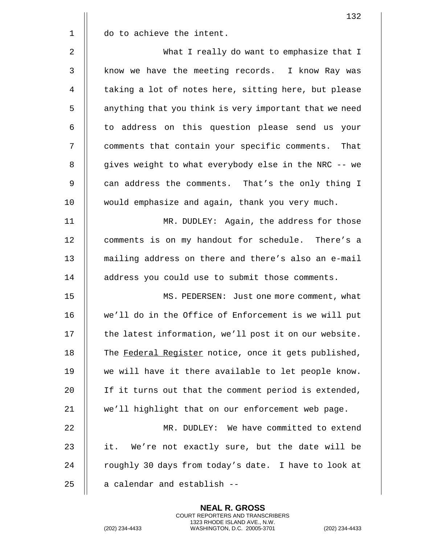|              | 132                                                    |
|--------------|--------------------------------------------------------|
| $1\,$        | do to achieve the intent.                              |
| 2            | What I really do want to emphasize that I              |
| $\mathsf{3}$ | know we have the meeting records. I know Ray was       |
| 4            | taking a lot of notes here, sitting here, but please   |
| 5            | anything that you think is very important that we need |
| 6            | to address on this question please send us your        |
| 7            | comments that contain your specific comments. That     |
| 8            | gives weight to what everybody else in the NRC -- we   |
| 9            | can address the comments. That's the only thing I      |
| 10           | would emphasize and again, thank you very much.        |
| 11           | MR. DUDLEY: Again, the address for those               |
| 12           | comments is on my handout for schedule. There's a      |
| 13           | mailing address on there and there's also an e-mail    |
| 14           | address you could use to submit those comments.        |
| 15           | MS. PEDERSEN: Just one more comment, what              |
| 16           | we'll do in the Office of Enforcement is we will put   |
| 17           | the latest information, we'll post it on our website.  |
| 18           | The Federal Register notice, once it gets published,   |
| 19           | we will have it there available to let people know.    |
| 20           | If it turns out that the comment period is extended,   |
| 21           | we'll highlight that on our enforcement web page.      |
| 22           | MR. DUDLEY: We have committed to extend                |
| 23           | it. We're not exactly sure, but the date will be       |
| 24           | roughly 30 days from today's date. I have to look at   |
| 25           | a calendar and establish --                            |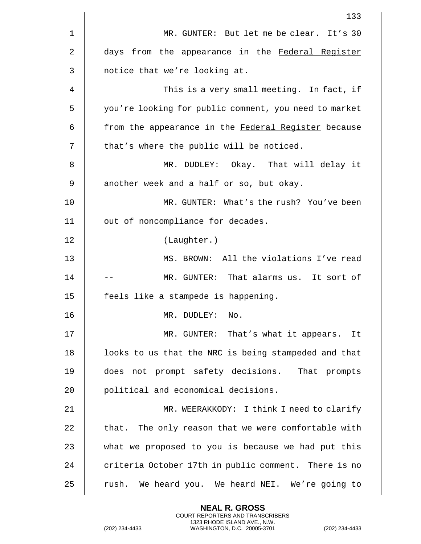|    | 133                                                   |
|----|-------------------------------------------------------|
| 1  | MR. GUNTER: But let me be clear. It's 30              |
| 2  | days from the appearance in the Federal Register      |
| 3  | notice that we're looking at.                         |
| 4  | This is a very small meeting. In fact, if             |
| 5  | you're looking for public comment, you need to market |
| 6  | from the appearance in the Federal Register because   |
| 7  | that's where the public will be noticed.              |
| 8  | MR. DUDLEY: Okay. That will delay it                  |
| 9  | another week and a half or so, but okay.              |
| 10 | MR. GUNTER: What's the rush? You've been              |
| 11 | out of noncompliance for decades.                     |
| 12 | (Laughter.)                                           |
| 13 | MS. BROWN: All the violations I've read               |
| 14 | MR. GUNTER: That alarms us. It sort of                |
| 15 | feels like a stampede is happening.                   |
| 16 | MR. DUDLEY:<br>No.                                    |
| 17 | MR. GUNTER: That's what it appears. It                |
| 18 | looks to us that the NRC is being stampeded and that  |
| 19 | does not prompt safety decisions. That prompts        |
| 20 | political and economical decisions.                   |
| 21 | MR. WEERAKKODY: I think I need to clarify             |
| 22 | that. The only reason that we were comfortable with   |
| 23 | what we proposed to you is because we had put this    |
| 24 | criteria October 17th in public comment. There is no  |
| 25 | rush. We heard you. We heard NEI. We're going to      |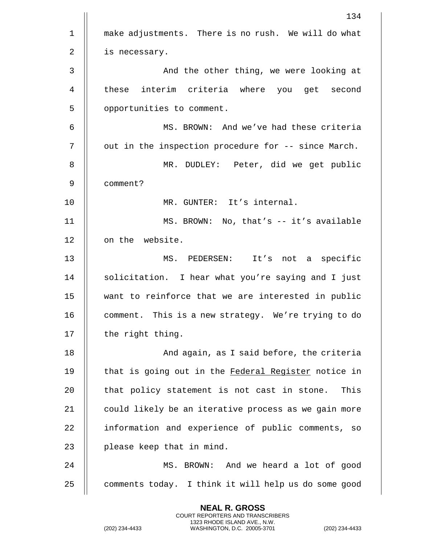|                | 134                                                  |
|----------------|------------------------------------------------------|
| $\mathbf 1$    | make adjustments. There is no rush. We will do what  |
| $\overline{2}$ | is necessary.                                        |
| $\mathbf{3}$   | And the other thing, we were looking at              |
| 4              | these interim criteria where you get second          |
| 5              | opportunities to comment.                            |
| 6              | MS. BROWN: And we've had these criteria              |
| 7              | out in the inspection procedure for -- since March.  |
| 8              | MR. DUDLEY: Peter, did we get public                 |
| 9              | comment?                                             |
| 10             | MR. GUNTER: It's internal.                           |
| 11             | MS. BROWN: No, that's -- it's available              |
| 12             | on the website.                                      |
| 13             | MS. PEDERSEN: It's not a specific                    |
| 14             | solicitation. I hear what you're saying and I just   |
| 15             | want to reinforce that we are interested in public   |
| 16             | comment. This is a new strategy. We're trying to do  |
| 17             | the right thing.                                     |
| 18             | And again, as I said before, the criteria            |
| 19             | that is going out in the Federal Register notice in  |
| 20             | that policy statement is not cast in stone.<br>This  |
| 21             | could likely be an iterative process as we gain more |
| 22             | information and experience of public comments, so    |
| 23             | please keep that in mind.                            |
| 24             | MS. BROWN: And we heard a lot of good                |
| 25             | comments today. I think it will help us do some good |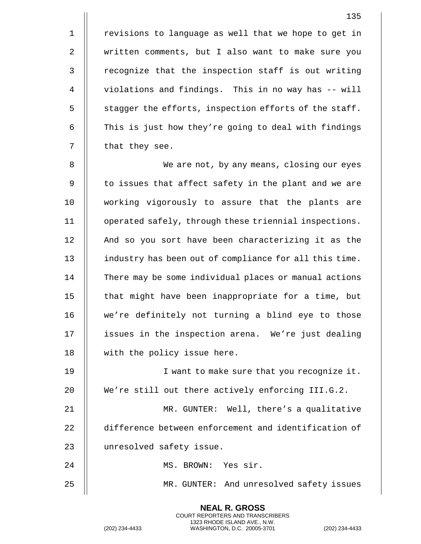1 | revisions to language as well that we hope to get in written comments, but I also want to make sure you 3 || recognize that the inspection staff is out writing violations and findings. This in no way has -- will  $\parallel$  stagger the efforts, inspection efforts of the staff.  $\parallel$  This is just how they're going to deal with findings | that they see.

8 | We are not, by any means, closing our eyes  $9$   $\parallel$  to issues that affect safety in the plant and we are 10 working vigorously to assure that the plants are 11 operated safely, through these triennial inspections. 12 || And so you sort have been characterizing it as the 13 industry has been out of compliance for all this time. 14 | There may be some individual places or manual actions 15 || that might have been inappropriate for a time, but 16 || we're definitely not turning a blind eye to those 17 || issues in the inspection arena. We're just dealing 18 || with the policy issue here.

19 || I want to make sure that you recognize it. 20 || We're still out there actively enforcing III.G.2. 21 MR. GUNTER: Well, there's a qualitative 22 difference between enforcement and identification of 23 | unresolved safety issue. 24 || MS. BROWN: Yes sir.

25 MR. GUNTER: And unresolved safety issues

**NEAL R. GROSS** COURT REPORTERS AND TRANSCRIBERS 1323 RHODE ISLAND AVE., N.W.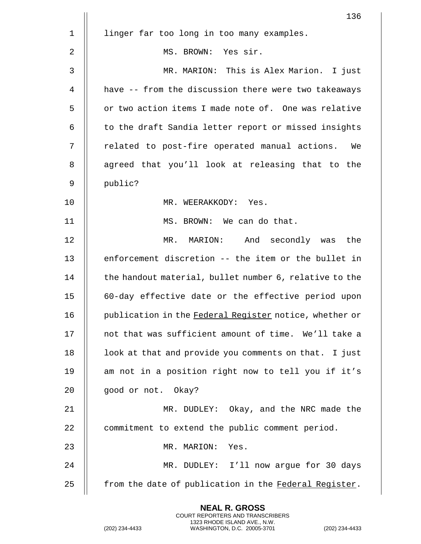|             | 136                                                    |
|-------------|--------------------------------------------------------|
| $\mathbf 1$ | linger far too long in too many examples.              |
| 2           | MS. BROWN: Yes sir.                                    |
| 3           | MR. MARION: This is Alex Marion. I just                |
| 4           | have -- from the discussion there were two takeaways   |
| 5           | or two action items I made note of. One was relative   |
| 6           | to the draft Sandia letter report or missed insights   |
| 7           | related to post-fire operated manual actions.<br>We    |
| 8           | agreed that you'll look at releasing that to the       |
| 9           | public?                                                |
| 10          | MR. WEERAKKODY: Yes.                                   |
| 11          | MS. BROWN: We can do that.                             |
| 12          | MR. MARION: And secondly was<br>the                    |
| 13          | enforcement discretion -- the item or the bullet in    |
| 14          | the handout material, bullet number 6, relative to the |
| 15          | 60-day effective date or the effective period upon     |
| 16          | publication in the Federal Register notice, whether or |
| 17          | not that was sufficient amount of time. We'll take a   |
| 18          | look at that and provide you comments on that. I just  |
| 19          | am not in a position right now to tell you if it's     |
| 20          | good or not. Okay?                                     |
| 21          | MR. DUDLEY: Okay, and the NRC made the                 |
| 22          | commitment to extend the public comment period.        |
| 23          | MR. MARION: Yes.                                       |
| 24          | MR. DUDLEY: I'll now argue for 30 days                 |
| 25          | from the date of publication in the Federal Register.  |